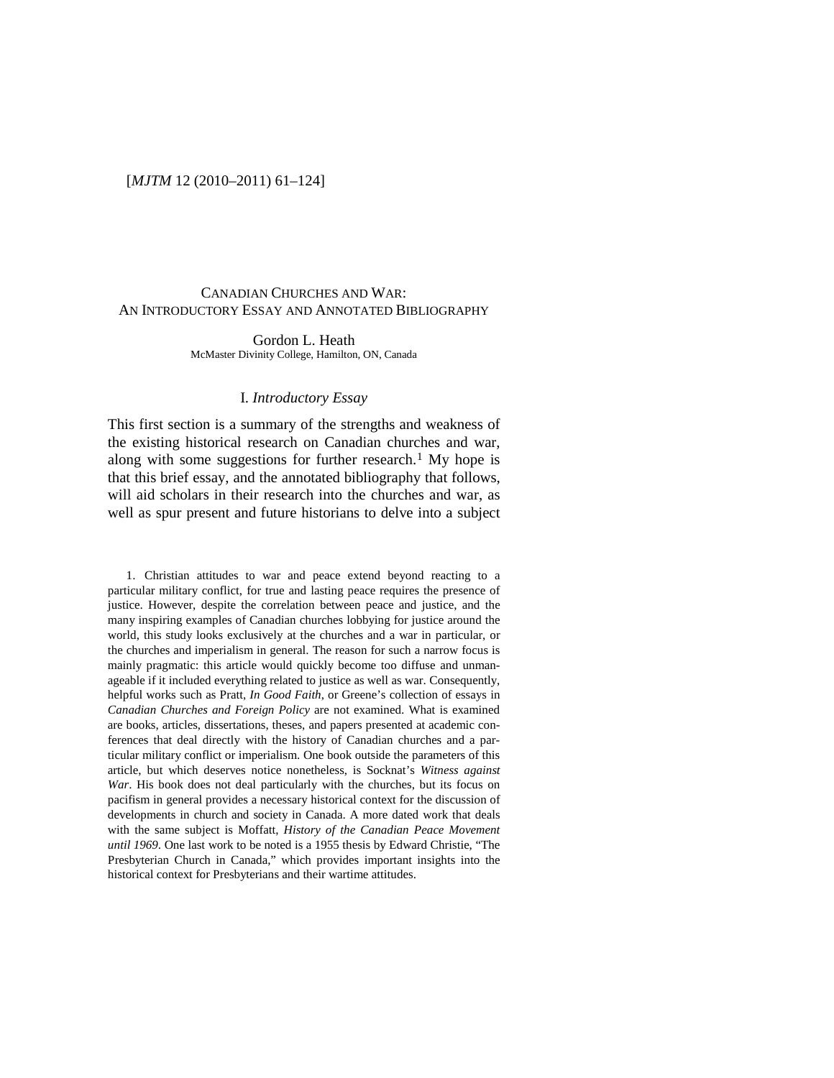#### [*MJTM* 12 (2010–2011) 61–124]

# CANADIAN CHURCHES AND WAR: AN INTRODUCTORY ESSAY AND ANNOTATED BIBLIOGRAPHY

Gordon L. Heath McMaster Divinity College, Hamilton, ON, Canada

#### I. *Introductory Essay*

This first section is a summary of the strengths and weakness of the existing historical research on Canadian churches and war, along with some suggestions for further research.<sup>[1](#page-0-0)</sup> My hope is that this brief essay, and the annotated bibliography that follows, will aid scholars in their research into the churches and war, as well as spur present and future historians to delve into a subject

<span id="page-0-0"></span>1. Christian attitudes to war and peace extend beyond reacting to a particular military conflict, for true and lasting peace requires the presence of justice. However, despite the correlation between peace and justice, and the many inspiring examples of Canadian churches lobbying for justice around the world, this study looks exclusively at the churches and a war in particular, or the churches and imperialism in general. The reason for such a narrow focus is mainly pragmatic: this article would quickly become too diffuse and unmanageable if it included everything related to justice as well as war. Consequently, helpful works such as Pratt, *In Good Faith*, or Greene's collection of essays in *Canadian Churches and Foreign Policy* are not examined. What is examined are books, articles, dissertations, theses, and papers presented at academic conferences that deal directly with the history of Canadian churches and a particular military conflict or imperialism. One book outside the parameters of this article, but which deserves notice nonetheless, is Socknat's *Witness against War*. His book does not deal particularly with the churches, but its focus on pacifism in general provides a necessary historical context for the discussion of developments in church and society in Canada. A more dated work that deals with the same subject is Moffatt, *History of the Canadian Peace Movement until 1969*. One last work to be noted is a 1955 thesis by Edward Christie, "The Presbyterian Church in Canada," which provides important insights into the historical context for Presbyterians and their wartime attitudes.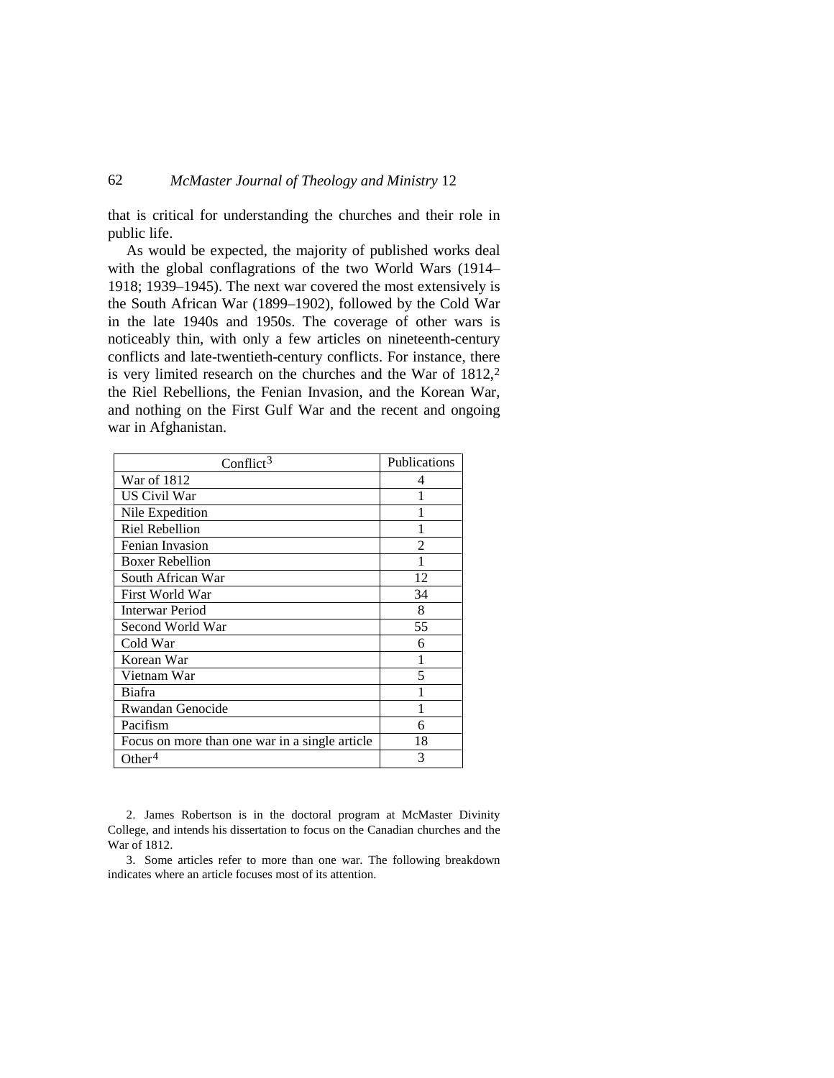that is critical for understanding the churches and their role in public life.

As would be expected, the majority of published works deal with the global conflagrations of the two World Wars (1914– 1918; 1939–1945). The next war covered the most extensively is the South African War (1899–1902), followed by the Cold War in the late 1940s and 1950s. The coverage of other wars is noticeably thin, with only a few articles on nineteenth-century conflicts and late-twentieth-century conflicts. For instance, there is very limited research on the churches and the War of  $1812$  $1812$ ,<sup>2</sup> the Riel Rebellions, the Fenian Invasion, and the Korean War, and nothing on the First Gulf War and the recent and ongoing war in Afghanistan.

| Conflict <sup>3</sup>                          | Publications   |
|------------------------------------------------|----------------|
| War of 1812                                    | 4              |
| US Civil War                                   |                |
| Nile Expedition                                |                |
| <b>Riel Rebellion</b>                          |                |
| Fenian Invasion                                | $\mathfrak{D}$ |
| <b>Boxer Rebellion</b>                         |                |
| South African War                              | 12             |
| First World War                                | 34             |
| <b>Interwar Period</b>                         | 8              |
| Second World War                               | 55             |
| Cold War                                       | 6              |
| Korean War                                     | 1              |
| Vietnam War                                    | 5              |
| Biafra                                         |                |
| Rwandan Genocide                               |                |
| Pacifism                                       | 6              |
| Focus on more than one war in a single article | 18             |
| Other <sup>4</sup>                             | 3              |

<span id="page-1-2"></span><span id="page-1-0"></span>2. James Robertson is in the doctoral program at McMaster Divinity College, and intends his dissertation to focus on the Canadian churches and the War of 1812.

<span id="page-1-1"></span>3. Some articles refer to more than one war. The following breakdown indicates where an article focuses most of its attention.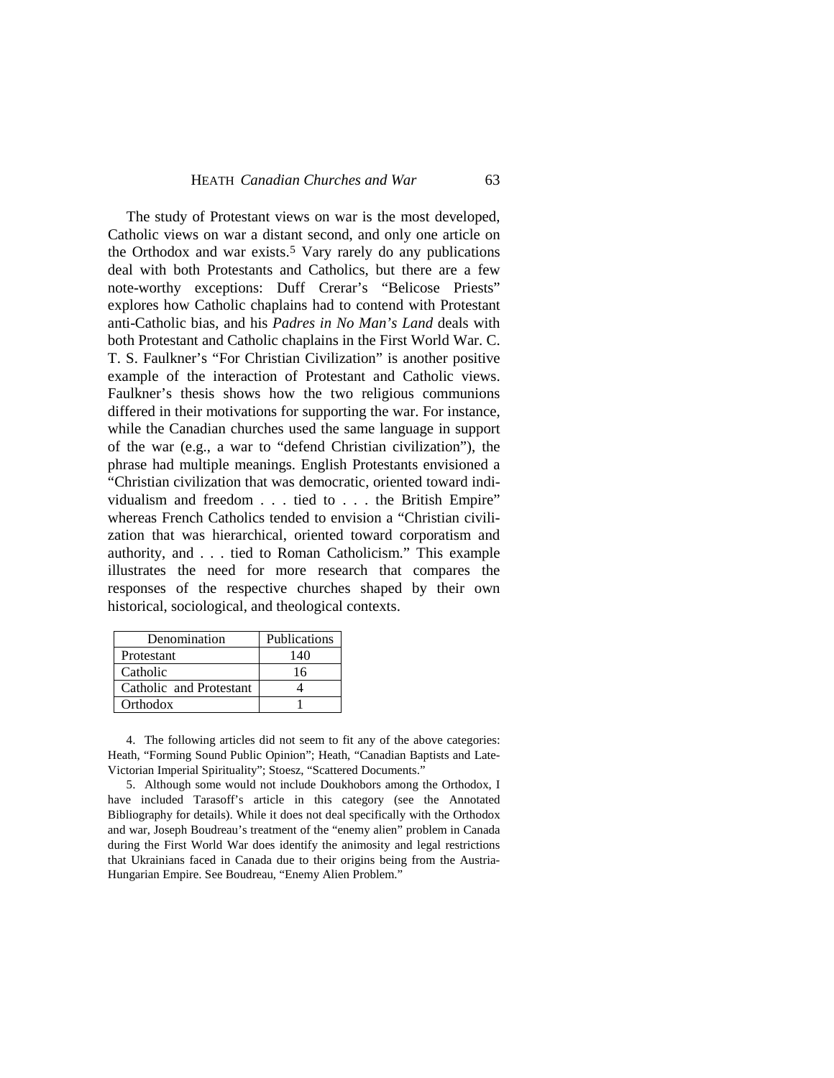The study of Protestant views on war is the most developed, Catholic views on war a distant second, and only one article on the Orthodox and war exists.<sup>[5](#page-2-0)</sup> Vary rarely do any publications deal with both Protestants and Catholics, but there are a few note-worthy exceptions: Duff Crerar's "Belicose Priests" explores how Catholic chaplains had to contend with Protestant anti-Catholic bias, and his *Padres in No Man's Land* deals with both Protestant and Catholic chaplains in the First World War. C. T. S. Faulkner's "For Christian Civilization" is another positive example of the interaction of Protestant and Catholic views. Faulkner's thesis shows how the two religious communions differed in their motivations for supporting the war. For instance, while the Canadian churches used the same language in support of the war (e.g., a war to "defend Christian civilization"), the phrase had multiple meanings. English Protestants envisioned a "Christian civilization that was democratic, oriented toward individualism and freedom . . . tied to . . . the British Empire" whereas French Catholics tended to envision a "Christian civilization that was hierarchical, oriented toward corporatism and authority, and . . . tied to Roman Catholicism." This example illustrates the need for more research that compares the responses of the respective churches shaped by their own historical, sociological, and theological contexts.

| Denomination            | Publications |
|-------------------------|--------------|
| Protestant              | 140          |
| Catholic                | 16           |
| Catholic and Protestant |              |
| Orthodox                |              |

4. The following articles did not seem to fit any of the above categories: Heath, "Forming Sound Public Opinion"; Heath, "Canadian Baptists and Late-Victorian Imperial Spirituality"; Stoesz, "Scattered Documents."

<span id="page-2-0"></span>5. Although some would not include Doukhobors among the Orthodox, I have included Tarasoff's article in this category (see the Annotated Bibliography for details). While it does not deal specifically with the Orthodox and war, Joseph Boudreau's treatment of the "enemy alien" problem in Canada during the First World War does identify the animosity and legal restrictions that Ukrainians faced in Canada due to their origins being from the Austria-Hungarian Empire. See Boudreau, "Enemy Alien Problem."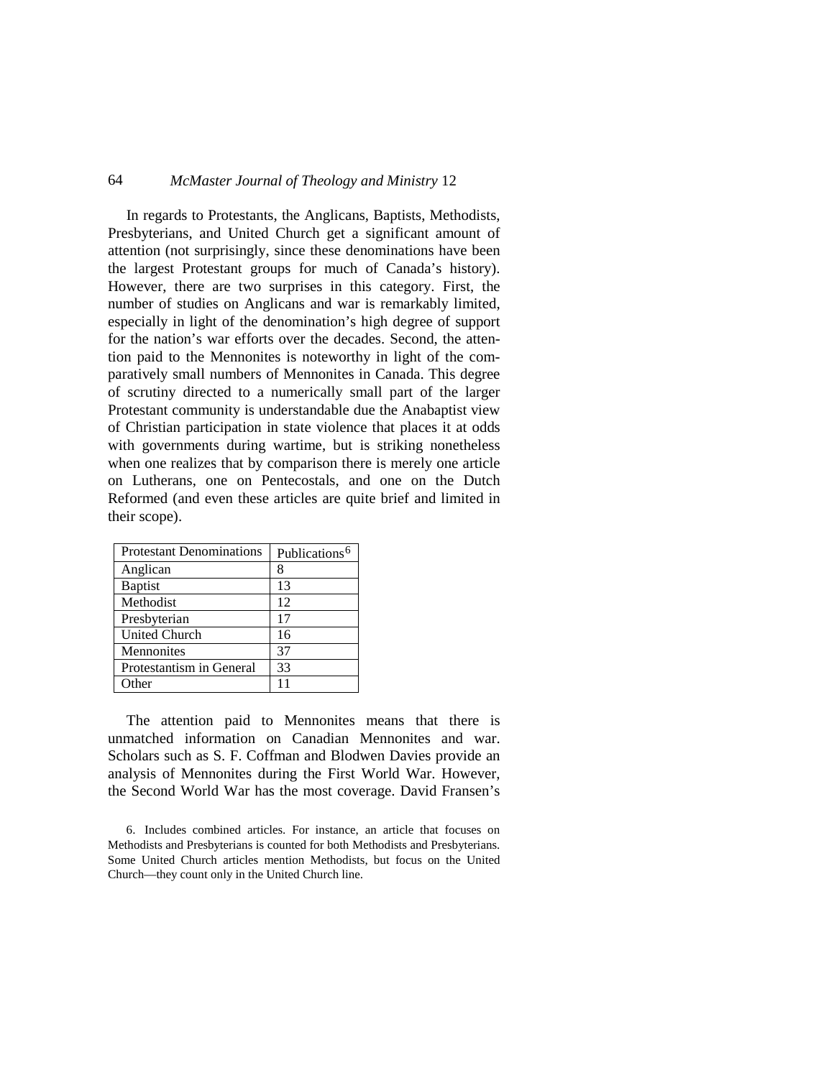In regards to Protestants, the Anglicans, Baptists, Methodists, Presbyterians, and United Church get a significant amount of attention (not surprisingly, since these denominations have been the largest Protestant groups for much of Canada's history). However, there are two surprises in this category. First, the number of studies on Anglicans and war is remarkably limited, especially in light of the denomination's high degree of support for the nation's war efforts over the decades. Second, the attention paid to the Mennonites is noteworthy in light of the comparatively small numbers of Mennonites in Canada. This degree of scrutiny directed to a numerically small part of the larger Protestant community is understandable due the Anabaptist view of Christian participation in state violence that places it at odds with governments during wartime, but is striking nonetheless when one realizes that by comparison there is merely one article on Lutherans, one on Pentecostals, and one on the Dutch Reformed (and even these articles are quite brief and limited in their scope).

| <b>Protestant Denominations</b> | Publications <sup>6</sup> |
|---------------------------------|---------------------------|
| Anglican                        |                           |
| <b>Baptist</b>                  | 13                        |
| Methodist                       | 12                        |
| Presbyterian                    | 17                        |
| <b>United Church</b>            | 16                        |
| Mennonites                      | 37                        |
| Protestantism in General        | 33                        |
| Other                           |                           |

The attention paid to Mennonites means that there is unmatched information on Canadian Mennonites and war. Scholars such as S. F. Coffman and Blodwen Davies provide an analysis of Mennonites during the First World War. However, the Second World War has the most coverage. David Fransen's

<span id="page-3-0"></span><sup>6.</sup> Includes combined articles. For instance, an article that focuses on Methodists and Presbyterians is counted for both Methodists and Presbyterians. Some United Church articles mention Methodists, but focus on the United Church—they count only in the United Church line.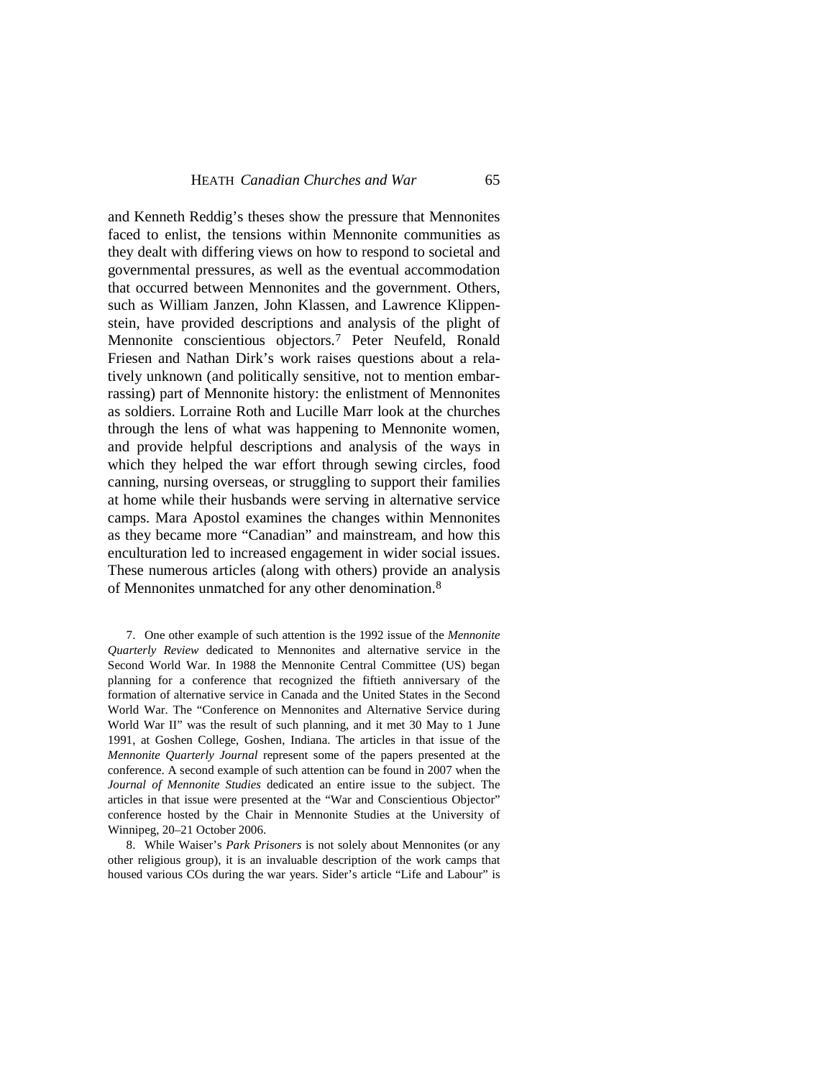and Kenneth Reddig's theses show the pressure that Mennonites faced to enlist, the tensions within Mennonite communities as they dealt with differing views on how to respond to societal and governmental pressures, as well as the eventual accommodation that occurred between Mennonites and the government. Others, such as William Janzen, John Klassen, and Lawrence Klippenstein, have provided descriptions and analysis of the plight of Mennonite conscientious objectors[.7](#page-4-0) Peter Neufeld, Ronald Friesen and Nathan Dirk's work raises questions about a relatively unknown (and politically sensitive, not to mention embarrassing) part of Mennonite history: the enlistment of Mennonites as soldiers. Lorraine Roth and Lucille Marr look at the churches through the lens of what was happening to Mennonite women, and provide helpful descriptions and analysis of the ways in which they helped the war effort through sewing circles, food canning, nursing overseas, or struggling to support their families at home while their husbands were serving in alternative service camps. Mara Apostol examines the changes within Mennonites as they became more "Canadian" and mainstream, and how this enculturation led to increased engagement in wider social issues. These numerous articles (along with others) provide an analysis of Mennonites unmatched for any other denomination.[8](#page-4-1)

<span id="page-4-0"></span>7. One other example of such attention is the 1992 issue of the *Mennonite Quarterly Review* dedicated to Mennonites and alternative service in the Second World War. In 1988 the Mennonite Central Committee (US) began planning for a conference that recognized the fiftieth anniversary of the formation of alternative service in Canada and the United States in the Second World War. The "Conference on Mennonites and Alternative Service during World War II" was the result of such planning, and it met 30 May to 1 June 1991, at Goshen College, Goshen, Indiana. The articles in that issue of the *Mennonite Quarterly Journal* represent some of the papers presented at the conference. A second example of such attention can be found in 2007 when the *Journal of Mennonite Studies* dedicated an entire issue to the subject. The articles in that issue were presented at the "War and Conscientious Objector" conference hosted by the Chair in Mennonite Studies at the University of Winnipeg, 20–21 October 2006.

<span id="page-4-1"></span>8. While Waiser's *Park Prisoners* is not solely about Mennonites (or any other religious group), it is an invaluable description of the work camps that housed various COs during the war years. Sider's article "Life and Labour" is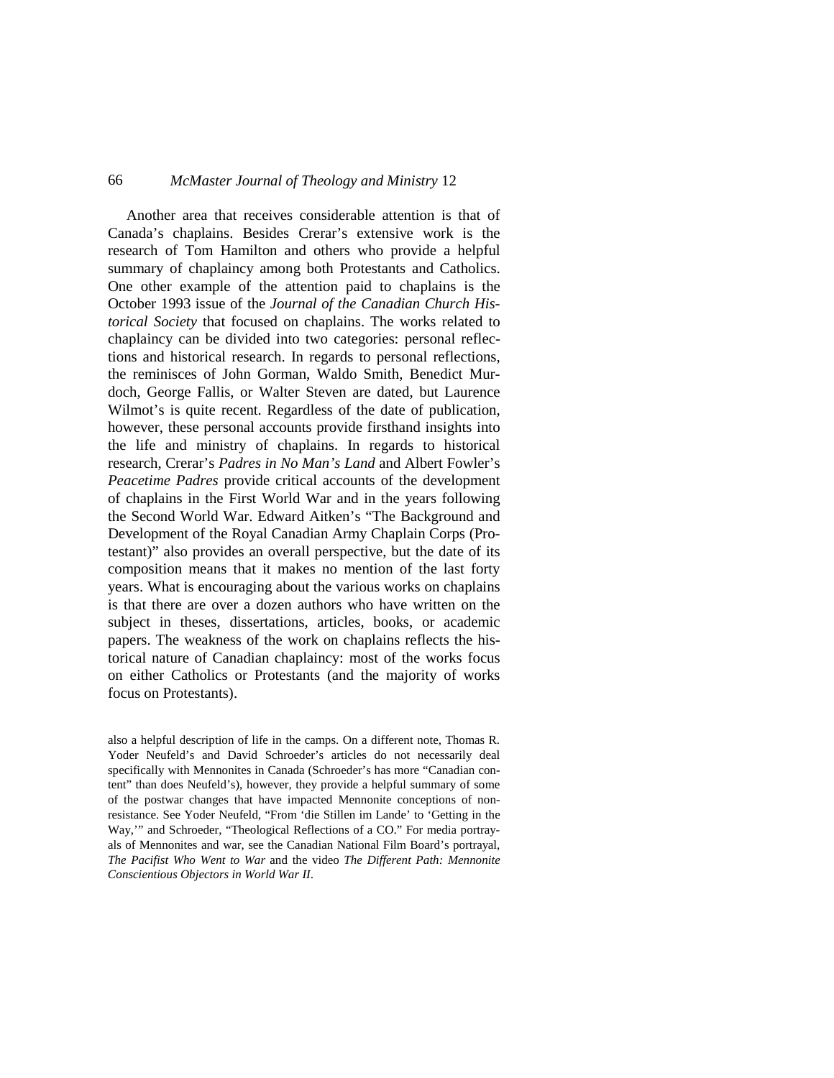Another area that receives considerable attention is that of Canada's chaplains. Besides Crerar's extensive work is the research of Tom Hamilton and others who provide a helpful summary of chaplaincy among both Protestants and Catholics. One other example of the attention paid to chaplains is the October 1993 issue of the *Journal of the Canadian Church Historical Society* that focused on chaplains. The works related to chaplaincy can be divided into two categories: personal reflections and historical research. In regards to personal reflections, the reminisces of John Gorman, Waldo Smith, Benedict Murdoch, George Fallis, or Walter Steven are dated, but Laurence Wilmot's is quite recent. Regardless of the date of publication, however, these personal accounts provide firsthand insights into the life and ministry of chaplains. In regards to historical research, Crerar's *Padres in No Man's Land* and Albert Fowler's *Peacetime Padres* provide critical accounts of the development of chaplains in the First World War and in the years following the Second World War. Edward Aitken's "The Background and Development of the Royal Canadian Army Chaplain Corps (Protestant)" also provides an overall perspective, but the date of its composition means that it makes no mention of the last forty years. What is encouraging about the various works on chaplains is that there are over a dozen authors who have written on the subject in theses, dissertations, articles, books, or academic papers. The weakness of the work on chaplains reflects the historical nature of Canadian chaplaincy: most of the works focus on either Catholics or Protestants (and the majority of works focus on Protestants).

also a helpful description of life in the camps. On a different note, Thomas R. Yoder Neufeld's and David Schroeder's articles do not necessarily deal specifically with Mennonites in Canada (Schroeder's has more "Canadian content" than does Neufeld's), however, they provide a helpful summary of some of the postwar changes that have impacted Mennonite conceptions of nonresistance. See Yoder Neufeld, "From 'die Stillen im Lande' to 'Getting in the Way,'" and Schroeder, "Theological Reflections of a CO." For media portrayals of Mennonites and war, see the Canadian National Film Board's portrayal, *The Pacifist Who Went to War* and the video *The Different Path: Mennonite Conscientious Objectors in World War II*.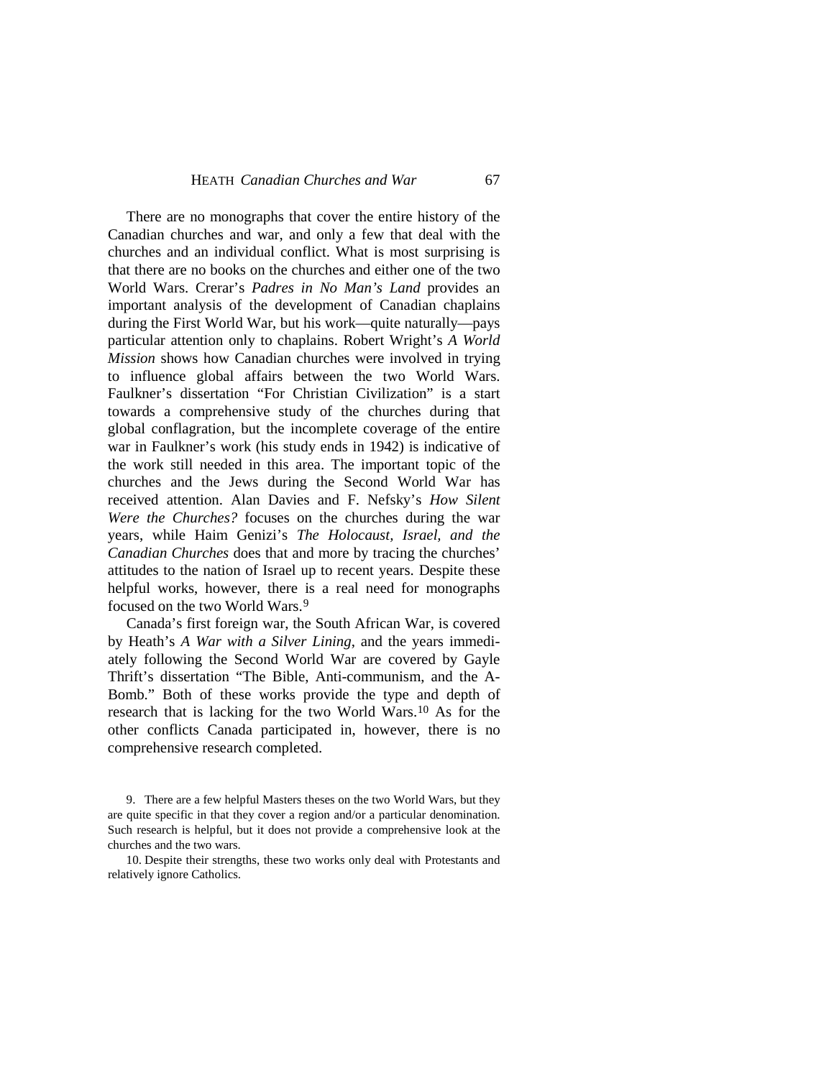There are no monographs that cover the entire history of the Canadian churches and war, and only a few that deal with the churches and an individual conflict. What is most surprising is that there are no books on the churches and either one of the two World Wars. Crerar's *Padres in No Man's Land* provides an important analysis of the development of Canadian chaplains during the First World War, but his work—quite naturally—pays particular attention only to chaplains. Robert Wright's *A World Mission* shows how Canadian churches were involved in trying to influence global affairs between the two World Wars. Faulkner's dissertation "For Christian Civilization" is a start towards a comprehensive study of the churches during that global conflagration, but the incomplete coverage of the entire war in Faulkner's work (his study ends in 1942) is indicative of the work still needed in this area. The important topic of the churches and the Jews during the Second World War has received attention. Alan Davies and F. Nefsky's *How Silent Were the Churches?* focuses on the churches during the war years, while Haim Genizi's *The Holocaust, Israel, and the Canadian Churches* does that and more by tracing the churches' attitudes to the nation of Israel up to recent years. Despite these helpful works, however, there is a real need for monographs focused on the two World Wars.[9](#page-6-0)

Canada's first foreign war, the South African War, is covered by Heath's *A War with a Silver Lining*, and the years immediately following the Second World War are covered by Gayle Thrift's dissertation "The Bible, Anti-communism, and the A-Bomb." Both of these works provide the type and depth of research that is lacking for the two World Wars.[10](#page-6-1) As for the other conflicts Canada participated in, however, there is no comprehensive research completed.

<span id="page-6-0"></span><sup>9.</sup> There are a few helpful Masters theses on the two World Wars, but they are quite specific in that they cover a region and/or a particular denomination. Such research is helpful, but it does not provide a comprehensive look at the churches and the two wars.

<span id="page-6-1"></span><sup>10.</sup> Despite their strengths, these two works only deal with Protestants and relatively ignore Catholics.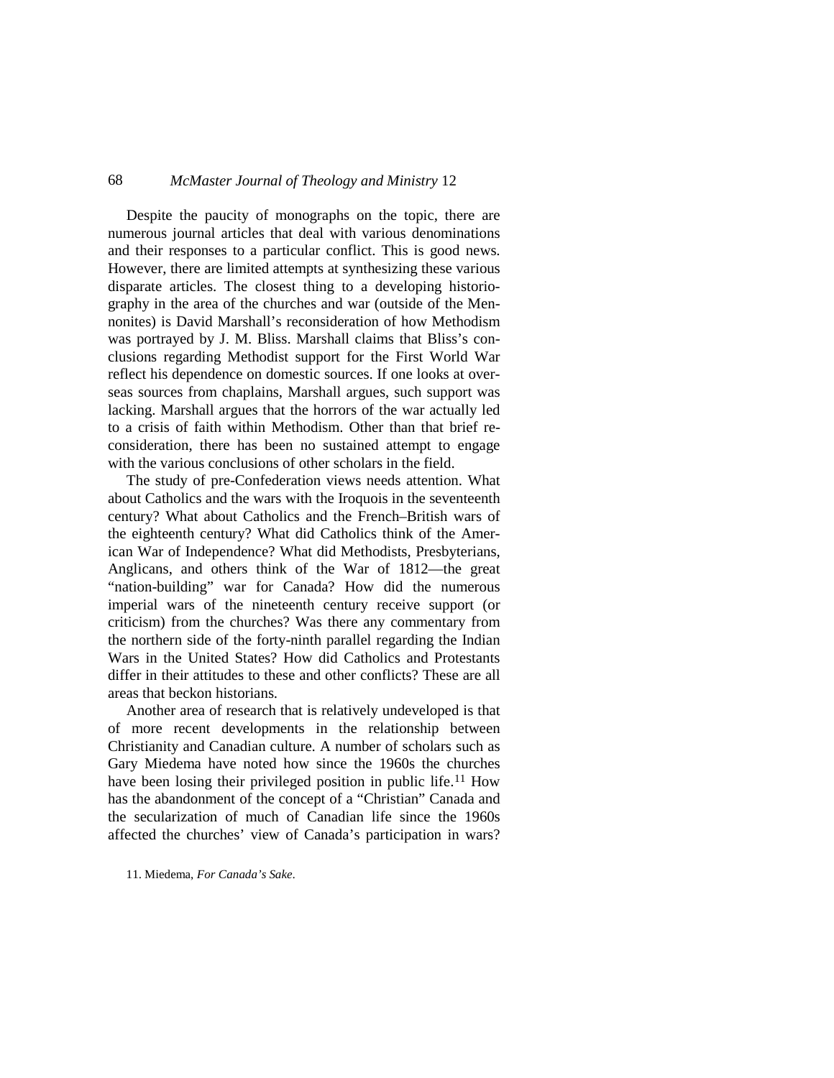Despite the paucity of monographs on the topic, there are numerous journal articles that deal with various denominations and their responses to a particular conflict. This is good news. However, there are limited attempts at synthesizing these various disparate articles. The closest thing to a developing historiography in the area of the churches and war (outside of the Mennonites) is David Marshall's reconsideration of how Methodism was portrayed by J. M. Bliss. Marshall claims that Bliss's conclusions regarding Methodist support for the First World War reflect his dependence on domestic sources. If one looks at overseas sources from chaplains, Marshall argues, such support was lacking. Marshall argues that the horrors of the war actually led to a crisis of faith within Methodism. Other than that brief reconsideration, there has been no sustained attempt to engage with the various conclusions of other scholars in the field.

The study of pre-Confederation views needs attention. What about Catholics and the wars with the Iroquois in the seventeenth century? What about Catholics and the French–British wars of the eighteenth century? What did Catholics think of the American War of Independence? What did Methodists, Presbyterians, Anglicans, and others think of the War of 1812—the great "nation-building" war for Canada? How did the numerous imperial wars of the nineteenth century receive support (or criticism) from the churches? Was there any commentary from the northern side of the forty-ninth parallel regarding the Indian Wars in the United States? How did Catholics and Protestants differ in their attitudes to these and other conflicts? These are all areas that beckon historians.

Another area of research that is relatively undeveloped is that of more recent developments in the relationship between Christianity and Canadian culture. A number of scholars such as Gary Miedema have noted how since the 1960s the churches have been losing their privileged position in public life.<sup>[11](#page-7-0)</sup> How has the abandonment of the concept of a "Christian" Canada and the secularization of much of Canadian life since the 1960s affected the churches' view of Canada's participation in wars?

<span id="page-7-0"></span>11. Miedema, *For Canada's Sake*.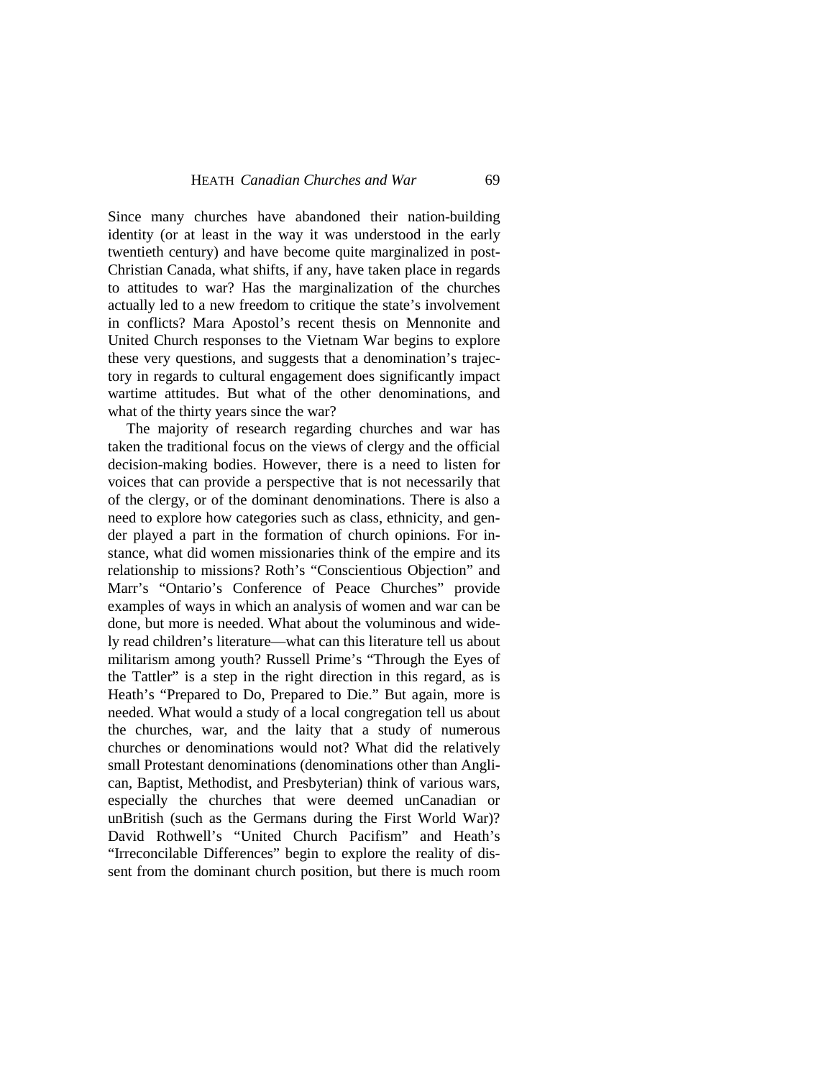Since many churches have abandoned their nation-building identity (or at least in the way it was understood in the early twentieth century) and have become quite marginalized in post-Christian Canada, what shifts, if any, have taken place in regards to attitudes to war? Has the marginalization of the churches actually led to a new freedom to critique the state's involvement in conflicts? Mara Apostol's recent thesis on Mennonite and United Church responses to the Vietnam War begins to explore these very questions, and suggests that a denomination's trajectory in regards to cultural engagement does significantly impact wartime attitudes. But what of the other denominations, and what of the thirty years since the war?

The majority of research regarding churches and war has taken the traditional focus on the views of clergy and the official decision-making bodies. However, there is a need to listen for voices that can provide a perspective that is not necessarily that of the clergy, or of the dominant denominations. There is also a need to explore how categories such as class, ethnicity, and gender played a part in the formation of church opinions. For instance, what did women missionaries think of the empire and its relationship to missions? Roth's "Conscientious Objection" and Marr's "Ontario's Conference of Peace Churches" provide examples of ways in which an analysis of women and war can be done, but more is needed. What about the voluminous and widely read children's literature—what can this literature tell us about militarism among youth? Russell Prime's "Through the Eyes of the Tattler" is a step in the right direction in this regard, as is Heath's "Prepared to Do, Prepared to Die." But again, more is needed. What would a study of a local congregation tell us about the churches, war, and the laity that a study of numerous churches or denominations would not? What did the relatively small Protestant denominations (denominations other than Anglican, Baptist, Methodist, and Presbyterian) think of various wars, especially the churches that were deemed unCanadian or unBritish (such as the Germans during the First World War)? David Rothwell's "United Church Pacifism" and Heath's "Irreconcilable Differences" begin to explore the reality of dissent from the dominant church position, but there is much room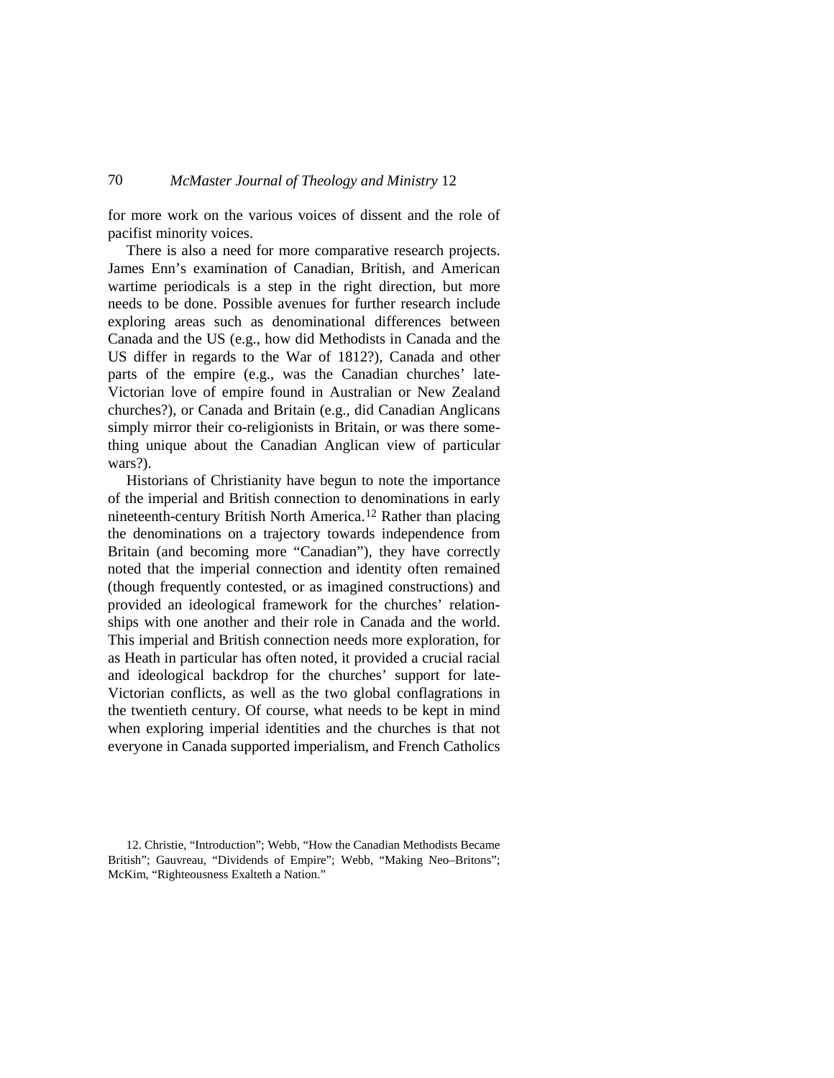for more work on the various voices of dissent and the role of pacifist minority voices.

There is also a need for more comparative research projects. James Enn's examination of Canadian, British, and American wartime periodicals is a step in the right direction, but more needs to be done. Possible avenues for further research include exploring areas such as denominational differences between Canada and the US (e.g., how did Methodists in Canada and the US differ in regards to the War of 1812?), Canada and other parts of the empire (e.g., was the Canadian churches' late-Victorian love of empire found in Australian or New Zealand churches?), or Canada and Britain (e.g., did Canadian Anglicans simply mirror their co-religionists in Britain, or was there something unique about the Canadian Anglican view of particular wars?).

Historians of Christianity have begun to note the importance of the imperial and British connection to denominations in early nineteenth-century British North America.<sup>[12](#page-9-0)</sup> Rather than placing the denominations on a trajectory towards independence from Britain (and becoming more "Canadian"), they have correctly noted that the imperial connection and identity often remained (though frequently contested, or as imagined constructions) and provided an ideological framework for the churches' relationships with one another and their role in Canada and the world. This imperial and British connection needs more exploration, for as Heath in particular has often noted, it provided a crucial racial and ideological backdrop for the churches' support for late-Victorian conflicts, as well as the two global conflagrations in the twentieth century. Of course, what needs to be kept in mind when exploring imperial identities and the churches is that not everyone in Canada supported imperialism, and French Catholics

<span id="page-9-0"></span><sup>12.</sup> Christie, "Introduction"; Webb, "How the Canadian Methodists Became British"; Gauvreau, "Dividends of Empire"; Webb, "Making Neo–Britons"; McKim, "Righteousness Exalteth a Nation."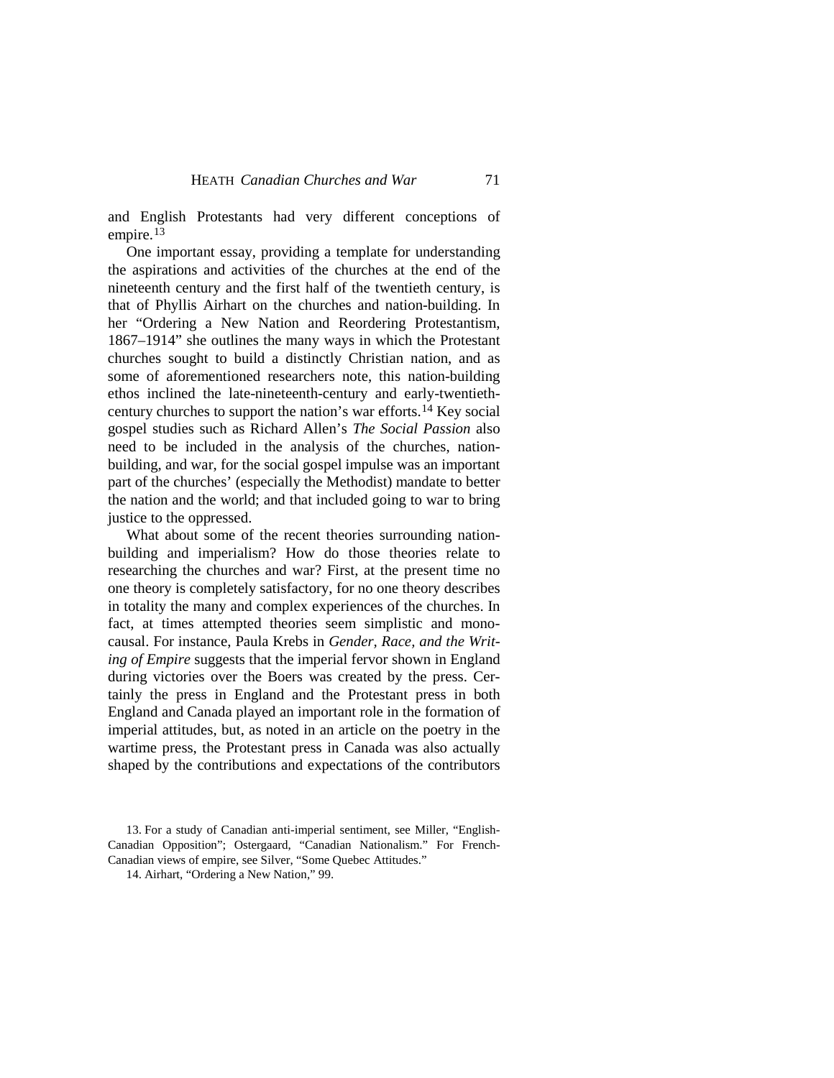and English Protestants had very different conceptions of empire.<sup>[13](#page-10-0)</sup>

One important essay, providing a template for understanding the aspirations and activities of the churches at the end of the nineteenth century and the first half of the twentieth century, is that of Phyllis Airhart on the churches and nation-building. In her "Ordering a New Nation and Reordering Protestantism, 1867–1914" she outlines the many ways in which the Protestant churches sought to build a distinctly Christian nation, and as some of aforementioned researchers note, this nation-building ethos inclined the late-nineteenth-century and early-twentiethcentury churches to support the nation's war efforts.[14](#page-10-1) Key social gospel studies such as Richard Allen's *The Social Passion* also need to be included in the analysis of the churches, nationbuilding, and war, for the social gospel impulse was an important part of the churches' (especially the Methodist) mandate to better the nation and the world; and that included going to war to bring justice to the oppressed.

What about some of the recent theories surrounding nationbuilding and imperialism? How do those theories relate to researching the churches and war? First, at the present time no one theory is completely satisfactory, for no one theory describes in totality the many and complex experiences of the churches. In fact, at times attempted theories seem simplistic and monocausal. For instance, Paula Krebs in *Gender, Race, and the Writing of Empire* suggests that the imperial fervor shown in England during victories over the Boers was created by the press. Certainly the press in England and the Protestant press in both England and Canada played an important role in the formation of imperial attitudes, but, as noted in an article on the poetry in the wartime press, the Protestant press in Canada was also actually shaped by the contributions and expectations of the contributors

<span id="page-10-1"></span><span id="page-10-0"></span><sup>13.</sup> For a study of Canadian anti-imperial sentiment, see Miller, "English-Canadian Opposition"; Ostergaard, "Canadian Nationalism." For French-Canadian views of empire, see Silver, "Some Quebec Attitudes."

<sup>14.</sup> Airhart, "Ordering a New Nation," 99.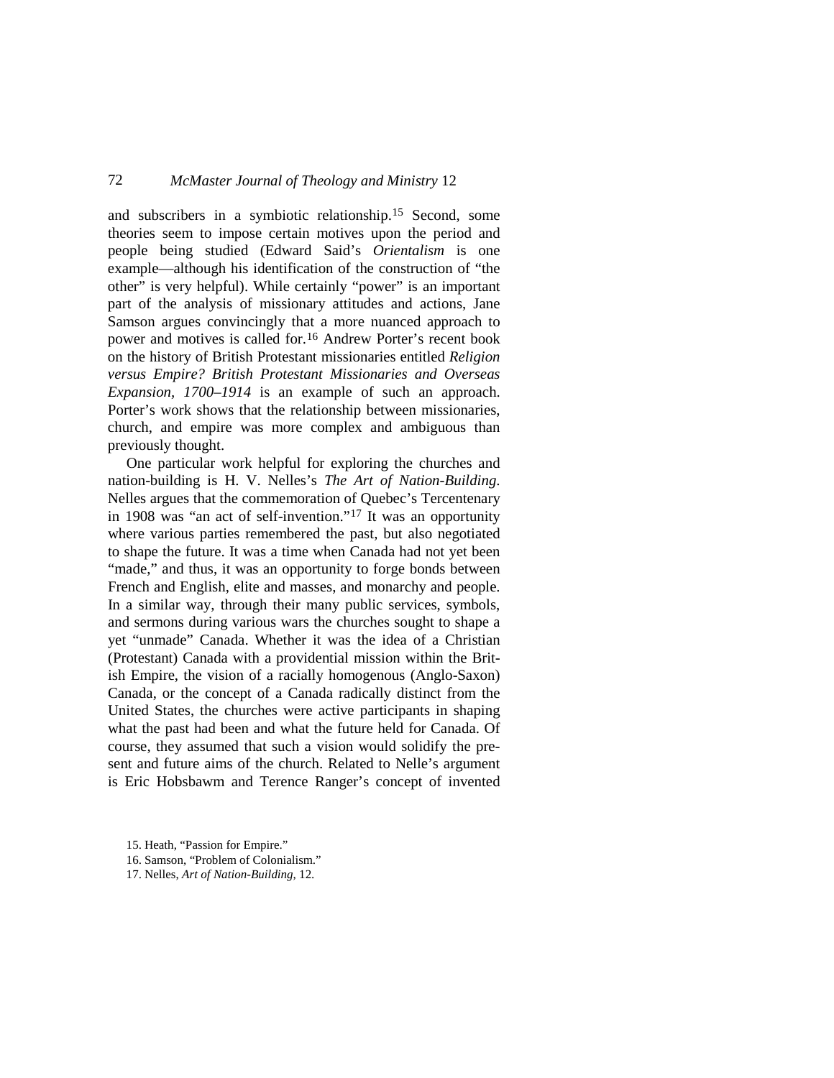and subscribers in a symbiotic relationship.[15](#page-11-0) Second, some theories seem to impose certain motives upon the period and people being studied (Edward Said's *Orientalism* is one example—although his identification of the construction of "the other" is very helpful). While certainly "power" is an important part of the analysis of missionary attitudes and actions, Jane Samson argues convincingly that a more nuanced approach to power and motives is called for[.16](#page-11-1) Andrew Porter's recent book on the history of British Protestant missionaries entitled *Religion versus Empire? British Protestant Missionaries and Overseas Expansion, 1700–1914* is an example of such an approach. Porter's work shows that the relationship between missionaries, church, and empire was more complex and ambiguous than previously thought.

One particular work helpful for exploring the churches and nation-building is H. V. Nelles's *The Art of Nation-Building*. Nelles argues that the commemoration of Quebec's Tercentenary in 1908 was "an act of self-invention." [17](#page-11-2) It was an opportunity where various parties remembered the past, but also negotiated to shape the future. It was a time when Canada had not yet been "made," and thus, it was an opportunity to forge bonds between French and English, elite and masses, and monarchy and people. In a similar way, through their many public services, symbols, and sermons during various wars the churches sought to shape a yet "unmade" Canada. Whether it was the idea of a Christian (Protestant) Canada with a providential mission within the British Empire, the vision of a racially homogenous (Anglo-Saxon) Canada, or the concept of a Canada radically distinct from the United States, the churches were active participants in shaping what the past had been and what the future held for Canada. Of course, they assumed that such a vision would solidify the present and future aims of the church. Related to Nelle's argument is Eric Hobsbawm and Terence Ranger's concept of invented

<span id="page-11-0"></span><sup>15.</sup> Heath, "Passion for Empire."

<span id="page-11-1"></span><sup>16.</sup> Samson, "Problem of Colonialism."

<span id="page-11-2"></span><sup>17.</sup> Nelles, *Art of Nation-Building*, 12.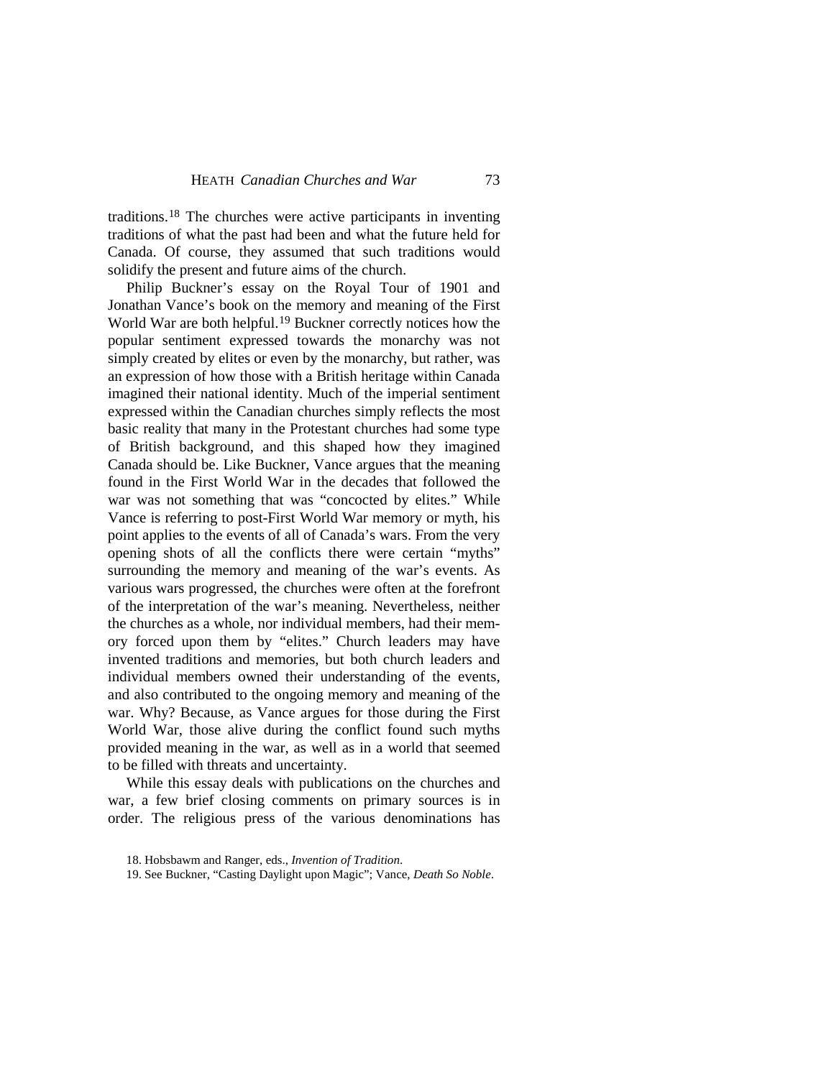traditions.[18](#page-12-0) The churches were active participants in inventing traditions of what the past had been and what the future held for Canada. Of course, they assumed that such traditions would solidify the present and future aims of the church.

Philip Buckner's essay on the Royal Tour of 1901 and Jonathan Vance's book on the memory and meaning of the First World War are both helpful. [19](#page-12-1) Buckner correctly notices how the popular sentiment expressed towards the monarchy was not simply created by elites or even by the monarchy, but rather, was an expression of how those with a British heritage within Canada imagined their national identity. Much of the imperial sentiment expressed within the Canadian churches simply reflects the most basic reality that many in the Protestant churches had some type of British background, and this shaped how they imagined Canada should be. Like Buckner, Vance argues that the meaning found in the First World War in the decades that followed the war was not something that was "concocted by elites." While Vance is referring to post-First World War memory or myth, his point applies to the events of all of Canada's wars. From the very opening shots of all the conflicts there were certain "myths" surrounding the memory and meaning of the war's events. As various wars progressed, the churches were often at the forefront of the interpretation of the war's meaning. Nevertheless, neither the churches as a whole, nor individual members, had their memory forced upon them by "elites." Church leaders may have invented traditions and memories, but both church leaders and individual members owned their understanding of the events, and also contributed to the ongoing memory and meaning of the war. Why? Because, as Vance argues for those during the First World War, those alive during the conflict found such myths provided meaning in the war, as well as in a world that seemed to be filled with threats and uncertainty.

While this essay deals with publications on the churches and war, a few brief closing comments on primary sources is in order. The religious press of the various denominations has

<span id="page-12-0"></span><sup>18.</sup> Hobsbawm and Ranger, eds., *Invention of Tradition*.

<span id="page-12-1"></span><sup>19.</sup> See Buckner, "Casting Daylight upon Magic"; Vance, *Death So Noble*.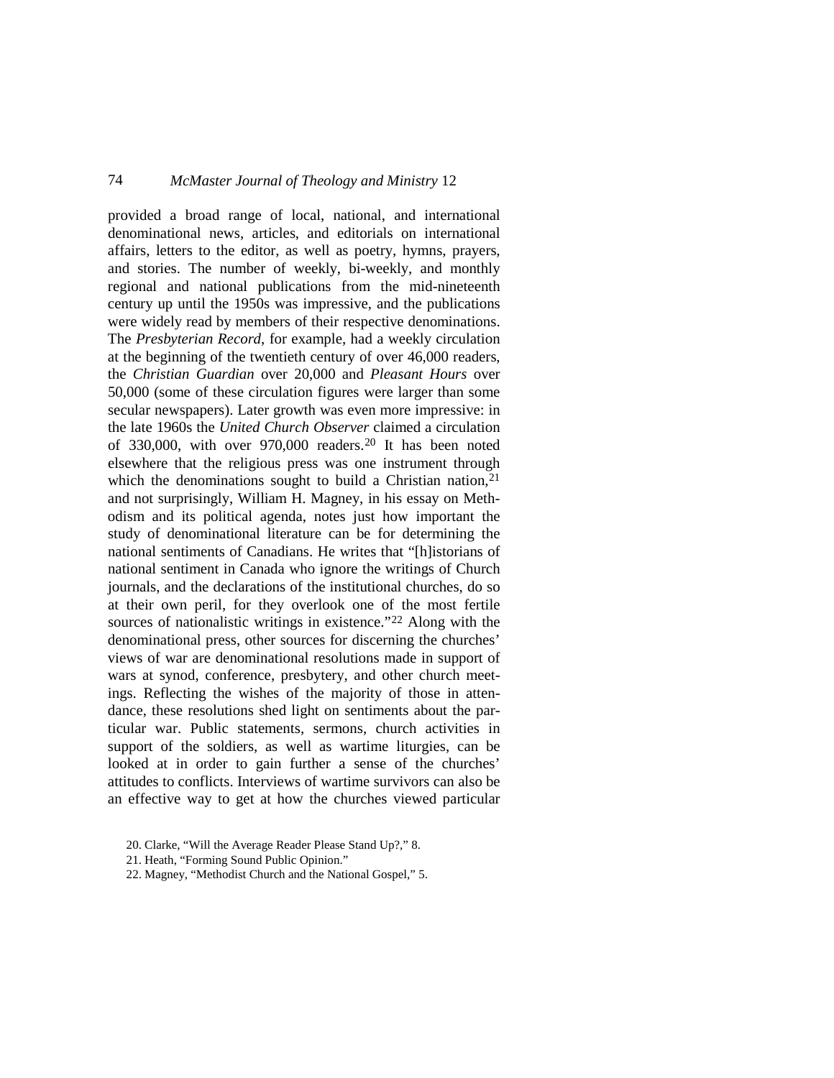provided a broad range of local, national, and international denominational news, articles, and editorials on international affairs, letters to the editor, as well as poetry, hymns, prayers, and stories. The number of weekly, bi-weekly, and monthly regional and national publications from the mid-nineteenth century up until the 1950s was impressive, and the publications were widely read by members of their respective denominations. The *Presbyterian Record*, for example, had a weekly circulation at the beginning of the twentieth century of over 46,000 readers, the *Christian Guardian* over 20,000 and *Pleasant Hours* over 50,000 (some of these circulation figures were larger than some secular newspapers). Later growth was even more impressive: in the late 1960s the *United Church Observer* claimed a circulation of 330,000, with over 970,000 readers.[20](#page-13-0) It has been noted elsewhere that the religious press was one instrument through which the denominations sought to build a Christian nation,  $2<sup>1</sup>$ and not surprisingly, William H. Magney, in his essay on Methodism and its political agenda, notes just how important the study of denominational literature can be for determining the national sentiments of Canadians. He writes that "[h]istorians of national sentiment in Canada who ignore the writings of Church journals, and the declarations of the institutional churches, do so at their own peril, for they overlook one of the most fertile sources of nationalistic writings in existence."<sup>[22](#page-13-2)</sup> Along with the denominational press, other sources for discerning the churches' views of war are denominational resolutions made in support of wars at synod, conference, presbytery, and other church meetings. Reflecting the wishes of the majority of those in attendance, these resolutions shed light on sentiments about the particular war. Public statements, sermons, church activities in support of the soldiers, as well as wartime liturgies, can be looked at in order to gain further a sense of the churches' attitudes to conflicts. Interviews of wartime survivors can also be an effective way to get at how the churches viewed particular

<span id="page-13-0"></span><sup>20.</sup> Clarke, "Will the Average Reader Please Stand Up?," 8.

<span id="page-13-1"></span><sup>21.</sup> Heath, "Forming Sound Public Opinion."

<span id="page-13-2"></span><sup>22.</sup> Magney, "Methodist Church and the National Gospel," 5.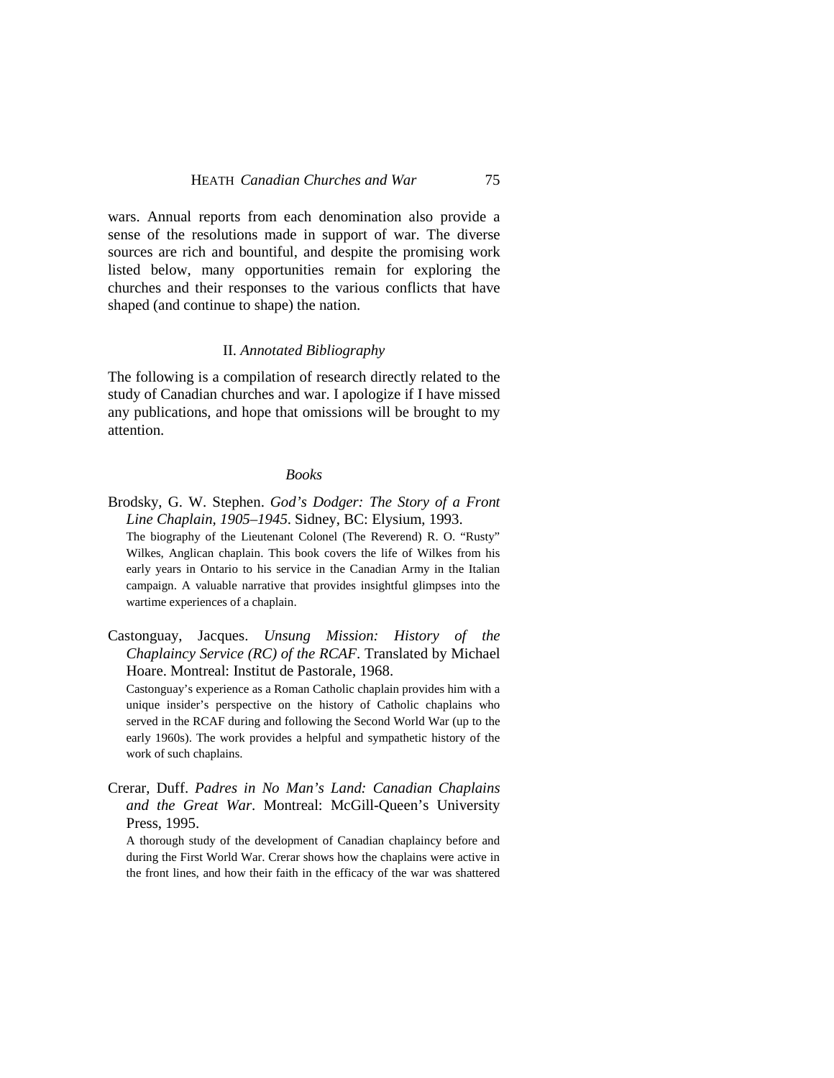wars. Annual reports from each denomination also provide a sense of the resolutions made in support of war. The diverse sources are rich and bountiful, and despite the promising work listed below, many opportunities remain for exploring the churches and their responses to the various conflicts that have shaped (and continue to shape) the nation.

#### II. *Annotated Bibliography*

The following is a compilation of research directly related to the study of Canadian churches and war. I apologize if I have missed any publications, and hope that omissions will be brought to my attention.

#### *Books*

- Brodsky, G. W. Stephen. *God's Dodger: The Story of a Front Line Chaplain, 1905–1945*. Sidney, BC: Elysium, 1993. The biography of the Lieutenant Colonel (The Reverend) R. O. "Rusty" Wilkes, Anglican chaplain. This book covers the life of Wilkes from his early years in Ontario to his service in the Canadian Army in the Italian campaign. A valuable narrative that provides insightful glimpses into the wartime experiences of a chaplain.
- Castonguay, Jacques. *Unsung Mission: History of the Chaplaincy Service (RC) of the RCAF*. Translated by Michael Hoare. Montreal: Institut de Pastorale, 1968.

Castonguay's experience as a Roman Catholic chaplain provides him with a unique insider's perspective on the history of Catholic chaplains who served in the RCAF during and following the Second World War (up to the early 1960s). The work provides a helpful and sympathetic history of the work of such chaplains.

Crerar, Duff. *Padres in No Man's Land: Canadian Chaplains and the Great War*. Montreal: McGill-Queen's University Press, 1995.

A thorough study of the development of Canadian chaplaincy before and during the First World War. Crerar shows how the chaplains were active in the front lines, and how their faith in the efficacy of the war was shattered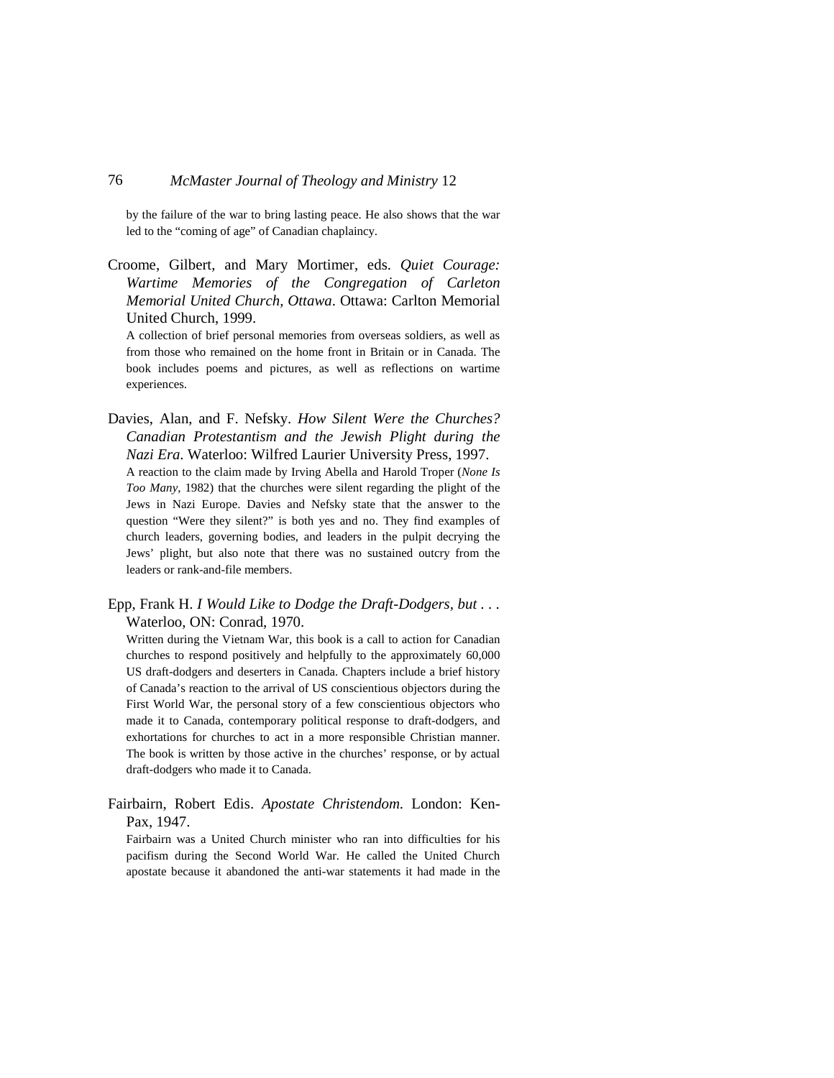by the failure of the war to bring lasting peace. He also shows that the war led to the "coming of age" of Canadian chaplaincy.

Croome, Gilbert, and Mary Mortimer, eds. *Quiet Courage: Wartime Memories of the Congregation of Carleton Memorial United Church, Ottawa*. Ottawa: Carlton Memorial United Church, 1999.

A collection of brief personal memories from overseas soldiers, as well as from those who remained on the home front in Britain or in Canada. The book includes poems and pictures, as well as reflections on wartime experiences.

- Davies, Alan, and F. Nefsky. *How Silent Were the Churches? Canadian Protestantism and the Jewish Plight during the Nazi Era*. Waterloo: Wilfred Laurier University Press, 1997. A reaction to the claim made by Irving Abella and Harold Troper (*None Is Too Many*, 1982) that the churches were silent regarding the plight of the Jews in Nazi Europe. Davies and Nefsky state that the answer to the question "Were they silent?" is both yes and no. They find examples of church leaders, governing bodies, and leaders in the pulpit decrying the Jews' plight, but also note that there was no sustained outcry from the leaders or rank-and-file members.
- Epp, Frank H. *I Would Like to Dodge the Draft-Dodgers, but . . .* Waterloo, ON: Conrad, 1970.

Written during the Vietnam War, this book is a call to action for Canadian churches to respond positively and helpfully to the approximately 60,000 US draft-dodgers and deserters in Canada. Chapters include a brief history of Canada's reaction to the arrival of US conscientious objectors during the First World War, the personal story of a few conscientious objectors who made it to Canada, contemporary political response to draft-dodgers, and exhortations for churches to act in a more responsible Christian manner. The book is written by those active in the churches' response, or by actual draft-dodgers who made it to Canada.

Fairbairn, Robert Edis. *Apostate Christendom*. London: Ken-Pax, 1947.

Fairbairn was a United Church minister who ran into difficulties for his pacifism during the Second World War. He called the United Church apostate because it abandoned the anti-war statements it had made in the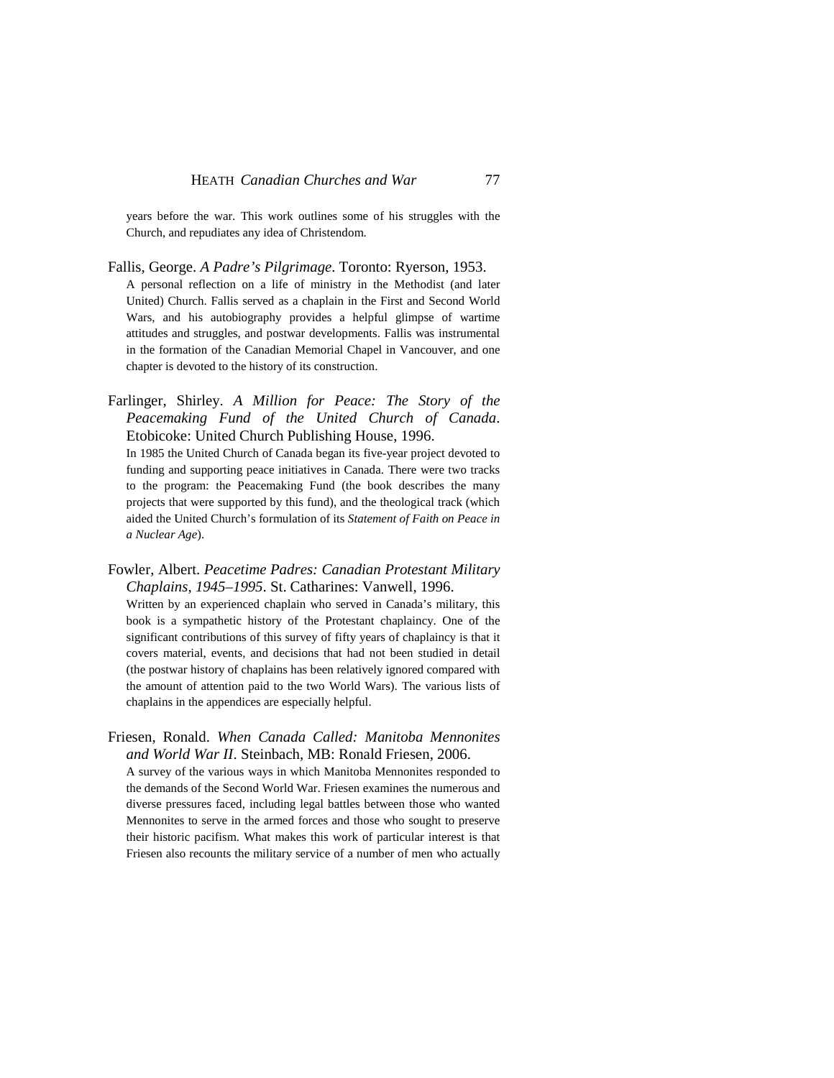years before the war. This work outlines some of his struggles with the Church, and repudiates any idea of Christendom.

- Fallis, George. *A Padre's Pilgrimage*. Toronto: Ryerson, 1953. A personal reflection on a life of ministry in the Methodist (and later United) Church. Fallis served as a chaplain in the First and Second World Wars, and his autobiography provides a helpful glimpse of wartime attitudes and struggles, and postwar developments. Fallis was instrumental in the formation of the Canadian Memorial Chapel in Vancouver, and one chapter is devoted to the history of its construction.
- Farlinger, Shirley. *A Million for Peace: The Story of the Peacemaking Fund of the United Church of Canada*. Etobicoke: United Church Publishing House, 1996.

In 1985 the United Church of Canada began its five-year project devoted to funding and supporting peace initiatives in Canada. There were two tracks to the program: the Peacemaking Fund (the book describes the many projects that were supported by this fund), and the theological track (which aided the United Church's formulation of its *Statement of Faith on Peace in a Nuclear Age*).

Fowler, Albert. *Peacetime Padres: Canadian Protestant Military Chaplains, 1945–1995*. St. Catharines: Vanwell, 1996.

Written by an experienced chaplain who served in Canada's military, this book is a sympathetic history of the Protestant chaplaincy. One of the significant contributions of this survey of fifty years of chaplaincy is that it covers material, events, and decisions that had not been studied in detail (the postwar history of chaplains has been relatively ignored compared with the amount of attention paid to the two World Wars). The various lists of chaplains in the appendices are especially helpful.

Friesen, Ronald. *When Canada Called: Manitoba Mennonites and World War II*. Steinbach, MB: Ronald Friesen, 2006.

A survey of the various ways in which Manitoba Mennonites responded to the demands of the Second World War. Friesen examines the numerous and diverse pressures faced, including legal battles between those who wanted Mennonites to serve in the armed forces and those who sought to preserve their historic pacifism. What makes this work of particular interest is that Friesen also recounts the military service of a number of men who actually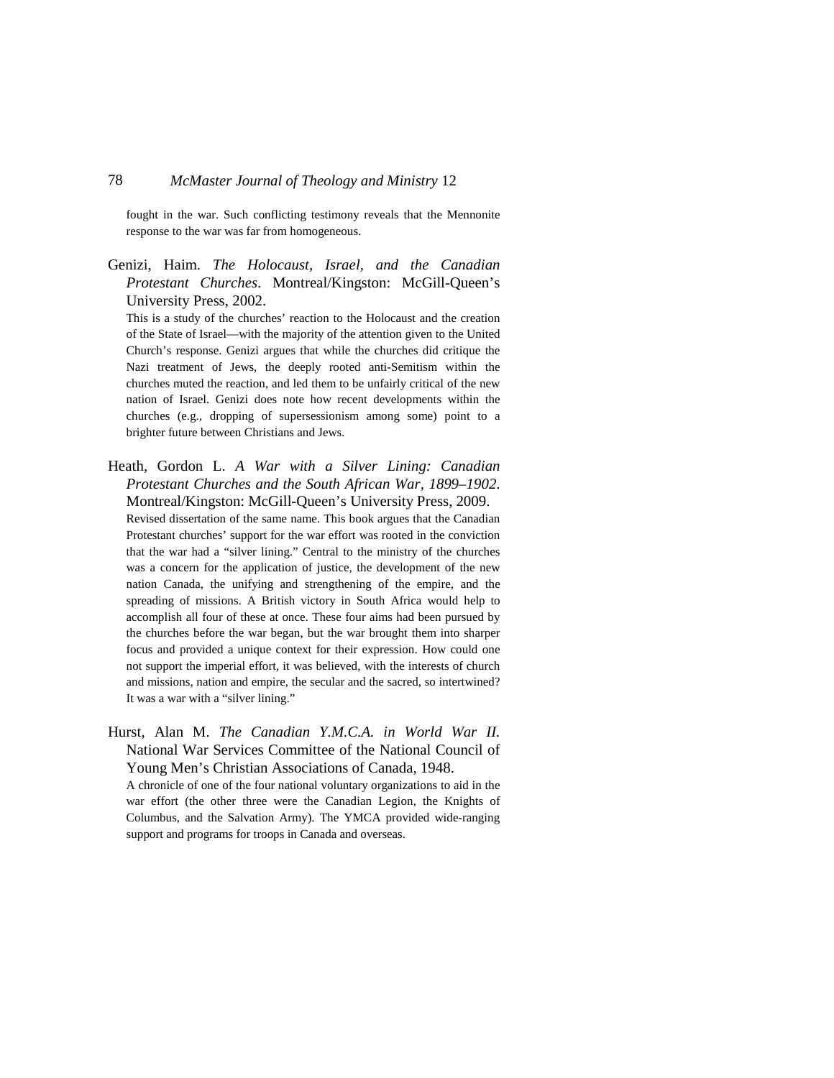fought in the war. Such conflicting testimony reveals that the Mennonite response to the war was far from homogeneous.

Genizi, Haim. *The Holocaust, Israel, and the Canadian Protestant Churches*. Montreal/Kingston: McGill-Queen's University Press, 2002.

This is a study of the churches' reaction to the Holocaust and the creation of the State of Israel—with the majority of the attention given to the United Church's response. Genizi argues that while the churches did critique the Nazi treatment of Jews, the deeply rooted anti-Semitism within the churches muted the reaction, and led them to be unfairly critical of the new nation of Israel. Genizi does note how recent developments within the churches (e.g., dropping of supersessionism among some) point to a brighter future between Christians and Jews.

Heath, Gordon L. *A War with a Silver Lining: Canadian Protestant Churches and the South African War, 1899–1902*. Montreal/Kingston: McGill-Queen's University Press, 2009. Revised dissertation of the same name. This book argues that the Canadian Protestant churches' support for the war effort was rooted in the conviction

that the war had a "silver lining." Central to the ministry of the churches was a concern for the application of justice, the development of the new nation Canada, the unifying and strengthening of the empire, and the spreading of missions. A British victory in South Africa would help to accomplish all four of these at once. These four aims had been pursued by the churches before the war began, but the war brought them into sharper focus and provided a unique context for their expression. How could one not support the imperial effort, it was believed, with the interests of church and missions, nation and empire, the secular and the sacred, so intertwined? It was a war with a "silver lining."

Hurst, Alan M. *The Canadian Y.M.C.A. in World War II.* National War Services Committee of the National Council of Young Men's Christian Associations of Canada, 1948.

A chronicle of one of the four national voluntary organizations to aid in the war effort (the other three were the Canadian Legion, the Knights of Columbus, and the Salvation Army). The YMCA provided wide-ranging support and programs for troops in Canada and overseas.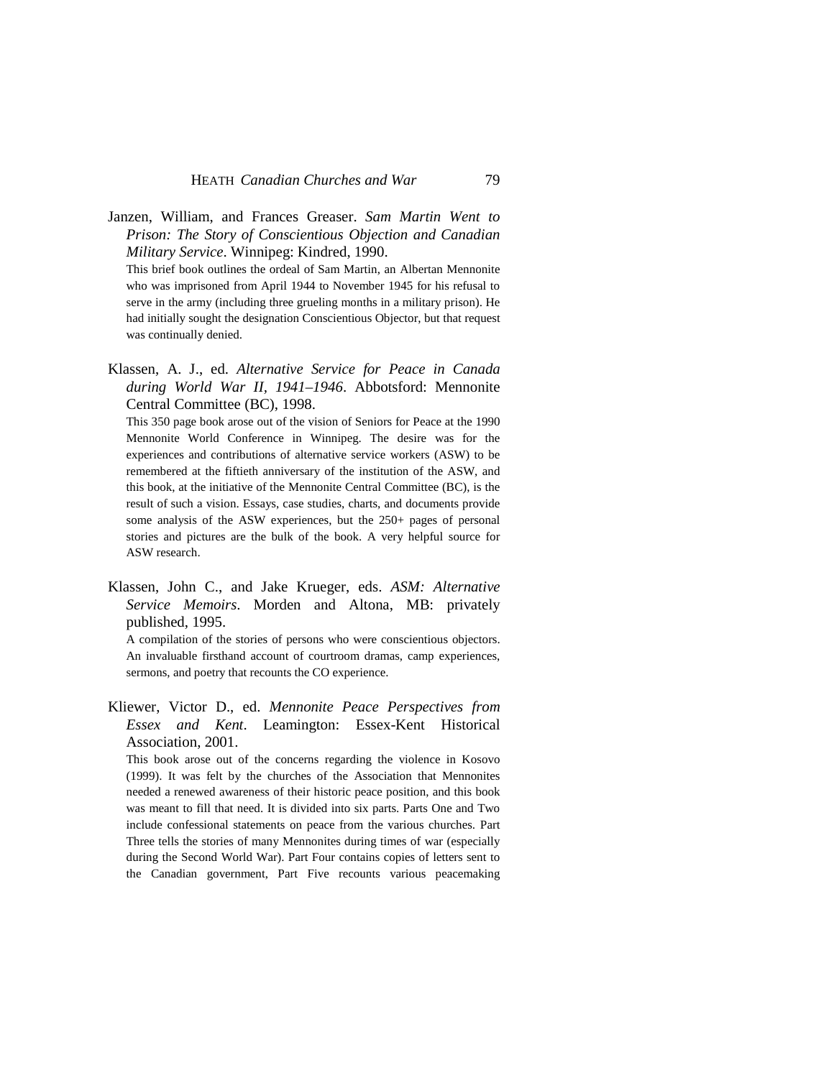Janzen, William, and Frances Greaser. *Sam Martin Went to Prison: The Story of Conscientious Objection and Canadian Military Service*. Winnipeg: Kindred, 1990.

This brief book outlines the ordeal of Sam Martin, an Albertan Mennonite who was imprisoned from April 1944 to November 1945 for his refusal to serve in the army (including three grueling months in a military prison). He had initially sought the designation Conscientious Objector, but that request was continually denied.

Klassen, A. J., ed. *Alternative Service for Peace in Canada during World War II, 1941–1946*. Abbotsford: Mennonite Central Committee (BC), 1998.

This 350 page book arose out of the vision of Seniors for Peace at the 1990 Mennonite World Conference in Winnipeg. The desire was for the experiences and contributions of alternative service workers (ASW) to be remembered at the fiftieth anniversary of the institution of the ASW, and this book, at the initiative of the Mennonite Central Committee (BC), is the result of such a vision. Essays, case studies, charts, and documents provide some analysis of the ASW experiences, but the 250+ pages of personal stories and pictures are the bulk of the book. A very helpful source for ASW research.

Klassen, John C., and Jake Krueger, eds. *ASM: Alternative Service Memoirs*. Morden and Altona, MB: privately published, 1995.

A compilation of the stories of persons who were conscientious objectors. An invaluable firsthand account of courtroom dramas, camp experiences, sermons, and poetry that recounts the CO experience.

Kliewer, Victor D., ed. *Mennonite Peace Perspectives from Essex and Kent*. Leamington: Essex-Kent Historical Association, 2001.

This book arose out of the concerns regarding the violence in Kosovo (1999). It was felt by the churches of the Association that Mennonites needed a renewed awareness of their historic peace position, and this book was meant to fill that need. It is divided into six parts. Parts One and Two include confessional statements on peace from the various churches. Part Three tells the stories of many Mennonites during times of war (especially during the Second World War). Part Four contains copies of letters sent to the Canadian government, Part Five recounts various peacemaking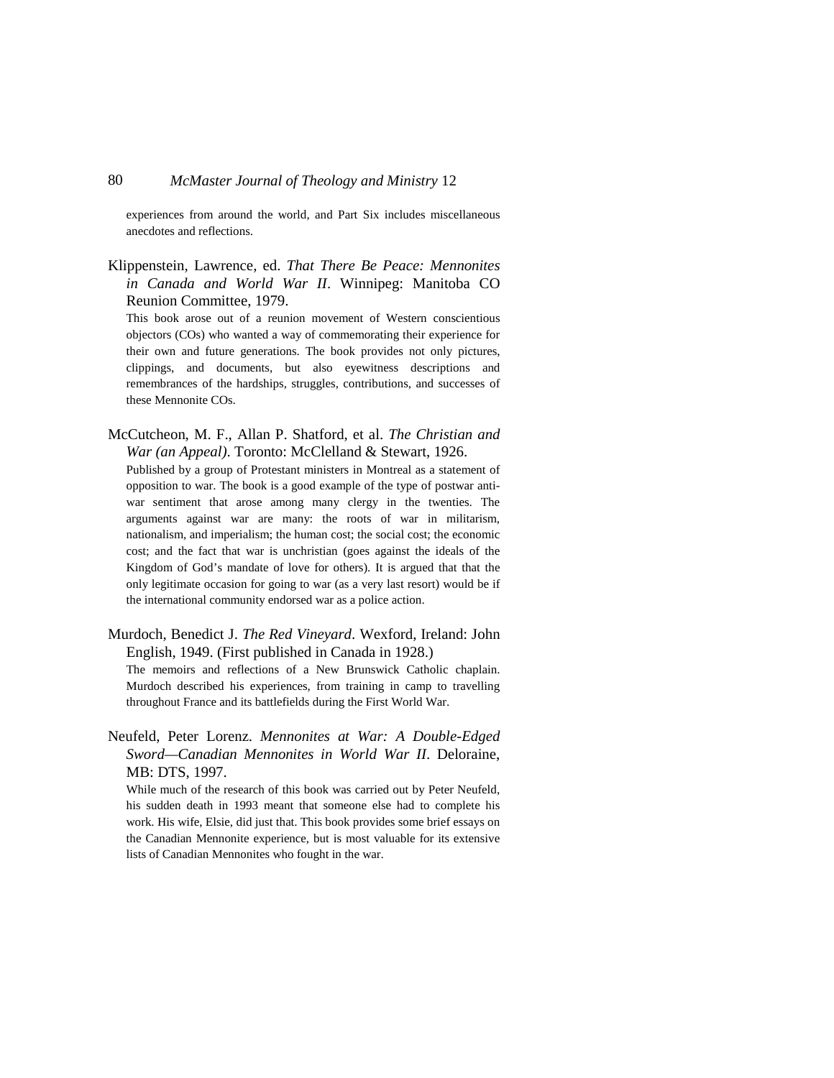experiences from around the world, and Part Six includes miscellaneous anecdotes and reflections.

Klippenstein, Lawrence, ed. *That There Be Peace: Mennonites in Canada and World War II*. Winnipeg: Manitoba CO Reunion Committee, 1979.

This book arose out of a reunion movement of Western conscientious objectors (COs) who wanted a way of commemorating their experience for their own and future generations. The book provides not only pictures, clippings, and documents, but also eyewitness descriptions and remembrances of the hardships, struggles, contributions, and successes of these Mennonite COs.

McCutcheon, M. F., Allan P. Shatford, et al. *The Christian and War (an Appeal)*. Toronto: McClelland & Stewart, 1926.

Published by a group of Protestant ministers in Montreal as a statement of opposition to war. The book is a good example of the type of postwar antiwar sentiment that arose among many clergy in the twenties. The arguments against war are many: the roots of war in militarism, nationalism, and imperialism; the human cost; the social cost; the economic cost; and the fact that war is unchristian (goes against the ideals of the Kingdom of God's mandate of love for others). It is argued that that the only legitimate occasion for going to war (as a very last resort) would be if the international community endorsed war as a police action.

- Murdoch, Benedict J. *The Red Vineyard*. Wexford, Ireland: John English, 1949. (First published in Canada in 1928.) The memoirs and reflections of a New Brunswick Catholic chaplain. Murdoch described his experiences, from training in camp to travelling throughout France and its battlefields during the First World War.
- Neufeld, Peter Lorenz. *Mennonites at War: A Double-Edged Sword—Canadian Mennonites in World War II*. Deloraine, MB: DTS, 1997.

While much of the research of this book was carried out by Peter Neufeld, his sudden death in 1993 meant that someone else had to complete his work. His wife, Elsie, did just that. This book provides some brief essays on the Canadian Mennonite experience, but is most valuable for its extensive lists of Canadian Mennonites who fought in the war.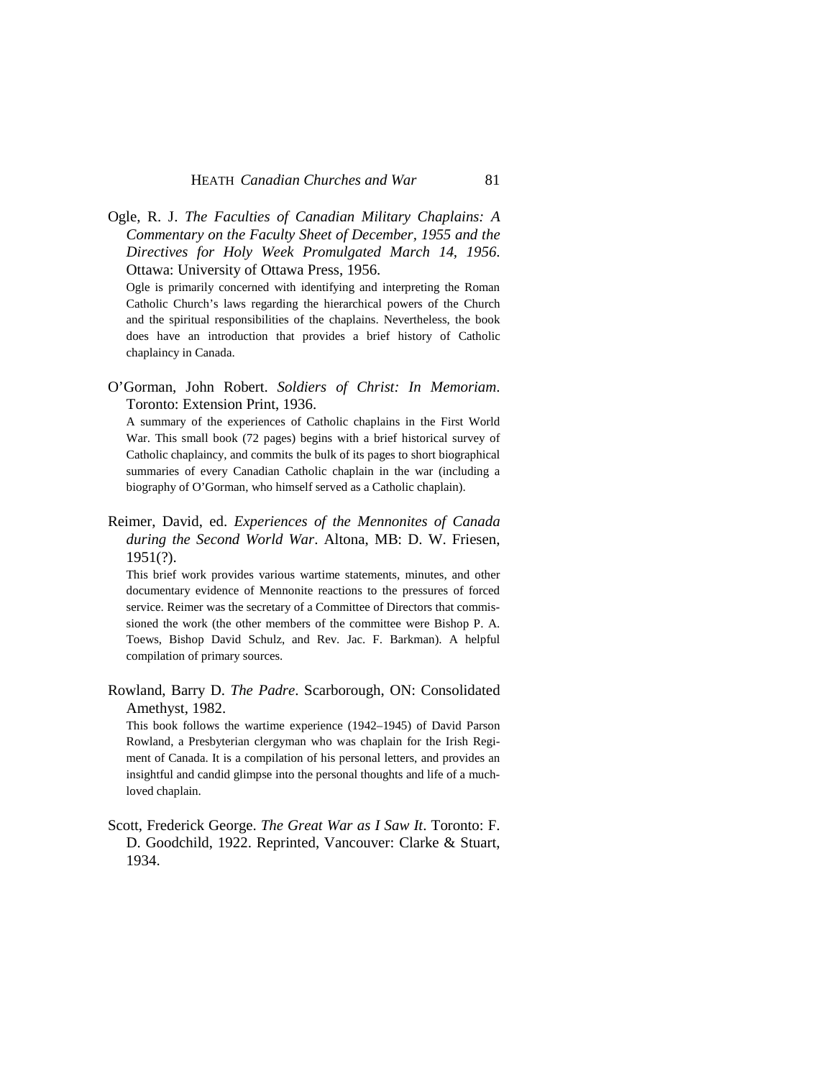Ogle, R. J. *The Faculties of Canadian Military Chaplains: A Commentary on the Faculty Sheet of December, 1955 and the Directives for Holy Week Promulgated March 14, 1956*. Ottawa: University of Ottawa Press, 1956.

Ogle is primarily concerned with identifying and interpreting the Roman Catholic Church's laws regarding the hierarchical powers of the Church and the spiritual responsibilities of the chaplains. Nevertheless, the book does have an introduction that provides a brief history of Catholic chaplaincy in Canada.

O'Gorman, John Robert. *Soldiers of Christ: In Memoriam*. Toronto: Extension Print, 1936.

A summary of the experiences of Catholic chaplains in the First World War. This small book (72 pages) begins with a brief historical survey of Catholic chaplaincy, and commits the bulk of its pages to short biographical summaries of every Canadian Catholic chaplain in the war (including a biography of O'Gorman, who himself served as a Catholic chaplain).

Reimer, David, ed. *Experiences of the Mennonites of Canada during the Second World War*. Altona, MB: D. W. Friesen, 1951(?).

This brief work provides various wartime statements, minutes, and other documentary evidence of Mennonite reactions to the pressures of forced service. Reimer was the secretary of a Committee of Directors that commissioned the work (the other members of the committee were Bishop P. A. Toews, Bishop David Schulz, and Rev. Jac. F. Barkman). A helpful compilation of primary sources.

Rowland, Barry D. *The Padre*. Scarborough, ON: Consolidated Amethyst, 1982.

This book follows the wartime experience (1942–1945) of David Parson Rowland, a Presbyterian clergyman who was chaplain for the Irish Regiment of Canada. It is a compilation of his personal letters, and provides an insightful and candid glimpse into the personal thoughts and life of a muchloved chaplain.

Scott, Frederick George. *The Great War as I Saw It*. Toronto: F. D. Goodchild, 1922. Reprinted, Vancouver: Clarke & Stuart, 1934.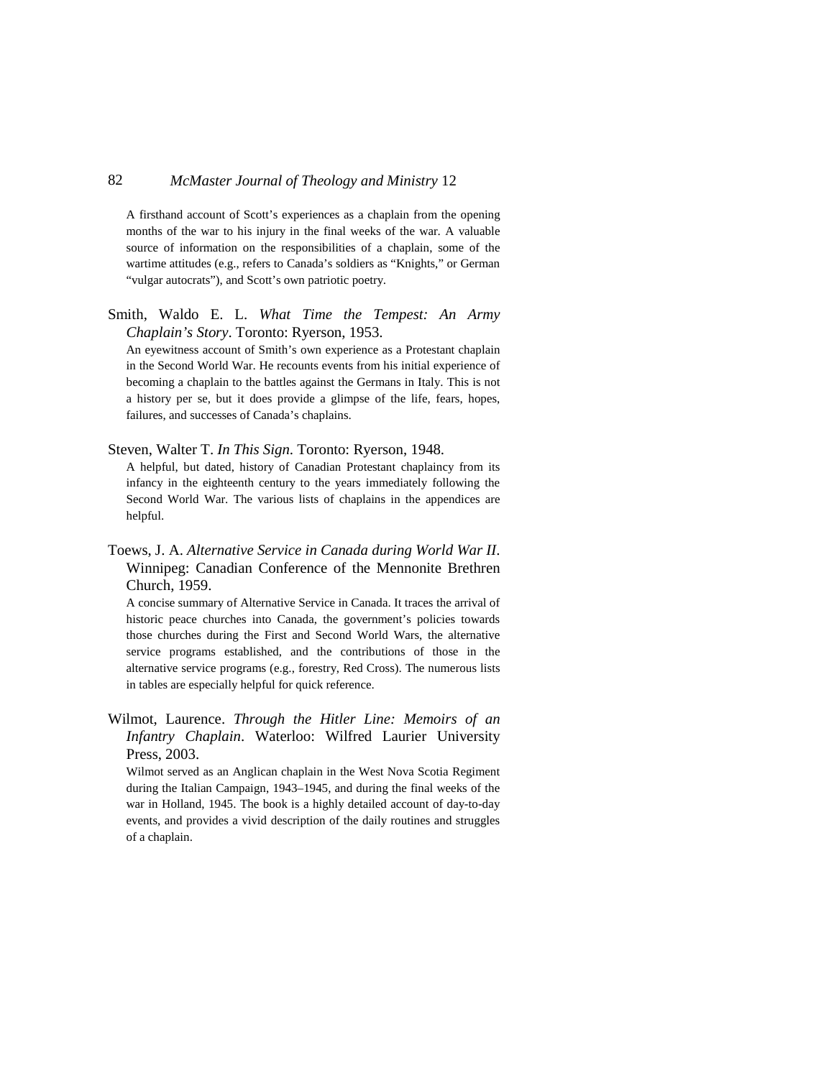A firsthand account of Scott's experiences as a chaplain from the opening months of the war to his injury in the final weeks of the war. A valuable source of information on the responsibilities of a chaplain, some of the wartime attitudes (e.g., refers to Canada's soldiers as "Knights," or German "vulgar autocrats"), and Scott's own patriotic poetry.

Smith, Waldo E. L. *What Time the Tempest: An Army Chaplain's Story*. Toronto: Ryerson, 1953.

An eyewitness account of Smith's own experience as a Protestant chaplain in the Second World War. He recounts events from his initial experience of becoming a chaplain to the battles against the Germans in Italy. This is not a history per se, but it does provide a glimpse of the life, fears, hopes, failures, and successes of Canada's chaplains.

#### Steven, Walter T. *In This Sign*. Toronto: Ryerson, 1948.

A helpful, but dated, history of Canadian Protestant chaplaincy from its infancy in the eighteenth century to the years immediately following the Second World War. The various lists of chaplains in the appendices are helpful.

Toews, J. A. *Alternative Service in Canada during World War II*. Winnipeg: Canadian Conference of the Mennonite Brethren Church, 1959.

A concise summary of Alternative Service in Canada. It traces the arrival of historic peace churches into Canada, the government's policies towards those churches during the First and Second World Wars, the alternative service programs established, and the contributions of those in the alternative service programs (e.g., forestry, Red Cross). The numerous lists in tables are especially helpful for quick reference.

Wilmot, Laurence. *Through the Hitler Line: Memoirs of an Infantry Chaplain*. Waterloo: Wilfred Laurier University Press, 2003.

Wilmot served as an Anglican chaplain in the West Nova Scotia Regiment during the Italian Campaign, 1943–1945, and during the final weeks of the war in Holland, 1945. The book is a highly detailed account of day-to-day events, and provides a vivid description of the daily routines and struggles of a chaplain.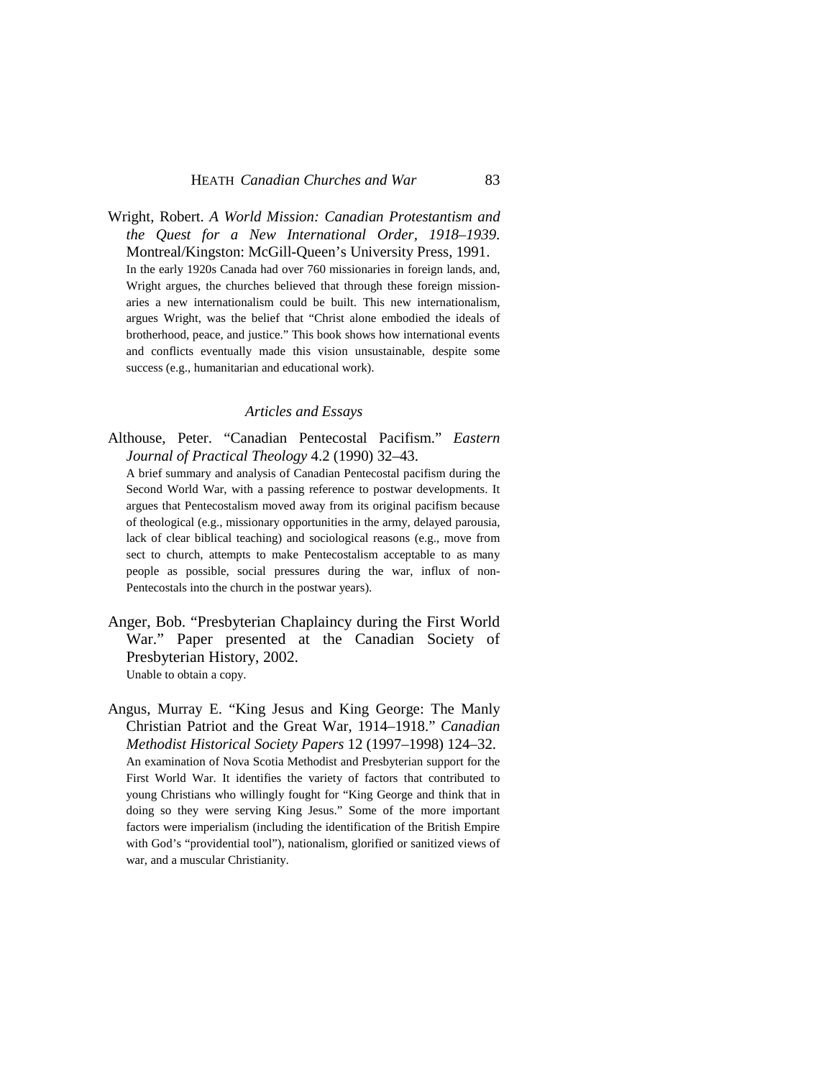Wright, Robert. *A World Mission: Canadian Protestantism and the Quest for a New International Order, 1918–1939*. Montreal/Kingston: McGill-Queen's University Press, 1991. In the early 1920s Canada had over 760 missionaries in foreign lands, and, Wright argues, the churches believed that through these foreign missionaries a new internationalism could be built. This new internationalism, argues Wright, was the belief that "Christ alone embodied the ideals of brotherhood, peace, and justice." This book shows how international events and conflicts eventually made this vision unsustainable, despite some success (e.g., humanitarian and educational work).

#### *Articles and Essays*

Althouse, Peter. "Canadian Pentecostal Pacifism." *Eastern Journal of Practical Theology* 4.2 (1990) 32–43.

A brief summary and analysis of Canadian Pentecostal pacifism during the Second World War, with a passing reference to postwar developments. It argues that Pentecostalism moved away from its original pacifism because of theological (e.g., missionary opportunities in the army, delayed parousia, lack of clear biblical teaching) and sociological reasons (e.g., move from sect to church, attempts to make Pentecostalism acceptable to as many people as possible, social pressures during the war, influx of non-Pentecostals into the church in the postwar years).

- Anger, Bob. "Presbyterian Chaplaincy during the First World War." Paper presented at the Canadian Society of Presbyterian History, 2002. Unable to obtain a copy.
- Angus, Murray E. "King Jesus and King George: The Manly Christian Patriot and the Great War, 1914–1918." *Canadian Methodist Historical Society Papers* 12 (1997–1998) 124–32. An examination of Nova Scotia Methodist and Presbyterian support for the First World War. It identifies the variety of factors that contributed to young Christians who willingly fought for "King George and think that in doing so they were serving King Jesus." Some of the more important factors were imperialism (including the identification of the British Empire with God's "providential tool"), nationalism, glorified or sanitized views of war, and a muscular Christianity.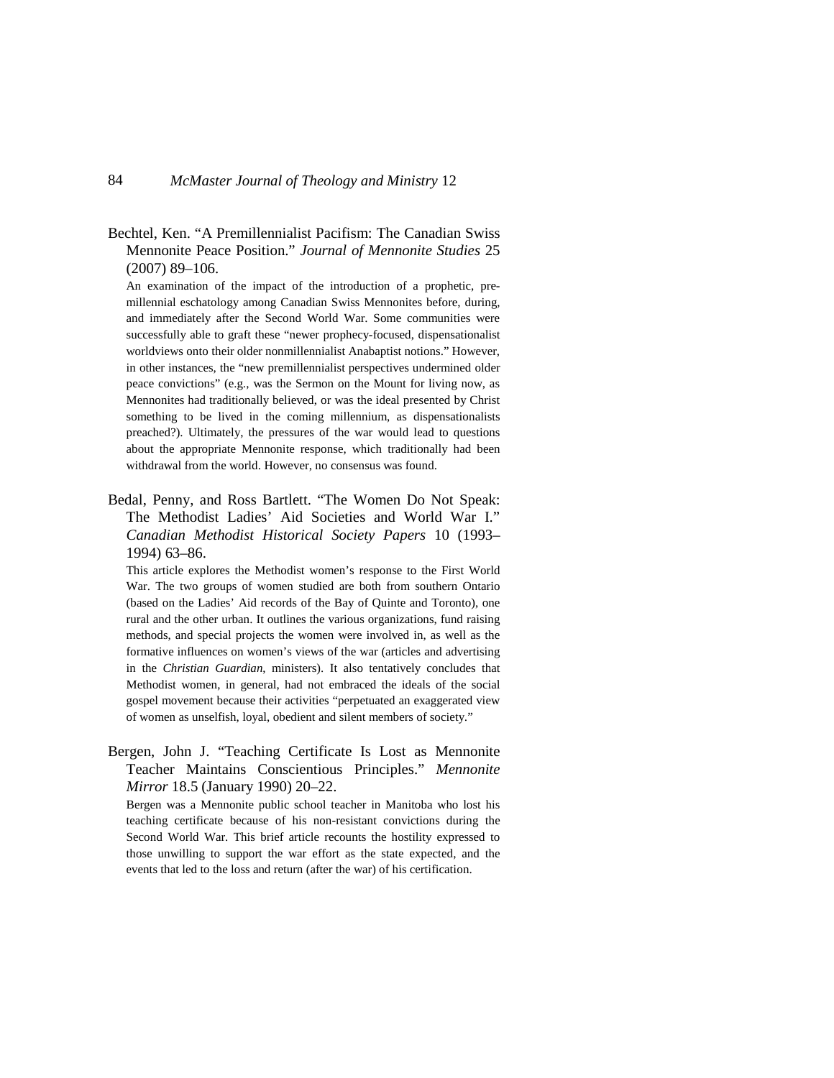Bechtel, Ken. "A Premillennialist Pacifism: The Canadian Swiss Mennonite Peace Position." *Journal of Mennonite Studies* 25 (2007) 89–106.

An examination of the impact of the introduction of a prophetic, premillennial eschatology among Canadian Swiss Mennonites before, during, and immediately after the Second World War. Some communities were successfully able to graft these "newer prophecy-focused, dispensationalist worldviews onto their older nonmillennialist Anabaptist notions." However, in other instances, the "new premillennialist perspectives undermined older peace convictions" (e.g., was the Sermon on the Mount for living now, as Mennonites had traditionally believed, or was the ideal presented by Christ something to be lived in the coming millennium, as dispensationalists preached?). Ultimately, the pressures of the war would lead to questions about the appropriate Mennonite response, which traditionally had been withdrawal from the world. However, no consensus was found.

Bedal, Penny, and Ross Bartlett. "The Women Do Not Speak: The Methodist Ladies' Aid Societies and World War I." *Canadian Methodist Historical Society Papers* 10 (1993– 1994) 63–86.

This article explores the Methodist women's response to the First World War. The two groups of women studied are both from southern Ontario (based on the Ladies' Aid records of the Bay of Quinte and Toronto), one rural and the other urban. It outlines the various organizations, fund raising methods, and special projects the women were involved in, as well as the formative influences on women's views of the war (articles and advertising in the *Christian Guardian*, ministers). It also tentatively concludes that Methodist women, in general, had not embraced the ideals of the social gospel movement because their activities "perpetuated an exaggerated view of women as unselfish, loyal, obedient and silent members of society."

Bergen, John J. "Teaching Certificate Is Lost as Mennonite Teacher Maintains Conscientious Principles." *Mennonite Mirror* 18.5 (January 1990) 20–22.

Bergen was a Mennonite public school teacher in Manitoba who lost his teaching certificate because of his non-resistant convictions during the Second World War. This brief article recounts the hostility expressed to those unwilling to support the war effort as the state expected, and the events that led to the loss and return (after the war) of his certification.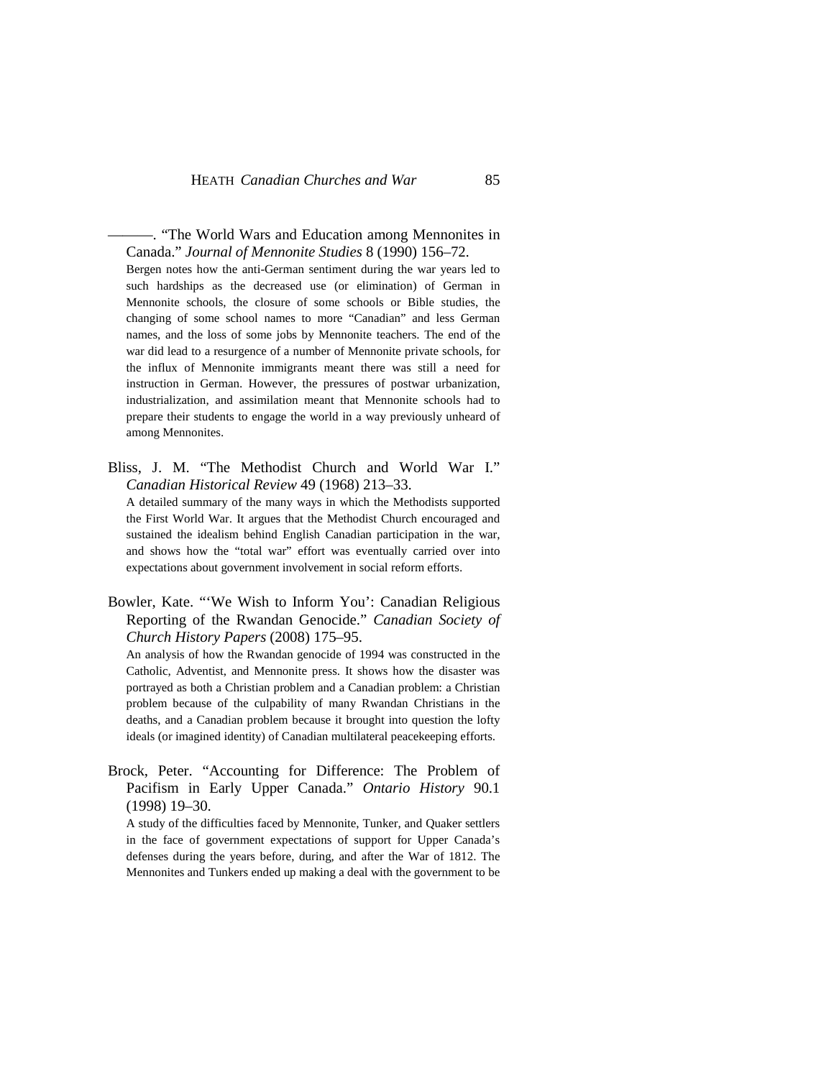———. "The World Wars and Education among Mennonites in Canada." *Journal of Mennonite Studies* 8 (1990) 156–72.

Bergen notes how the anti-German sentiment during the war years led to such hardships as the decreased use (or elimination) of German in Mennonite schools, the closure of some schools or Bible studies, the changing of some school names to more "Canadian" and less German names, and the loss of some jobs by Mennonite teachers. The end of the war did lead to a resurgence of a number of Mennonite private schools, for the influx of Mennonite immigrants meant there was still a need for instruction in German. However, the pressures of postwar urbanization, industrialization, and assimilation meant that Mennonite schools had to prepare their students to engage the world in a way previously unheard of among Mennonites.

Bliss, J. M. "The Methodist Church and World War I." *Canadian Historical Review* 49 (1968) 213–33.

A detailed summary of the many ways in which the Methodists supported the First World War. It argues that the Methodist Church encouraged and sustained the idealism behind English Canadian participation in the war, and shows how the "total war" effort was eventually carried over into expectations about government involvement in social reform efforts.

Bowler, Kate. "'We Wish to Inform You': Canadian Religious Reporting of the Rwandan Genocide." *Canadian Society of Church History Papers* (2008) 175–95.

An analysis of how the Rwandan genocide of 1994 was constructed in the Catholic, Adventist, and Mennonite press. It shows how the disaster was portrayed as both a Christian problem and a Canadian problem: a Christian problem because of the culpability of many Rwandan Christians in the deaths, and a Canadian problem because it brought into question the lofty ideals (or imagined identity) of Canadian multilateral peacekeeping efforts.

Brock, Peter. "Accounting for Difference: The Problem of Pacifism in Early Upper Canada." *Ontario History* 90.1 (1998) 19–30.

A study of the difficulties faced by Mennonite, Tunker, and Quaker settlers in the face of government expectations of support for Upper Canada's defenses during the years before, during, and after the War of 1812. The Mennonites and Tunkers ended up making a deal with the government to be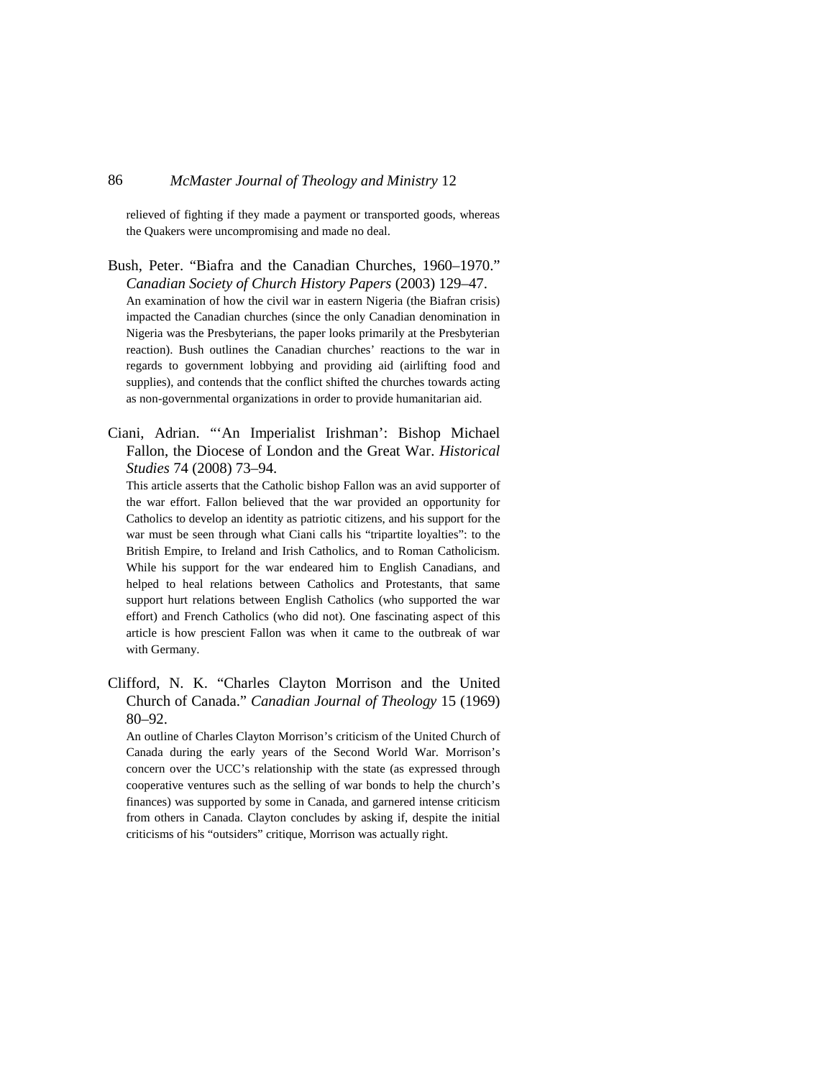relieved of fighting if they made a payment or transported goods, whereas the Quakers were uncompromising and made no deal.

- Bush, Peter. "Biafra and the Canadian Churches, 1960–1970." *Canadian Society of Church History Papers* (2003) 129–47. An examination of how the civil war in eastern Nigeria (the Biafran crisis) impacted the Canadian churches (since the only Canadian denomination in Nigeria was the Presbyterians, the paper looks primarily at the Presbyterian reaction). Bush outlines the Canadian churches' reactions to the war in regards to government lobbying and providing aid (airlifting food and supplies), and contends that the conflict shifted the churches towards acting as non-governmental organizations in order to provide humanitarian aid.
- Ciani, Adrian. "'An Imperialist Irishman': Bishop Michael Fallon, the Diocese of London and the Great War. *Historical Studies* 74 (2008) 73–94.

This article asserts that the Catholic bishop Fallon was an avid supporter of the war effort. Fallon believed that the war provided an opportunity for Catholics to develop an identity as patriotic citizens, and his support for the war must be seen through what Ciani calls his "tripartite loyalties": to the British Empire, to Ireland and Irish Catholics, and to Roman Catholicism. While his support for the war endeared him to English Canadians, and helped to heal relations between Catholics and Protestants, that same support hurt relations between English Catholics (who supported the war effort) and French Catholics (who did not). One fascinating aspect of this article is how prescient Fallon was when it came to the outbreak of war with Germany.

Clifford, N. K. "Charles Clayton Morrison and the United Church of Canada." *Canadian Journal of Theology* 15 (1969) 80–92.

An outline of Charles Clayton Morrison's criticism of the United Church of Canada during the early years of the Second World War. Morrison's concern over the UCC's relationship with the state (as expressed through cooperative ventures such as the selling of war bonds to help the church's finances) was supported by some in Canada, and garnered intense criticism from others in Canada. Clayton concludes by asking if, despite the initial criticisms of his "outsiders" critique, Morrison was actually right.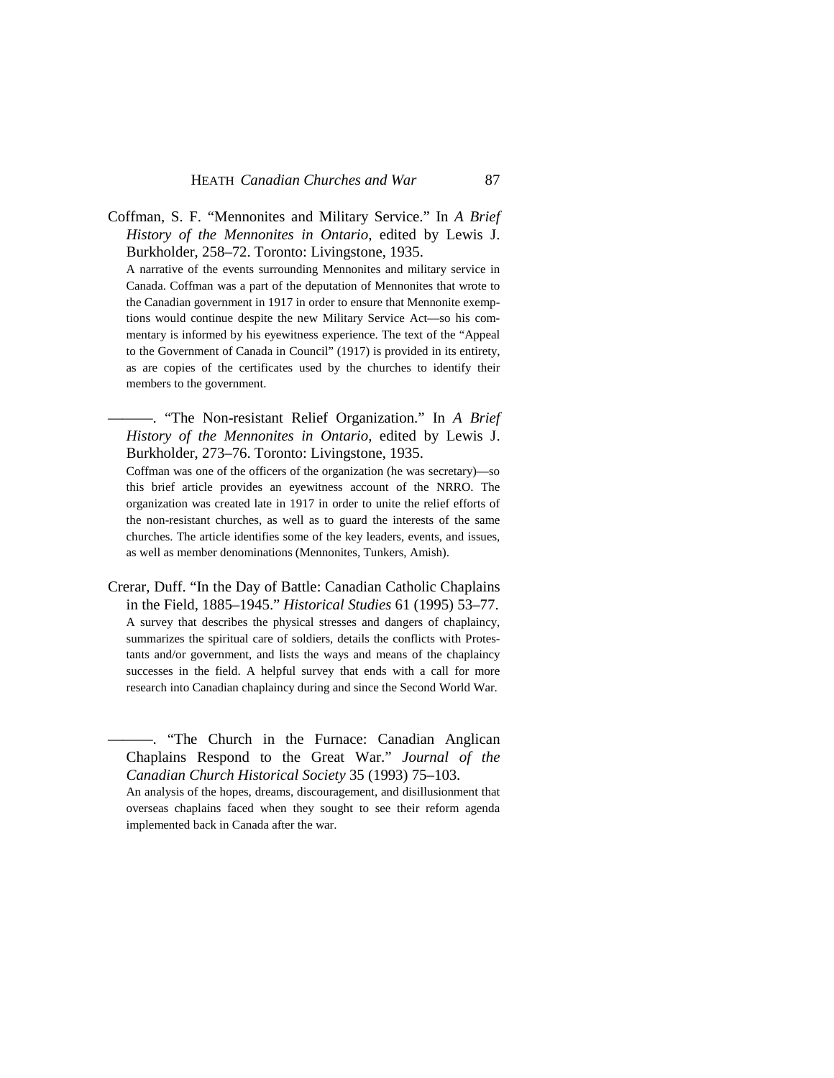Coffman, S. F. "Mennonites and Military Service." In *A Brief History of the Mennonites in Ontario*, edited by Lewis J. Burkholder, 258–72. Toronto: Livingstone, 1935. A narrative of the events surrounding Mennonites and military service in Canada. Coffman was a part of the deputation of Mennonites that wrote to the Canadian government in 1917 in order to ensure that Mennonite exemptions would continue despite the new Military Service Act—so his commentary is informed by his eyewitness experience. The text of the "Appeal to the Government of Canada in Council" (1917) is provided in its entirety, as are copies of the certificates used by the churches to identify their members to the government.

———. "The Non-resistant Relief Organization." In *A Brief History of the Mennonites in Ontario*, edited by Lewis J. Burkholder, 273–76. Toronto: Livingstone, 1935.

Coffman was one of the officers of the organization (he was secretary)—so this brief article provides an eyewitness account of the NRRO. The organization was created late in 1917 in order to unite the relief efforts of the non-resistant churches, as well as to guard the interests of the same churches. The article identifies some of the key leaders, events, and issues, as well as member denominations (Mennonites, Tunkers, Amish).

Crerar, Duff. "In the Day of Battle: Canadian Catholic Chaplains in the Field, 1885–1945." *Historical Studies* 61 (1995) 53–77. A survey that describes the physical stresses and dangers of chaplaincy, summarizes the spiritual care of soldiers, details the conflicts with Protestants and/or government, and lists the ways and means of the chaplaincy successes in the field. A helpful survey that ends with a call for more research into Canadian chaplaincy during and since the Second World War.

———. "The Church in the Furnace: Canadian Anglican Chaplains Respond to the Great War." *Journal of the Canadian Church Historical Society* 35 (1993) 75–103.

An analysis of the hopes, dreams, discouragement, and disillusionment that overseas chaplains faced when they sought to see their reform agenda implemented back in Canada after the war.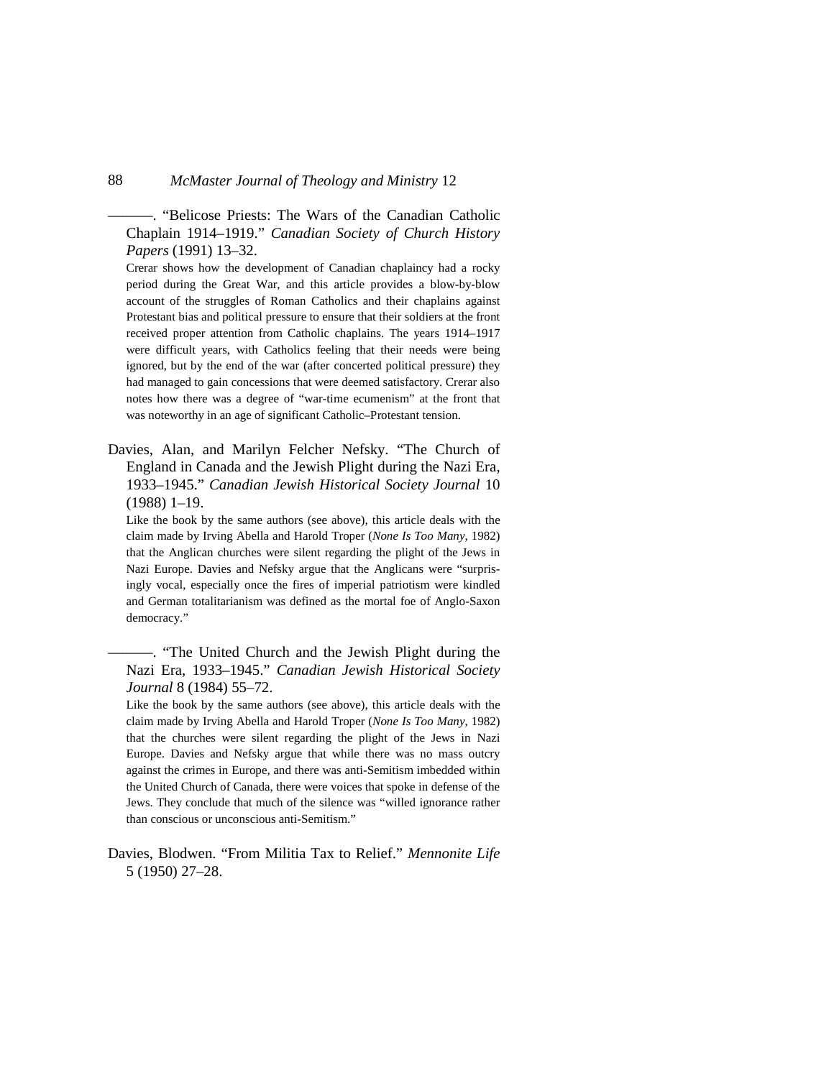———. "Belicose Priests: The Wars of the Canadian Catholic Chaplain 1914–1919." *Canadian Society of Church History Papers* (1991) 13–32.

Crerar shows how the development of Canadian chaplaincy had a rocky period during the Great War, and this article provides a blow-by-blow account of the struggles of Roman Catholics and their chaplains against Protestant bias and political pressure to ensure that their soldiers at the front received proper attention from Catholic chaplains. The years 1914–1917 were difficult years, with Catholics feeling that their needs were being ignored, but by the end of the war (after concerted political pressure) they had managed to gain concessions that were deemed satisfactory. Crerar also notes how there was a degree of "war-time ecumenism" at the front that was noteworthy in an age of significant Catholic–Protestant tension.

Davies, Alan, and Marilyn Felcher Nefsky. "The Church of England in Canada and the Jewish Plight during the Nazi Era, 1933–1945." *Canadian Jewish Historical Society Journal* 10 (1988) 1–19.

Like the book by the same authors (see above), this article deals with the claim made by Irving Abella and Harold Troper (*None Is Too Many*, 1982) that the Anglican churches were silent regarding the plight of the Jews in Nazi Europe. Davies and Nefsky argue that the Anglicans were "surprisingly vocal, especially once the fires of imperial patriotism were kindled and German totalitarianism was defined as the mortal foe of Anglo-Saxon democracy."

———. "The United Church and the Jewish Plight during the Nazi Era, 1933–1945." *Canadian Jewish Historical Society Journal* 8 (1984) 55–72.

Like the book by the same authors (see above), this article deals with the claim made by Irving Abella and Harold Troper (*None Is Too Many*, 1982) that the churches were silent regarding the plight of the Jews in Nazi Europe. Davies and Nefsky argue that while there was no mass outcry against the crimes in Europe, and there was anti-Semitism imbedded within the United Church of Canada, there were voices that spoke in defense of the Jews. They conclude that much of the silence was "willed ignorance rather than conscious or unconscious anti-Semitism."

Davies, Blodwen. "From Militia Tax to Relief." *Mennonite Life* 5 (1950) 27–28.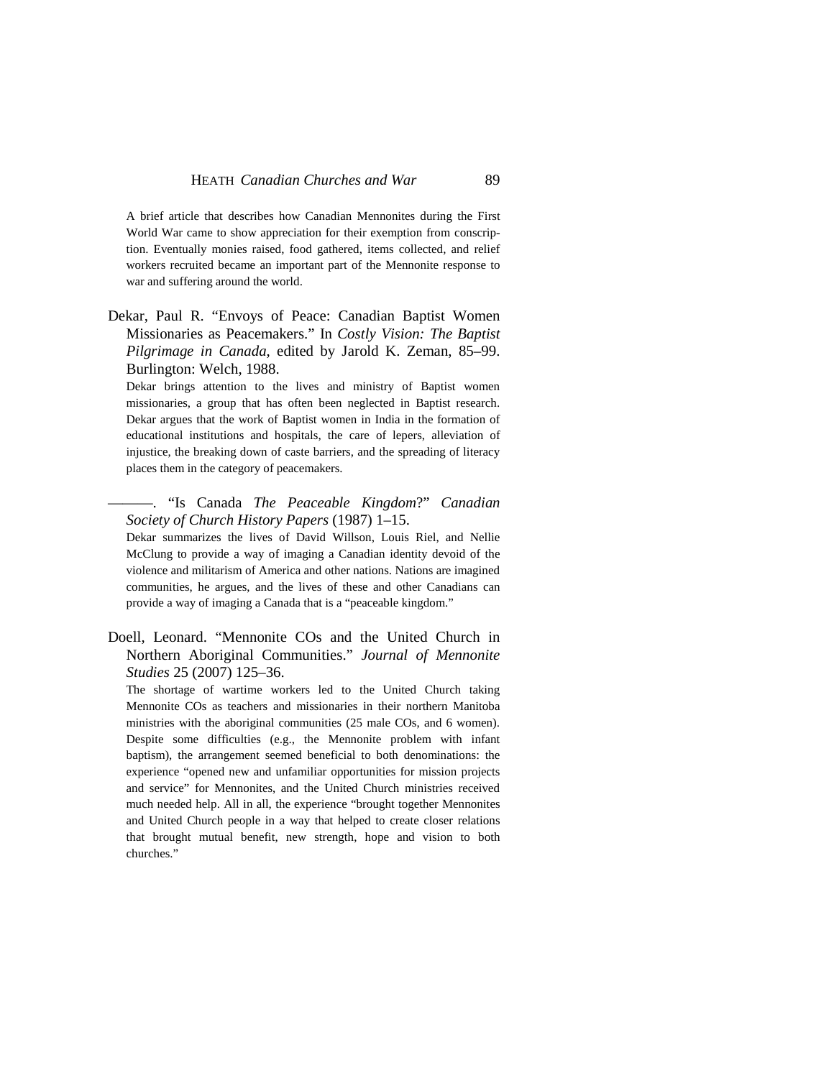A brief article that describes how Canadian Mennonites during the First World War came to show appreciation for their exemption from conscription. Eventually monies raised, food gathered, items collected, and relief workers recruited became an important part of the Mennonite response to war and suffering around the world.

Dekar, Paul R. "Envoys of Peace: Canadian Baptist Women Missionaries as Peacemakers." In *Costly Vision: The Baptist Pilgrimage in Canada*, edited by Jarold K. Zeman, 85–99. Burlington: Welch, 1988.

Dekar brings attention to the lives and ministry of Baptist women missionaries, a group that has often been neglected in Baptist research. Dekar argues that the work of Baptist women in India in the formation of educational institutions and hospitals, the care of lepers, alleviation of injustice, the breaking down of caste barriers, and the spreading of literacy places them in the category of peacemakers.

### ———. "Is Canada *The Peaceable Kingdom*?" *Canadian Society of Church History Papers* (1987) 1–15.

Dekar summarizes the lives of David Willson, Louis Riel, and Nellie McClung to provide a way of imaging a Canadian identity devoid of the violence and militarism of America and other nations. Nations are imagined communities, he argues, and the lives of these and other Canadians can provide a way of imaging a Canada that is a "peaceable kingdom."

Doell, Leonard. "Mennonite COs and the United Church in Northern Aboriginal Communities." *Journal of Mennonite Studies* 25 (2007) 125–36.

The shortage of wartime workers led to the United Church taking Mennonite COs as teachers and missionaries in their northern Manitoba ministries with the aboriginal communities (25 male COs, and 6 women). Despite some difficulties (e.g., the Mennonite problem with infant baptism), the arrangement seemed beneficial to both denominations: the experience "opened new and unfamiliar opportunities for mission projects and service" for Mennonites, and the United Church ministries received much needed help. All in all, the experience "brought together Mennonites and United Church people in a way that helped to create closer relations that brought mutual benefit, new strength, hope and vision to both churches."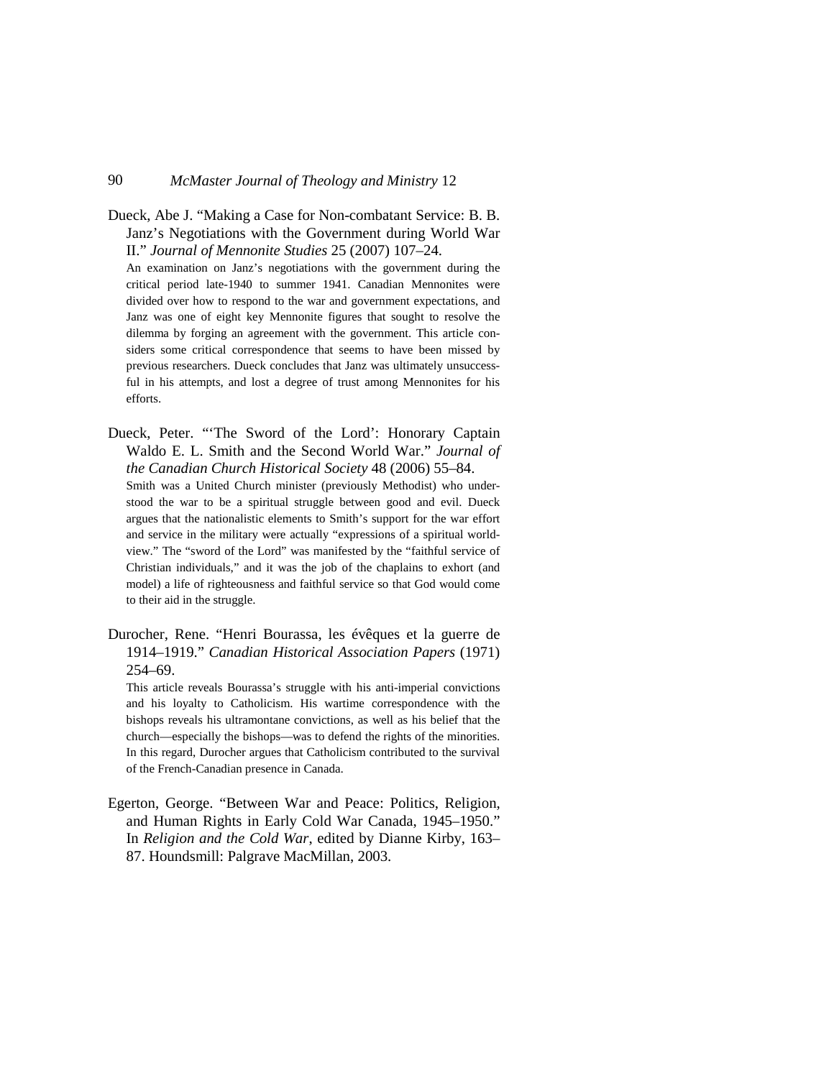Dueck, Abe J. "Making a Case for Non-combatant Service: B. B. Janz's Negotiations with the Government during World War II." *Journal of Mennonite Studies* 25 (2007) 107–24.

An examination on Janz's negotiations with the government during the critical period late-1940 to summer 1941. Canadian Mennonites were divided over how to respond to the war and government expectations, and Janz was one of eight key Mennonite figures that sought to resolve the dilemma by forging an agreement with the government. This article considers some critical correspondence that seems to have been missed by previous researchers. Dueck concludes that Janz was ultimately unsuccessful in his attempts, and lost a degree of trust among Mennonites for his efforts.

Dueck, Peter. "'The Sword of the Lord': Honorary Captain Waldo E. L. Smith and the Second World War." *Journal of the Canadian Church Historical Society* 48 (2006) 55–84. Smith was a United Church minister (previously Methodist) who under-

stood the war to be a spiritual struggle between good and evil. Dueck argues that the nationalistic elements to Smith's support for the war effort and service in the military were actually "expressions of a spiritual worldview." The "sword of the Lord" was manifested by the "faithful service of Christian individuals," and it was the job of the chaplains to exhort (and model) a life of righteousness and faithful service so that God would come to their aid in the struggle.

Durocher, Rene. "Henri Bourassa, les évêques et la guerre de 1914–1919." *Canadian Historical Association Papers* (1971) 254–69.

This article reveals Bourassa's struggle with his anti-imperial convictions and his loyalty to Catholicism. His wartime correspondence with the bishops reveals his ultramontane convictions, as well as his belief that the church—especially the bishops—was to defend the rights of the minorities. In this regard, Durocher argues that Catholicism contributed to the survival of the French-Canadian presence in Canada.

Egerton, George. "Between War and Peace: Politics, Religion, and Human Rights in Early Cold War Canada, 1945–1950." In *Religion and the Cold War*, edited by Dianne Kirby, 163– 87. Houndsmill: Palgrave MacMillan, 2003.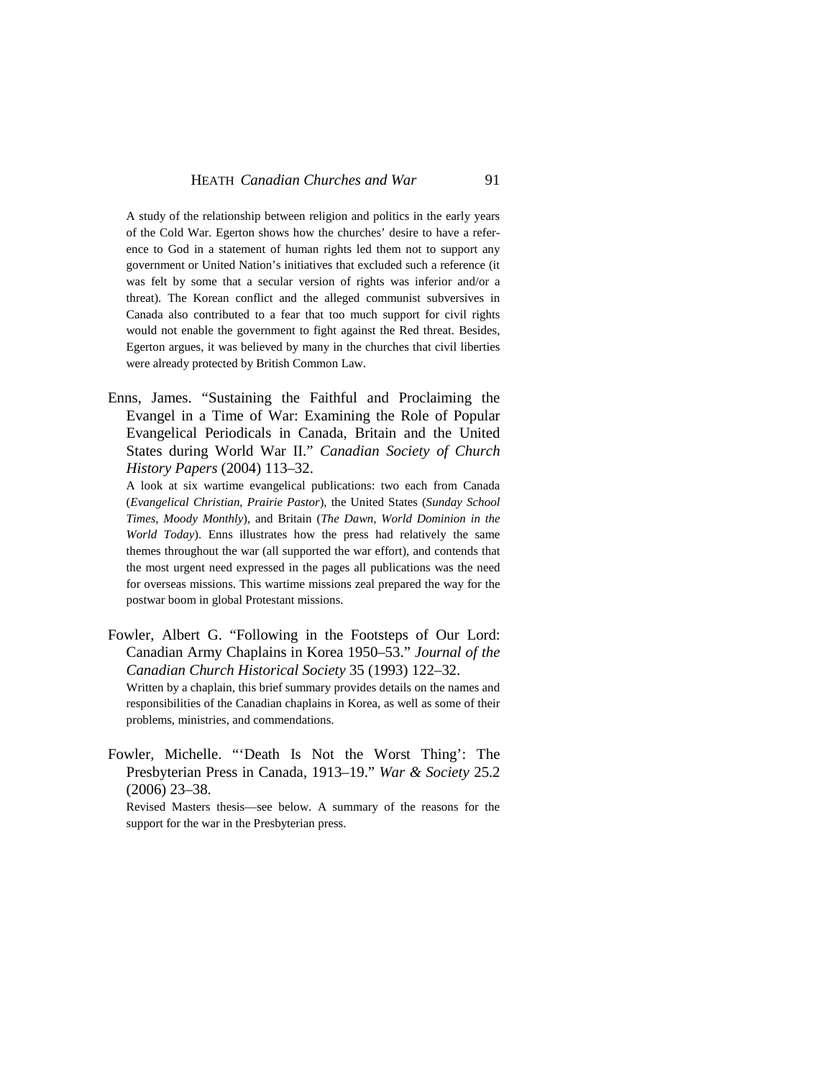A study of the relationship between religion and politics in the early years of the Cold War. Egerton shows how the churches' desire to have a reference to God in a statement of human rights led them not to support any government or United Nation's initiatives that excluded such a reference (it was felt by some that a secular version of rights was inferior and/or a threat). The Korean conflict and the alleged communist subversives in Canada also contributed to a fear that too much support for civil rights would not enable the government to fight against the Red threat. Besides, Egerton argues, it was believed by many in the churches that civil liberties were already protected by British Common Law.

Enns, James. "Sustaining the Faithful and Proclaiming the Evangel in a Time of War: Examining the Role of Popular Evangelical Periodicals in Canada, Britain and the United States during World War II." *Canadian Society of Church History Papers* (2004) 113–32.

A look at six wartime evangelical publications: two each from Canada (*Evangelical Christian*, *Prairie Pastor*), the United States (*Sunday School Times*, *Moody Monthly*), and Britain (*The Dawn*, *World Dominion in the World Today*). Enns illustrates how the press had relatively the same themes throughout the war (all supported the war effort), and contends that the most urgent need expressed in the pages all publications was the need for overseas missions. This wartime missions zeal prepared the way for the postwar boom in global Protestant missions.

Fowler, Albert G. "Following in the Footsteps of Our Lord: Canadian Army Chaplains in Korea 1950–53." *Journal of the Canadian Church Historical Society* 35 (1993) 122–32. Written by a chaplain, this brief summary provides details on the names and responsibilities of the Canadian chaplains in Korea, as well as some of their

problems, ministries, and commendations.

Fowler, Michelle. "'Death Is Not the Worst Thing': The Presbyterian Press in Canada, 1913–19." *War & Society* 25.2 (2006) 23–38.

Revised Masters thesis—see below. A summary of the reasons for the support for the war in the Presbyterian press.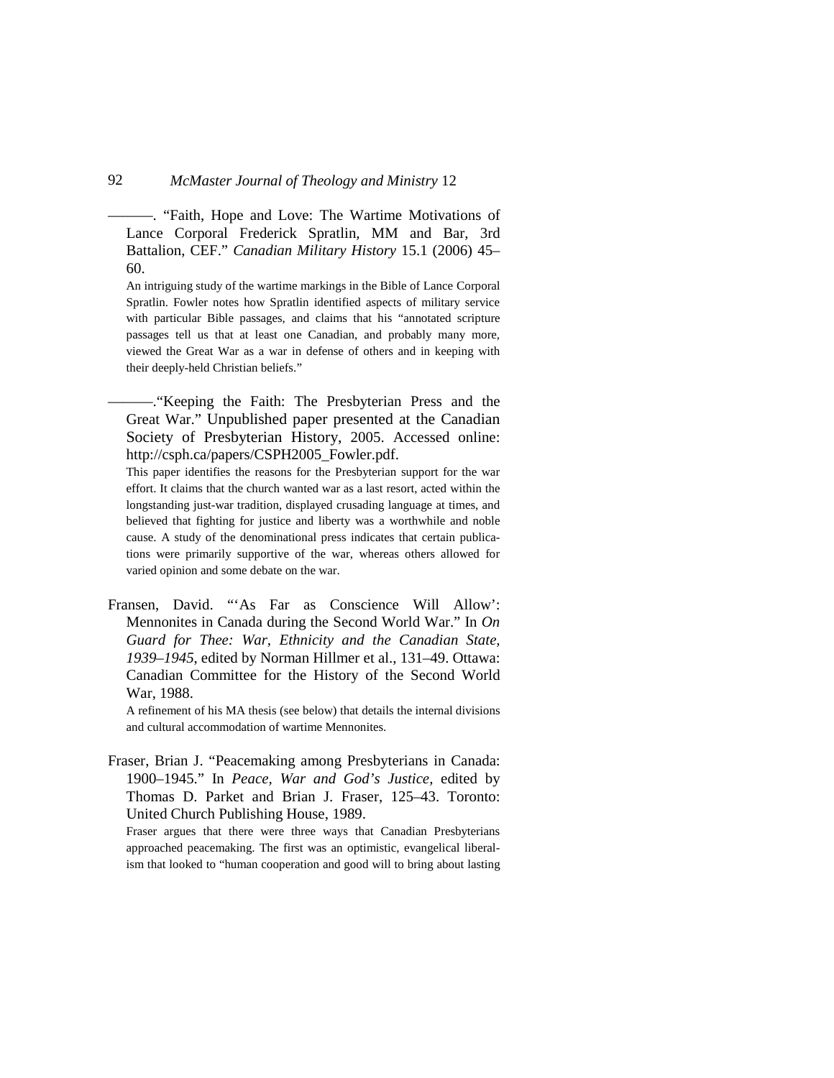———. "Faith, Hope and Love: The Wartime Motivations of Lance Corporal Frederick Spratlin, MM and Bar, 3rd Battalion, CEF." *Canadian Military History* 15.1 (2006) 45– 60.

An intriguing study of the wartime markings in the Bible of Lance Corporal Spratlin. Fowler notes how Spratlin identified aspects of military service with particular Bible passages, and claims that his "annotated scripture passages tell us that at least one Canadian, and probably many more, viewed the Great War as a war in defense of others and in keeping with their deeply-held Christian beliefs."

———."Keeping the Faith: The Presbyterian Press and the Great War." Unpublished paper presented at the Canadian Society of Presbyterian History, 2005. Accessed online: http://csph.ca/papers/CSPH2005\_Fowler.pdf.

This paper identifies the reasons for the Presbyterian support for the war effort. It claims that the church wanted war as a last resort, acted within the longstanding just-war tradition, displayed crusading language at times, and believed that fighting for justice and liberty was a worthwhile and noble cause. A study of the denominational press indicates that certain publications were primarily supportive of the war, whereas others allowed for varied opinion and some debate on the war.

Fransen, David. "'As Far as Conscience Will Allow': Mennonites in Canada during the Second World War." In *On Guard for Thee: War, Ethnicity and the Canadian State, 1939–1945*, edited by Norman Hillmer et al., 131–49. Ottawa: Canadian Committee for the History of the Second World War, 1988.

A refinement of his MA thesis (see below) that details the internal divisions and cultural accommodation of wartime Mennonites.

Fraser, Brian J. "Peacemaking among Presbyterians in Canada: 1900–1945." In *Peace, War and God's Justice*, edited by Thomas D. Parket and Brian J. Fraser, 125–43. Toronto: United Church Publishing House, 1989.

Fraser argues that there were three ways that Canadian Presbyterians approached peacemaking. The first was an optimistic, evangelical liberalism that looked to "human cooperation and good will to bring about lasting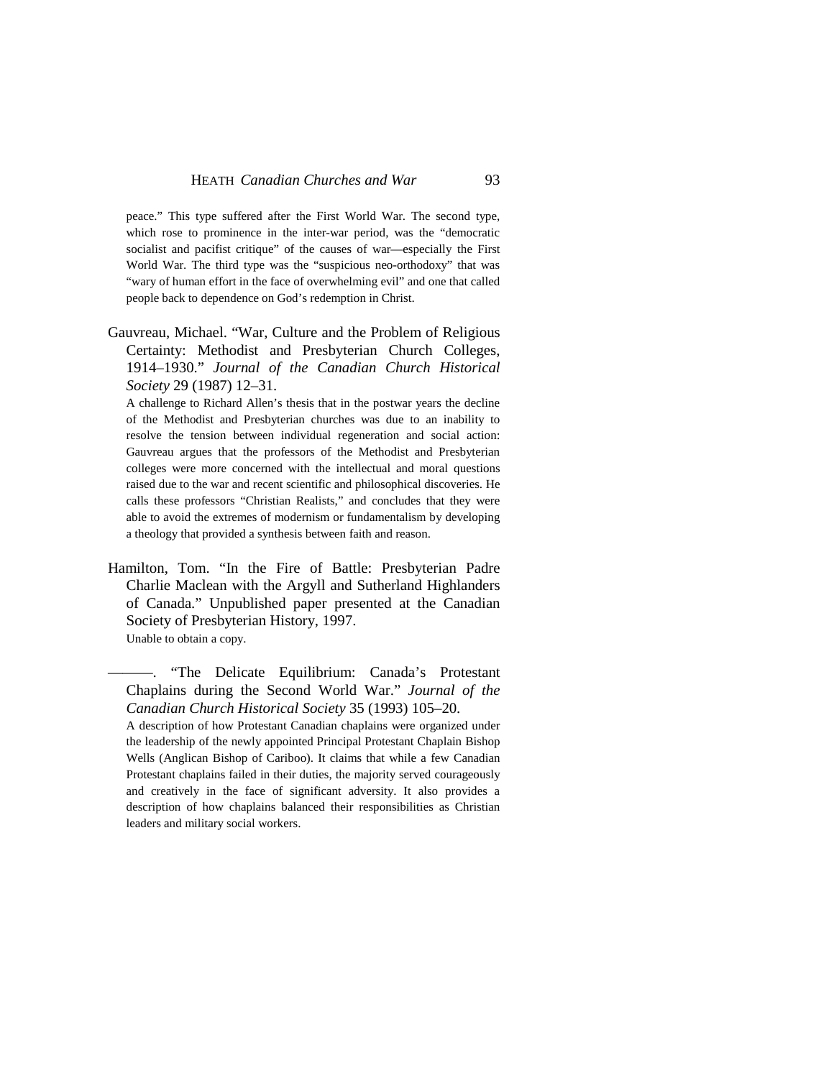peace." This type suffered after the First World War. The second type, which rose to prominence in the inter-war period, was the "democratic socialist and pacifist critique" of the causes of war—especially the First World War. The third type was the "suspicious neo-orthodoxy" that was "wary of human effort in the face of overwhelming evil" and one that called people back to dependence on God's redemption in Christ.

Gauvreau, Michael. "War, Culture and the Problem of Religious Certainty: Methodist and Presbyterian Church Colleges, 1914–1930." *Journal of the Canadian Church Historical Society* 29 (1987) 12–31.

A challenge to Richard Allen's thesis that in the postwar years the decline of the Methodist and Presbyterian churches was due to an inability to resolve the tension between individual regeneration and social action: Gauvreau argues that the professors of the Methodist and Presbyterian colleges were more concerned with the intellectual and moral questions raised due to the war and recent scientific and philosophical discoveries. He calls these professors "Christian Realists," and concludes that they were able to avoid the extremes of modernism or fundamentalism by developing a theology that provided a synthesis between faith and reason.

Hamilton, Tom. "In the Fire of Battle: Presbyterian Padre Charlie Maclean with the Argyll and Sutherland Highlanders of Canada." Unpublished paper presented at the Canadian Society of Presbyterian History, 1997. Unable to obtain a copy.

"The Delicate Equilibrium: Canada's Protestant Chaplains during the Second World War." *Journal of the Canadian Church Historical Society* 35 (1993) 105–20.

A description of how Protestant Canadian chaplains were organized under the leadership of the newly appointed Principal Protestant Chaplain Bishop Wells (Anglican Bishop of Cariboo). It claims that while a few Canadian Protestant chaplains failed in their duties, the majority served courageously and creatively in the face of significant adversity. It also provides a description of how chaplains balanced their responsibilities as Christian leaders and military social workers.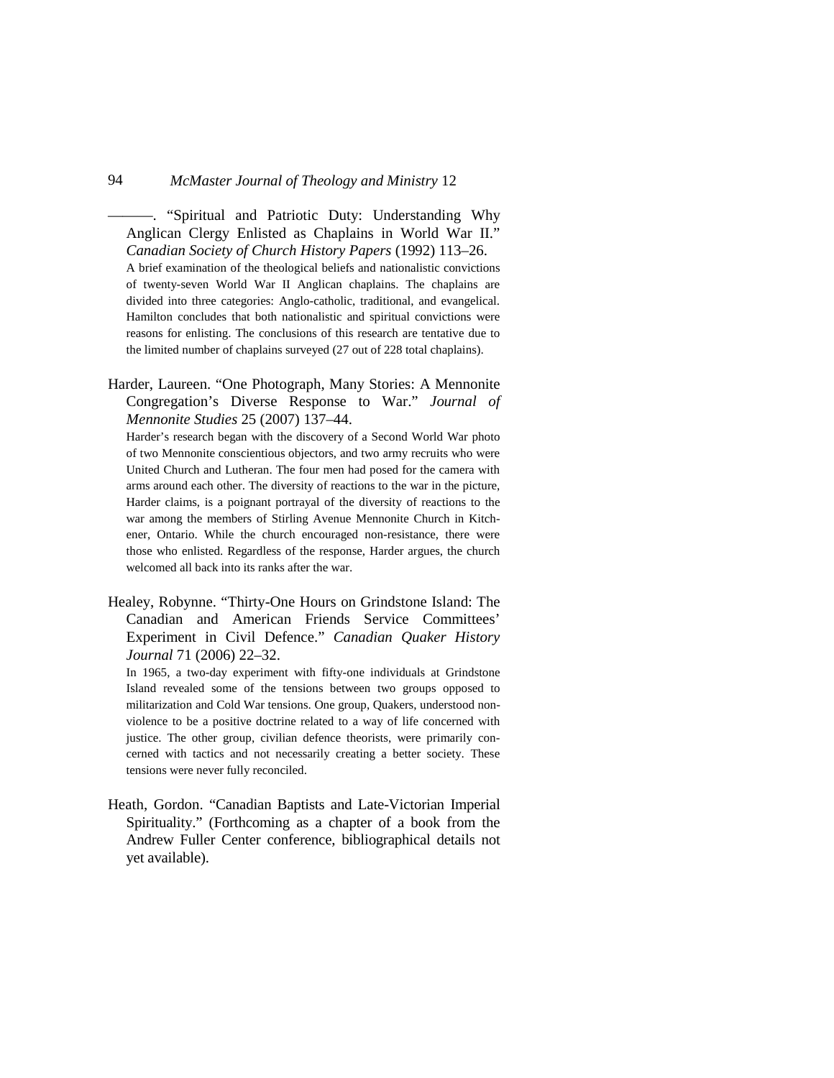———. "Spiritual and Patriotic Duty: Understanding Why Anglican Clergy Enlisted as Chaplains in World War II." *Canadian Society of Church History Papers* (1992) 113–26.

A brief examination of the theological beliefs and nationalistic convictions of twenty-seven World War II Anglican chaplains. The chaplains are divided into three categories: Anglo-catholic, traditional, and evangelical. Hamilton concludes that both nationalistic and spiritual convictions were reasons for enlisting. The conclusions of this research are tentative due to the limited number of chaplains surveyed (27 out of 228 total chaplains).

Harder, Laureen. "One Photograph, Many Stories: A Mennonite Congregation's Diverse Response to War." *Journal of Mennonite Studies* 25 (2007) 137–44.

Harder's research began with the discovery of a Second World War photo of two Mennonite conscientious objectors, and two army recruits who were United Church and Lutheran. The four men had posed for the camera with arms around each other. The diversity of reactions to the war in the picture, Harder claims, is a poignant portrayal of the diversity of reactions to the war among the members of Stirling Avenue Mennonite Church in Kitchener, Ontario. While the church encouraged non-resistance, there were those who enlisted. Regardless of the response, Harder argues, the church welcomed all back into its ranks after the war.

Healey, Robynne. "Thirty-One Hours on Grindstone Island: The Canadian and American Friends Service Committees' Experiment in Civil Defence." *Canadian Quaker History Journal* 71 (2006) 22–32.

In 1965, a two-day experiment with fifty-one individuals at Grindstone Island revealed some of the tensions between two groups opposed to militarization and Cold War tensions. One group, Quakers, understood nonviolence to be a positive doctrine related to a way of life concerned with justice. The other group, civilian defence theorists, were primarily concerned with tactics and not necessarily creating a better society. These tensions were never fully reconciled.

Heath, Gordon. "Canadian Baptists and Late-Victorian Imperial Spirituality." (Forthcoming as a chapter of a book from the Andrew Fuller Center conference, bibliographical details not yet available).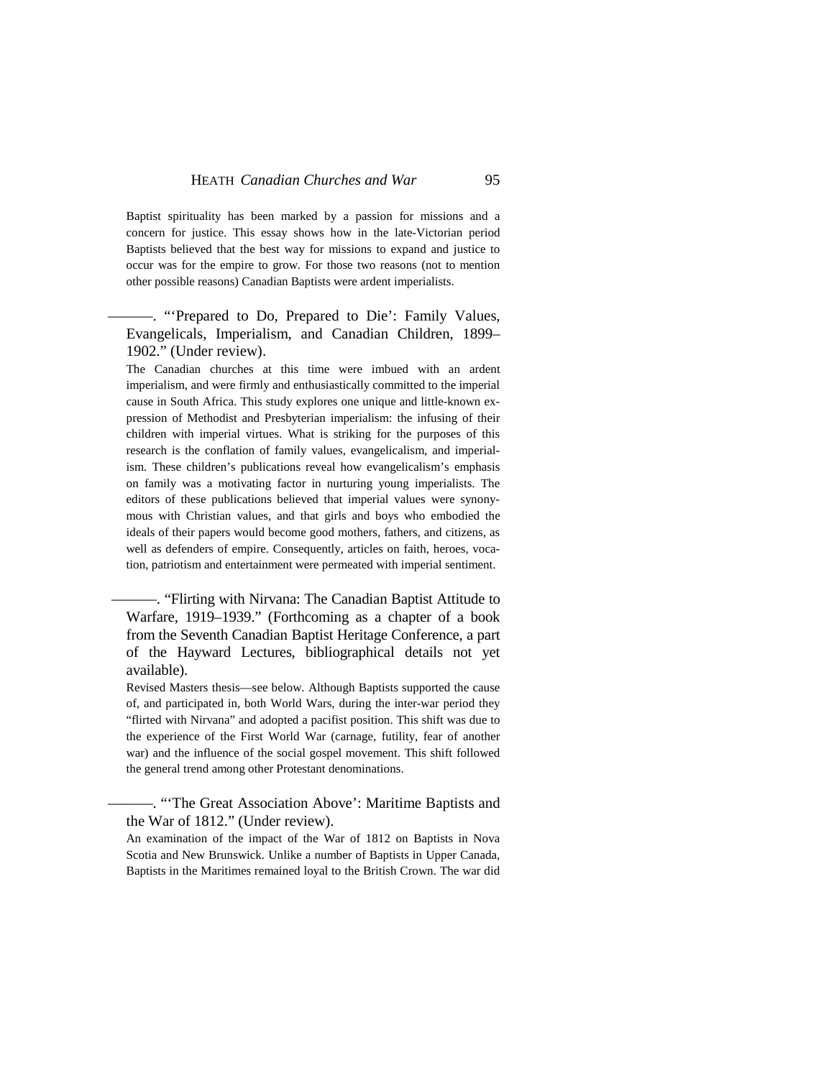Baptist spirituality has been marked by a passion for missions and a concern for justice. This essay shows how in the late-Victorian period Baptists believed that the best way for missions to expand and justice to occur was for the empire to grow. For those two reasons (not to mention other possible reasons) Canadian Baptists were ardent imperialists.

-. "Prepared to Do, Prepared to Die': Family Values, Evangelicals, Imperialism, and Canadian Children, 1899– 1902." (Under review).

The Canadian churches at this time were imbued with an ardent imperialism, and were firmly and enthusiastically committed to the imperial cause in South Africa. This study explores one unique and little-known expression of Methodist and Presbyterian imperialism: the infusing of their children with imperial virtues. What is striking for the purposes of this research is the conflation of family values, evangelicalism, and imperialism. These children's publications reveal how evangelicalism's emphasis on family was a motivating factor in nurturing young imperialists. The editors of these publications believed that imperial values were synonymous with Christian values, and that girls and boys who embodied the ideals of their papers would become good mothers, fathers, and citizens, as well as defenders of empire. Consequently, articles on faith, heroes, vocation, patriotism and entertainment were permeated with imperial sentiment.

———. "Flirting with Nirvana: The Canadian Baptist Attitude to Warfare, 1919–1939." (Forthcoming as a chapter of a book from the Seventh Canadian Baptist Heritage Conference, a part of the Hayward Lectures, bibliographical details not yet available).

Revised Masters thesis—see below. Although Baptists supported the cause of, and participated in, both World Wars, during the inter-war period they "flirted with Nirvana" and adopted a pacifist position. This shift was due to the experience of the First World War (carnage, futility, fear of another war) and the influence of the social gospel movement. This shift followed the general trend among other Protestant denominations.

———. "'The Great Association Above': Maritime Baptists and the War of 1812." (Under review).

An examination of the impact of the War of 1812 on Baptists in Nova Scotia and New Brunswick. Unlike a number of Baptists in Upper Canada, Baptists in the Maritimes remained loyal to the British Crown. The war did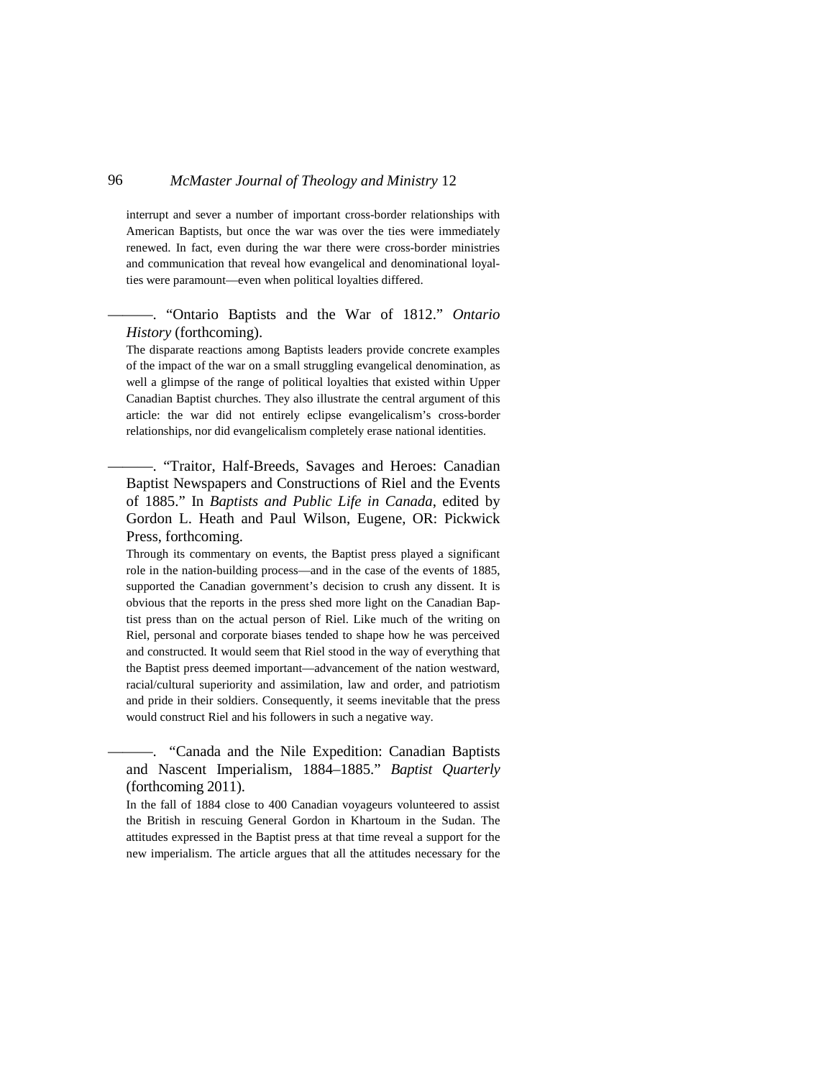interrupt and sever a number of important cross-border relationships with American Baptists, but once the war was over the ties were immediately renewed. In fact, even during the war there were cross-border ministries and communication that reveal how evangelical and denominational loyalties were paramount—even when political loyalties differed.

### ———. "Ontario Baptists and the War of 1812." *Ontario History* (forthcoming).

The disparate reactions among Baptists leaders provide concrete examples of the impact of the war on a small struggling evangelical denomination, as well a glimpse of the range of political loyalties that existed within Upper Canadian Baptist churches. They also illustrate the central argument of this article: the war did not entirely eclipse evangelicalism's cross-border relationships, nor did evangelicalism completely erase national identities.

———. "Traitor, Half-Breeds, Savages and Heroes: Canadian Baptist Newspapers and Constructions of Riel and the Events of 1885." In *Baptists and Public Life in Canada*, edited by Gordon L. Heath and Paul Wilson, Eugene, OR: Pickwick Press, forthcoming.

Through its commentary on events, the Baptist press played a significant role in the nation-building process—and in the case of the events of 1885, supported the Canadian government's decision to crush any dissent. It is obvious that the reports in the press shed more light on the Canadian Baptist press than on the actual person of Riel. Like much of the writing on Riel, personal and corporate biases tended to shape how he was perceived and constructed. It would seem that Riel stood in the way of everything that the Baptist press deemed important—advancement of the nation westward, racial/cultural superiority and assimilation, law and order, and patriotism and pride in their soldiers. Consequently, it seems inevitable that the press would construct Riel and his followers in such a negative way.

———. "Canada and the Nile Expedition: Canadian Baptists and Nascent Imperialism, 1884–1885." *Baptist Quarterly* (forthcoming 2011).

In the fall of 1884 close to 400 Canadian voyageurs volunteered to assist the British in rescuing General Gordon in Khartoum in the Sudan. The attitudes expressed in the Baptist press at that time reveal a support for the new imperialism. The article argues that all the attitudes necessary for the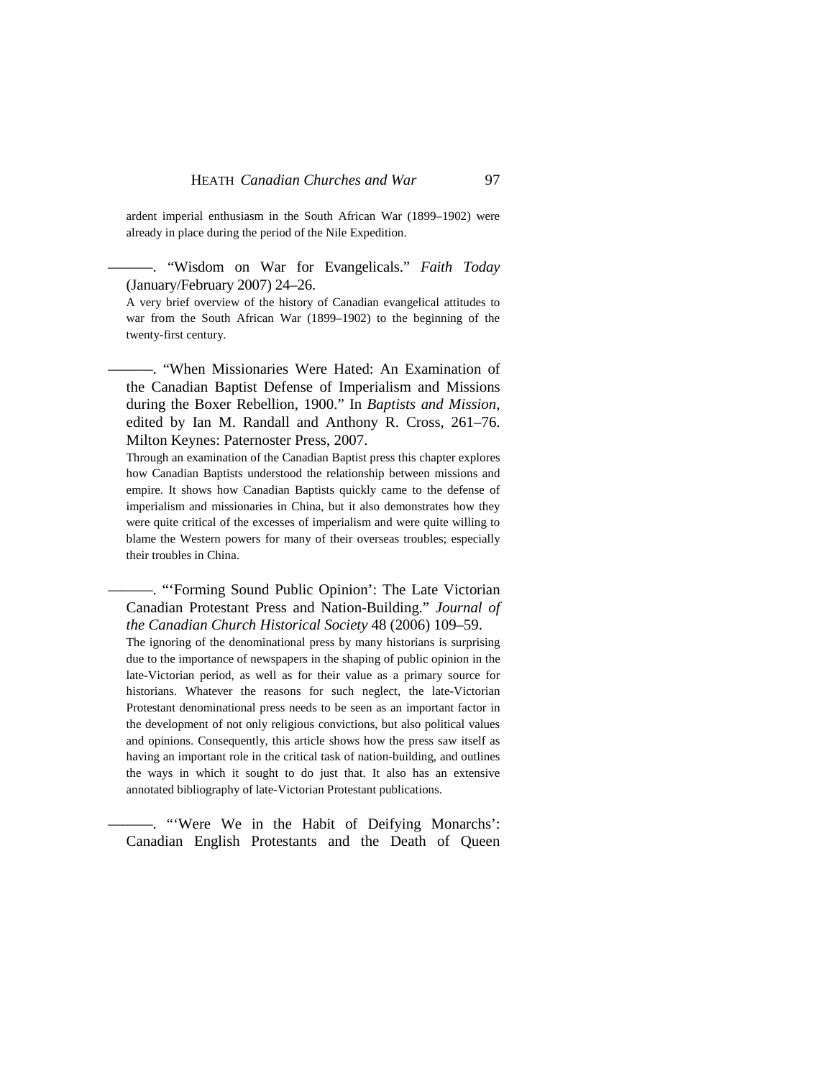ardent imperial enthusiasm in the South African War (1899–1902) were already in place during the period of the Nile Expedition.

———. "Wisdom on War for Evangelicals." *Faith Today* (January/February 2007) 24–26.

A very brief overview of the history of Canadian evangelical attitudes to war from the South African War (1899–1902) to the beginning of the twenty-first century.

———. "When Missionaries Were Hated: An Examination of the Canadian Baptist Defense of Imperialism and Missions during the Boxer Rebellion, 1900." In *Baptists and Mission*, edited by Ian M. Randall and Anthony R. Cross, 261–76. Milton Keynes: Paternoster Press, 2007.

Through an examination of the Canadian Baptist press this chapter explores how Canadian Baptists understood the relationship between missions and empire. It shows how Canadian Baptists quickly came to the defense of imperialism and missionaries in China, but it also demonstrates how they were quite critical of the excesses of imperialism and were quite willing to blame the Western powers for many of their overseas troubles; especially their troubles in China.

-. "'Forming Sound Public Opinion': The Late Victorian Canadian Protestant Press and Nation-Building." *Journal of the Canadian Church Historical Society* 48 (2006) 109–59.

The ignoring of the denominational press by many historians is surprising due to the importance of newspapers in the shaping of public opinion in the late-Victorian period, as well as for their value as a primary source for historians. Whatever the reasons for such neglect, the late-Victorian Protestant denominational press needs to be seen as an important factor in the development of not only religious convictions, but also political values and opinions. Consequently, this article shows how the press saw itself as having an important role in the critical task of nation-building, and outlines the ways in which it sought to do just that. It also has an extensive annotated bibliography of late-Victorian Protestant publications.

———. "'Were We in the Habit of Deifying Monarchs': Canadian English Protestants and the Death of Queen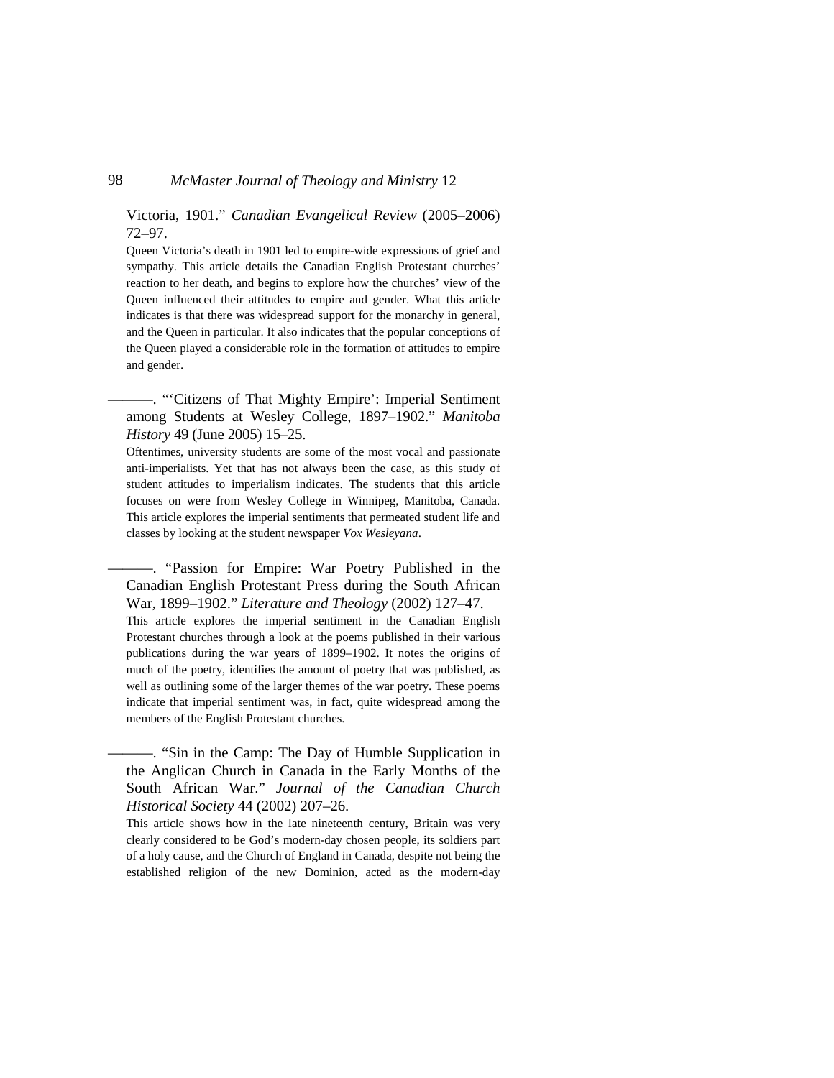Victoria, 1901." *Canadian Evangelical Review* (2005–2006) 72–97.

Queen Victoria's death in 1901 led to empire-wide expressions of grief and sympathy. This article details the Canadian English Protestant churches' reaction to her death, and begins to explore how the churches' view of the Queen influenced their attitudes to empire and gender. What this article indicates is that there was widespread support for the monarchy in general, and the Queen in particular. It also indicates that the popular conceptions of the Queen played a considerable role in the formation of attitudes to empire and gender.

———. "'Citizens of That Mighty Empire': Imperial Sentiment among Students at Wesley College, 1897–1902." *Manitoba History* 49 (June 2005) 15–25.

Oftentimes, university students are some of the most vocal and passionate anti-imperialists. Yet that has not always been the case, as this study of student attitudes to imperialism indicates. The students that this article focuses on were from Wesley College in Winnipeg, Manitoba, Canada. This article explores the imperial sentiments that permeated student life and classes by looking at the student newspaper *Vox Wesleyana*.

———. "Passion for Empire: War Poetry Published in the Canadian English Protestant Press during the South African War, 1899–1902." *Literature and Theology* (2002) 127–47.

This article explores the imperial sentiment in the Canadian English Protestant churches through a look at the poems published in their various publications during the war years of 1899–1902. It notes the origins of much of the poetry, identifies the amount of poetry that was published, as well as outlining some of the larger themes of the war poetry. These poems indicate that imperial sentiment was, in fact, quite widespread among the members of the English Protestant churches.

———. "Sin in the Camp: The Day of Humble Supplication in the Anglican Church in Canada in the Early Months of the South African War." *Journal of the Canadian Church Historical Society* 44 (2002) 207–26.

This article shows how in the late nineteenth century, Britain was very clearly considered to be God's modern-day chosen people, its soldiers part of a holy cause, and the Church of England in Canada, despite not being the established religion of the new Dominion, acted as the modern-day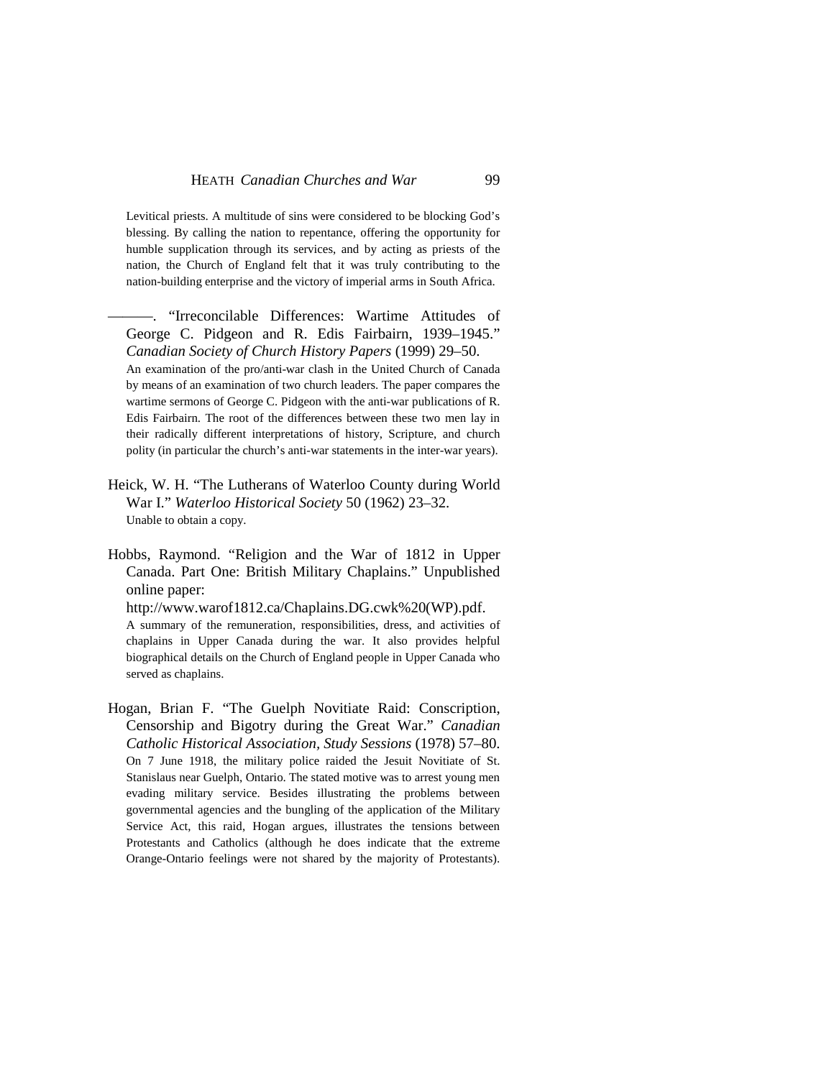Levitical priests. A multitude of sins were considered to be blocking God's blessing. By calling the nation to repentance, offering the opportunity for humble supplication through its services, and by acting as priests of the nation, the Church of England felt that it was truly contributing to the nation-building enterprise and the victory of imperial arms in South Africa.

"Irreconcilable Differences: Wartime Attitudes of George C. Pidgeon and R. Edis Fairbairn, 1939–1945." *Canadian Society of Church History Papers* (1999) 29–50. An examination of the pro/anti-war clash in the United Church of Canada by means of an examination of two church leaders. The paper compares the wartime sermons of George C. Pidgeon with the anti-war publications of R. Edis Fairbairn. The root of the differences between these two men lay in their radically different interpretations of history, Scripture, and church polity (in particular the church's anti-war statements in the inter-war years).

Heick, W. H. "The Lutherans of Waterloo County during World War I." *Waterloo Historical Society* 50 (1962) 23–32. Unable to obtain a copy.

Hobbs, Raymond. "Religion and the War of 1812 in Upper Canada. Part One: British Military Chaplains." Unpublished online paper:

http://www.warof1812.ca/Chaplains.DG.cwk%20(WP).pdf. A summary of the remuneration, responsibilities, dress, and activities of chaplains in Upper Canada during the war. It also provides helpful biographical details on the Church of England people in Upper Canada who served as chaplains.

Hogan, Brian F. "The Guelph Novitiate Raid: Conscription, Censorship and Bigotry during the Great War." *Canadian Catholic Historical Association, Study Sessions* (1978) 57–80. On 7 June 1918, the military police raided the Jesuit Novitiate of St. Stanislaus near Guelph, Ontario. The stated motive was to arrest young men evading military service. Besides illustrating the problems between governmental agencies and the bungling of the application of the Military Service Act, this raid, Hogan argues, illustrates the tensions between Protestants and Catholics (although he does indicate that the extreme Orange-Ontario feelings were not shared by the majority of Protestants).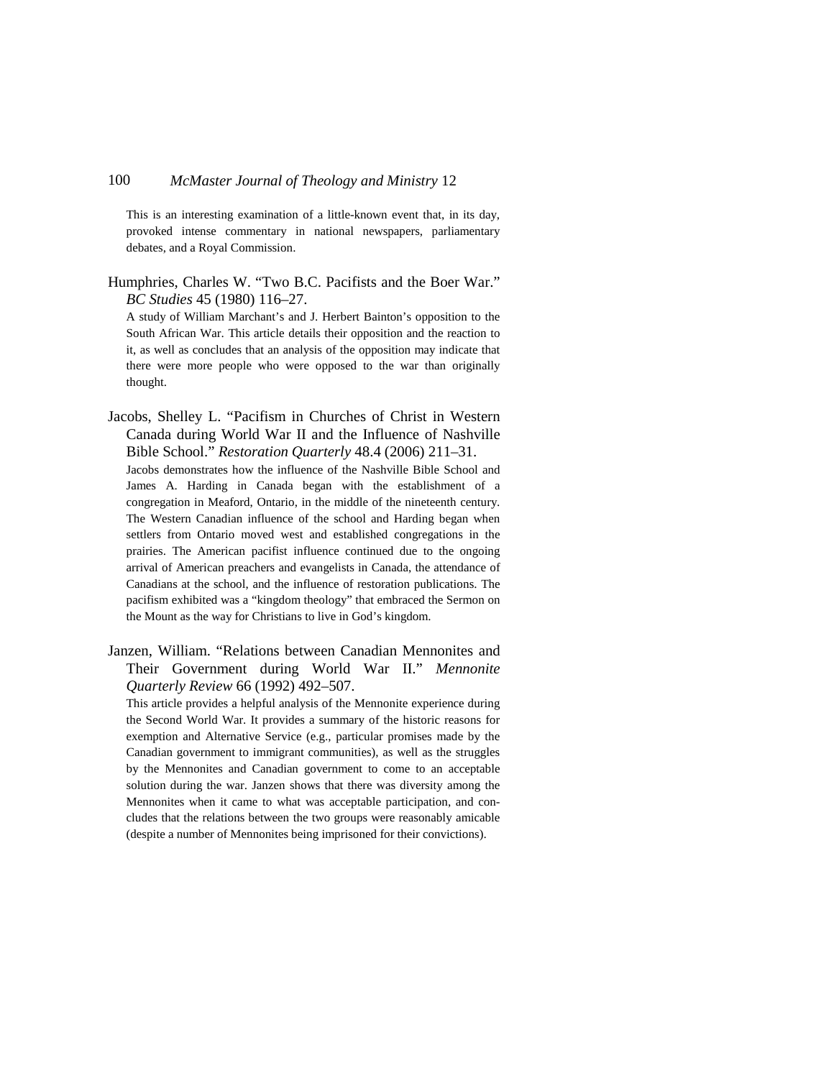This is an interesting examination of a little-known event that, in its day, provoked intense commentary in national newspapers, parliamentary debates, and a Royal Commission.

Humphries, Charles W. "Two B.C. Pacifists and the Boer War." *BC Studies* 45 (1980) 116–27.

A study of William Marchant's and J. Herbert Bainton's opposition to the South African War. This article details their opposition and the reaction to it, as well as concludes that an analysis of the opposition may indicate that there were more people who were opposed to the war than originally thought.

Jacobs, Shelley L. "Pacifism in Churches of Christ in Western Canada during World War II and the Influence of Nashville Bible School." *Restoration Quarterly* 48.4 (2006) 211–31.

Jacobs demonstrates how the influence of the Nashville Bible School and James A. Harding in Canada began with the establishment of a congregation in Meaford, Ontario, in the middle of the nineteenth century. The Western Canadian influence of the school and Harding began when settlers from Ontario moved west and established congregations in the prairies. The American pacifist influence continued due to the ongoing arrival of American preachers and evangelists in Canada, the attendance of Canadians at the school, and the influence of restoration publications. The pacifism exhibited was a "kingdom theology" that embraced the Sermon on the Mount as the way for Christians to live in God's kingdom.

Janzen, William. "Relations between Canadian Mennonites and Their Government during World War II." *Mennonite Quarterly Review* 66 (1992) 492–507.

This article provides a helpful analysis of the Mennonite experience during the Second World War. It provides a summary of the historic reasons for exemption and Alternative Service (e.g., particular promises made by the Canadian government to immigrant communities), as well as the struggles by the Mennonites and Canadian government to come to an acceptable solution during the war. Janzen shows that there was diversity among the Mennonites when it came to what was acceptable participation, and concludes that the relations between the two groups were reasonably amicable (despite a number of Mennonites being imprisoned for their convictions).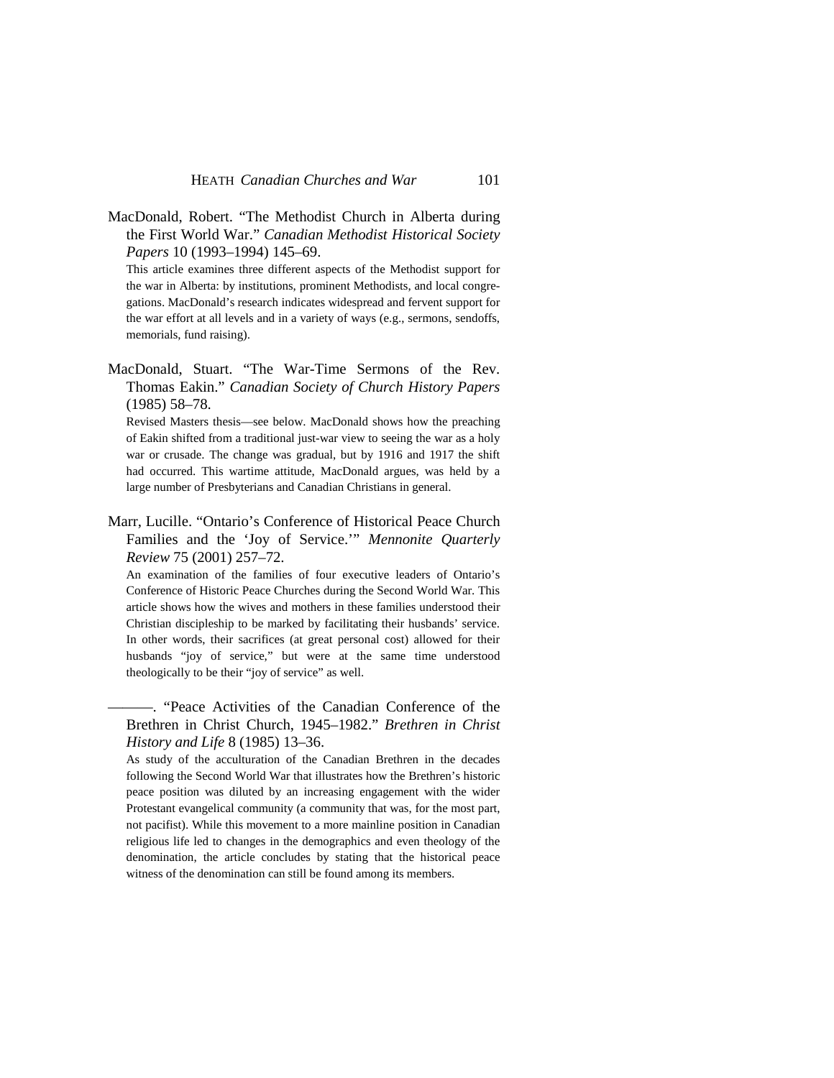MacDonald, Robert. "The Methodist Church in Alberta during the First World War." *Canadian Methodist Historical Society Papers* 10 (1993–1994) 145–69.

This article examines three different aspects of the Methodist support for the war in Alberta: by institutions, prominent Methodists, and local congregations. MacDonald's research indicates widespread and fervent support for the war effort at all levels and in a variety of ways (e.g., sermons, sendoffs, memorials, fund raising).

MacDonald, Stuart. "The War-Time Sermons of the Rev. Thomas Eakin." *Canadian Society of Church History Papers*  (1985) 58–78.

Revised Masters thesis—see below. MacDonald shows how the preaching of Eakin shifted from a traditional just-war view to seeing the war as a holy war or crusade. The change was gradual, but by 1916 and 1917 the shift had occurred. This wartime attitude, MacDonald argues, was held by a large number of Presbyterians and Canadian Christians in general.

Marr, Lucille. "Ontario's Conference of Historical Peace Church Families and the 'Joy of Service.'" *Mennonite Quarterly Review* 75 (2001) 257–72.

An examination of the families of four executive leaders of Ontario's Conference of Historic Peace Churches during the Second World War. This article shows how the wives and mothers in these families understood their Christian discipleship to be marked by facilitating their husbands' service. In other words, their sacrifices (at great personal cost) allowed for their husbands "joy of service," but were at the same time understood theologically to be their "joy of service" as well.

———. "Peace Activities of the Canadian Conference of the Brethren in Christ Church, 1945–1982." *Brethren in Christ History and Life* 8 (1985) 13–36.

As study of the acculturation of the Canadian Brethren in the decades following the Second World War that illustrates how the Brethren's historic peace position was diluted by an increasing engagement with the wider Protestant evangelical community (a community that was, for the most part, not pacifist). While this movement to a more mainline position in Canadian religious life led to changes in the demographics and even theology of the denomination, the article concludes by stating that the historical peace witness of the denomination can still be found among its members.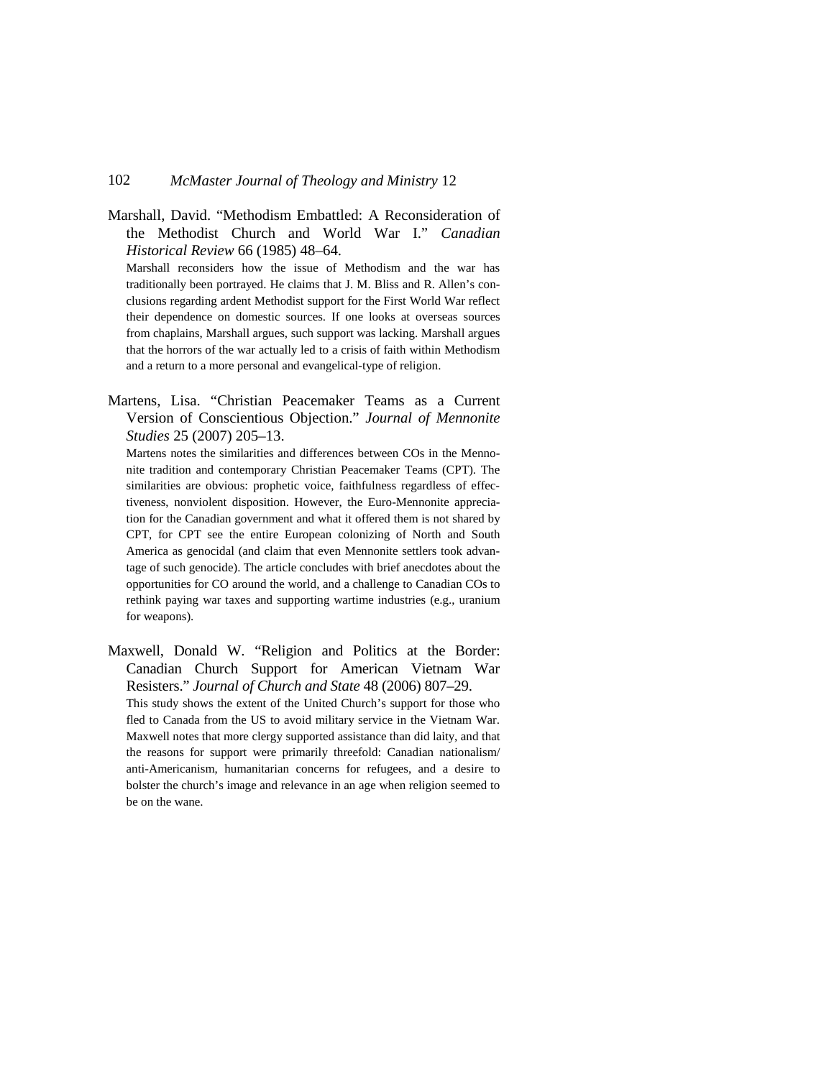Marshall, David. "Methodism Embattled: A Reconsideration of the Methodist Church and World War I." *Canadian Historical Review* 66 (1985) 48–64.

Marshall reconsiders how the issue of Methodism and the war has traditionally been portrayed. He claims that J. M. Bliss and R. Allen's conclusions regarding ardent Methodist support for the First World War reflect their dependence on domestic sources. If one looks at overseas sources from chaplains, Marshall argues, such support was lacking. Marshall argues that the horrors of the war actually led to a crisis of faith within Methodism and a return to a more personal and evangelical-type of religion.

Martens, Lisa. "Christian Peacemaker Teams as a Current Version of Conscientious Objection." *Journal of Mennonite Studies* 25 (2007) 205–13.

Martens notes the similarities and differences between COs in the Mennonite tradition and contemporary Christian Peacemaker Teams (CPT). The similarities are obvious: prophetic voice, faithfulness regardless of effectiveness, nonviolent disposition. However, the Euro-Mennonite appreciation for the Canadian government and what it offered them is not shared by CPT, for CPT see the entire European colonizing of North and South America as genocidal (and claim that even Mennonite settlers took advantage of such genocide). The article concludes with brief anecdotes about the opportunities for CO around the world, and a challenge to Canadian COs to rethink paying war taxes and supporting wartime industries (e.g., uranium for weapons).

Maxwell, Donald W. "Religion and Politics at the Border: Canadian Church Support for American Vietnam War Resisters." *Journal of Church and State* 48 (2006) 807–29.

This study shows the extent of the United Church's support for those who fled to Canada from the US to avoid military service in the Vietnam War. Maxwell notes that more clergy supported assistance than did laity, and that the reasons for support were primarily threefold: Canadian nationalism/ anti-Americanism, humanitarian concerns for refugees, and a desire to bolster the church's image and relevance in an age when religion seemed to be on the wane.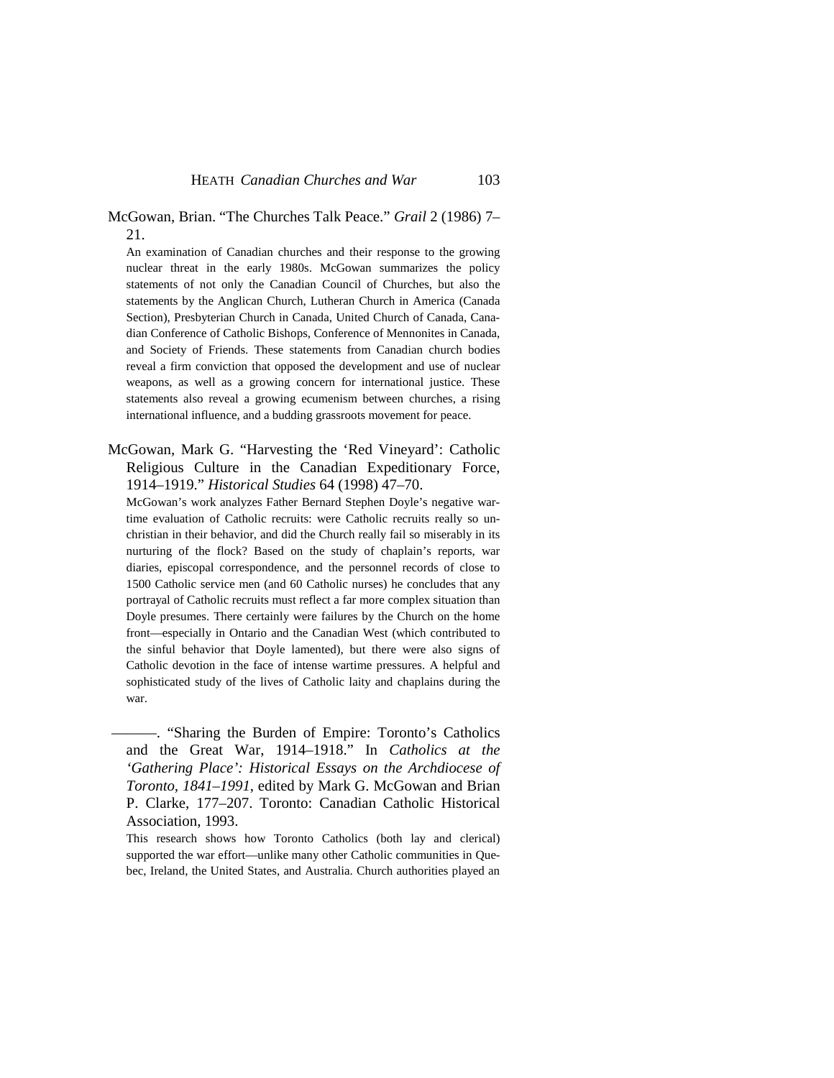### McGowan, Brian. "The Churches Talk Peace." *Grail* 2 (1986) 7– 21.

An examination of Canadian churches and their response to the growing nuclear threat in the early 1980s. McGowan summarizes the policy statements of not only the Canadian Council of Churches, but also the statements by the Anglican Church, Lutheran Church in America (Canada Section), Presbyterian Church in Canada, United Church of Canada, Canadian Conference of Catholic Bishops, Conference of Mennonites in Canada, and Society of Friends. These statements from Canadian church bodies reveal a firm conviction that opposed the development and use of nuclear weapons, as well as a growing concern for international justice. These statements also reveal a growing ecumenism between churches, a rising international influence, and a budding grassroots movement for peace.

McGowan, Mark G. "Harvesting the 'Red Vineyard': Catholic Religious Culture in the Canadian Expeditionary Force, 1914–1919." *Historical Studies* 64 (1998) 47–70.

McGowan's work analyzes Father Bernard Stephen Doyle's negative wartime evaluation of Catholic recruits: were Catholic recruits really so unchristian in their behavior, and did the Church really fail so miserably in its nurturing of the flock? Based on the study of chaplain's reports, war diaries, episcopal correspondence, and the personnel records of close to 1500 Catholic service men (and 60 Catholic nurses) he concludes that any portrayal of Catholic recruits must reflect a far more complex situation than Doyle presumes. There certainly were failures by the Church on the home front—especially in Ontario and the Canadian West (which contributed to the sinful behavior that Doyle lamented), but there were also signs of Catholic devotion in the face of intense wartime pressures. A helpful and sophisticated study of the lives of Catholic laity and chaplains during the war.

———. "Sharing the Burden of Empire: Toronto's Catholics and the Great War, 1914–1918." In *Catholics at the 'Gathering Place': Historical Essays on the Archdiocese of Toronto, 1841–1991*, edited by Mark G. McGowan and Brian P. Clarke, 177–207. Toronto: Canadian Catholic Historical Association, 1993.

This research shows how Toronto Catholics (both lay and clerical) supported the war effort—unlike many other Catholic communities in Quebec, Ireland, the United States, and Australia. Church authorities played an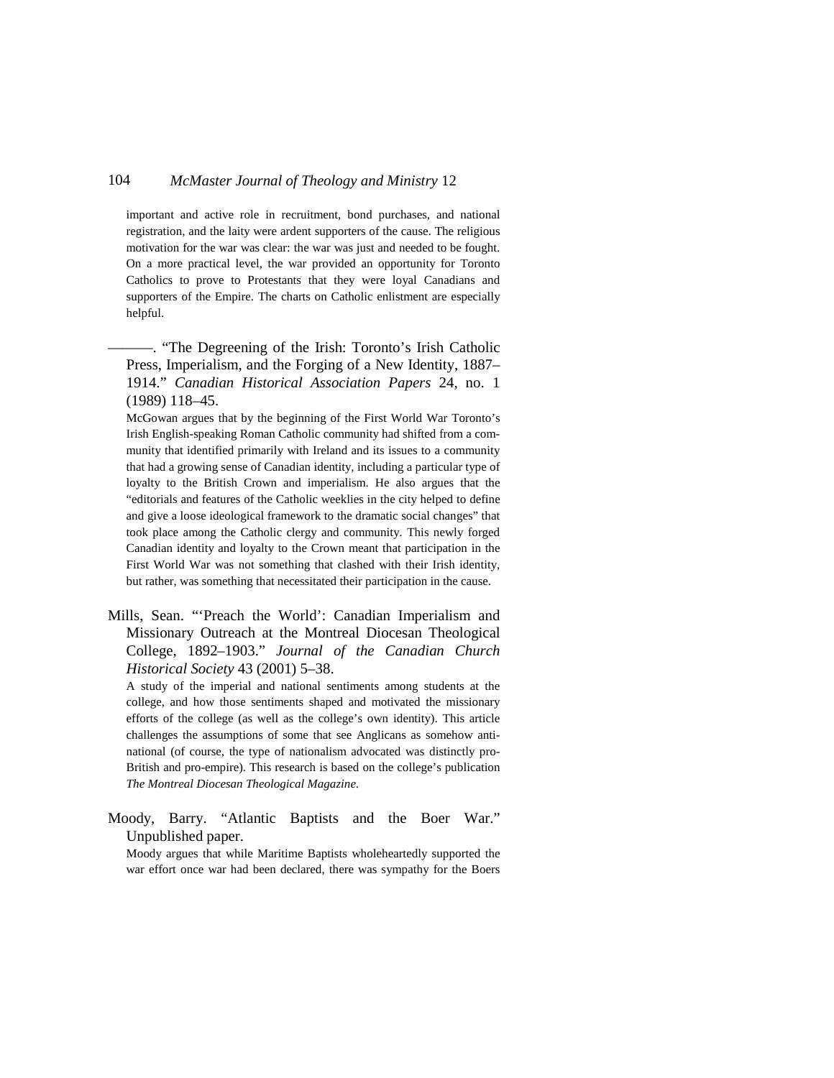important and active role in recruitment, bond purchases, and national registration, and the laity were ardent supporters of the cause. The religious motivation for the war was clear: the war was just and needed to be fought. On a more practical level, the war provided an opportunity for Toronto Catholics to prove to Protestants that they were loyal Canadians and supporters of the Empire. The charts on Catholic enlistment are especially helpful.

———. "The Degreening of the Irish: Toronto's Irish Catholic Press, Imperialism, and the Forging of a New Identity, 1887– 1914." *Canadian Historical Association Papers* 24, no. 1 (1989) 118–45.

McGowan argues that by the beginning of the First World War Toronto's Irish English-speaking Roman Catholic community had shifted from a community that identified primarily with Ireland and its issues to a community that had a growing sense of Canadian identity, including a particular type of loyalty to the British Crown and imperialism. He also argues that the "editorials and features of the Catholic weeklies in the city helped to define and give a loose ideological framework to the dramatic social changes" that took place among the Catholic clergy and community. This newly forged Canadian identity and loyalty to the Crown meant that participation in the First World War was not something that clashed with their Irish identity, but rather, was something that necessitated their participation in the cause.

Mills, Sean. "'Preach the World': Canadian Imperialism and Missionary Outreach at the Montreal Diocesan Theological College, 1892–1903." *Journal of the Canadian Church Historical Society* 43 (2001) 5–38.

A study of the imperial and national sentiments among students at the college, and how those sentiments shaped and motivated the missionary efforts of the college (as well as the college's own identity). This article challenges the assumptions of some that see Anglicans as somehow antinational (of course, the type of nationalism advocated was distinctly pro-British and pro-empire). This research is based on the college's publication *The Montreal Diocesan Theological Magazine*.

Moody, Barry. "Atlantic Baptists and the Boer War." Unpublished paper.

Moody argues that while Maritime Baptists wholeheartedly supported the war effort once war had been declared, there was sympathy for the Boers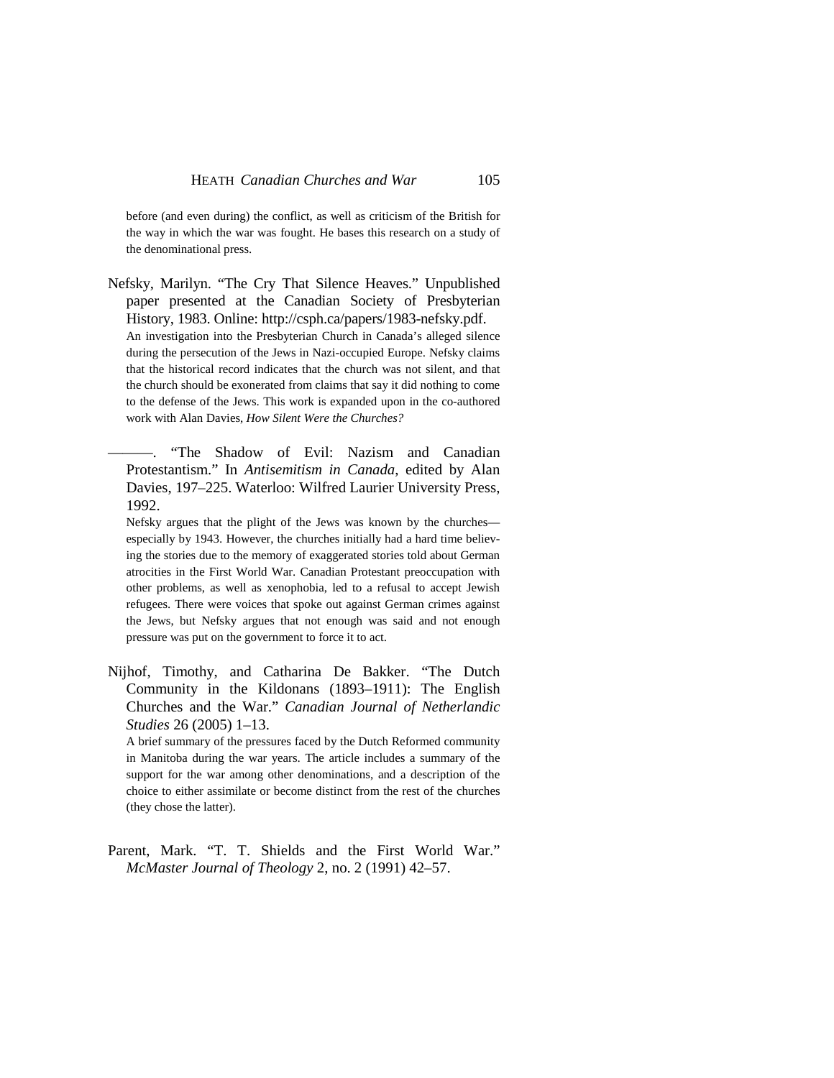before (and even during) the conflict, as well as criticism of the British for the way in which the war was fought. He bases this research on a study of the denominational press.

Nefsky, Marilyn. "The Cry That Silence Heaves." Unpublished paper presented at the Canadian Society of Presbyterian History, 1983. Online: http://csph.ca/papers/1983-nefsky.pdf. An investigation into the Presbyterian Church in Canada's alleged silence during the persecution of the Jews in Nazi-occupied Europe. Nefsky claims that the historical record indicates that the church was not silent, and that the church should be exonerated from claims that say it did nothing to come to the defense of the Jews. This work is expanded upon in the co-authored work with Alan Davies, *How Silent Were the Churches?*

———. "The Shadow of Evil: Nazism and Canadian Protestantism." In *Antisemitism in Canada*, edited by Alan Davies, 197–225. Waterloo: Wilfred Laurier University Press, 1992.

Nefsky argues that the plight of the Jews was known by the churches especially by 1943. However, the churches initially had a hard time believing the stories due to the memory of exaggerated stories told about German atrocities in the First World War. Canadian Protestant preoccupation with other problems, as well as xenophobia, led to a refusal to accept Jewish refugees. There were voices that spoke out against German crimes against the Jews, but Nefsky argues that not enough was said and not enough pressure was put on the government to force it to act.

Nijhof, Timothy, and Catharina De Bakker. "The Dutch Community in the Kildonans (1893–1911): The English Churches and the War." *Canadian Journal of Netherlandic Studies* 26 (2005) 1–13.

A brief summary of the pressures faced by the Dutch Reformed community in Manitoba during the war years. The article includes a summary of the support for the war among other denominations, and a description of the choice to either assimilate or become distinct from the rest of the churches (they chose the latter).

Parent, Mark. "T. T. Shields and the First World War." *McMaster Journal of Theology* 2, no. 2 (1991) 42–57.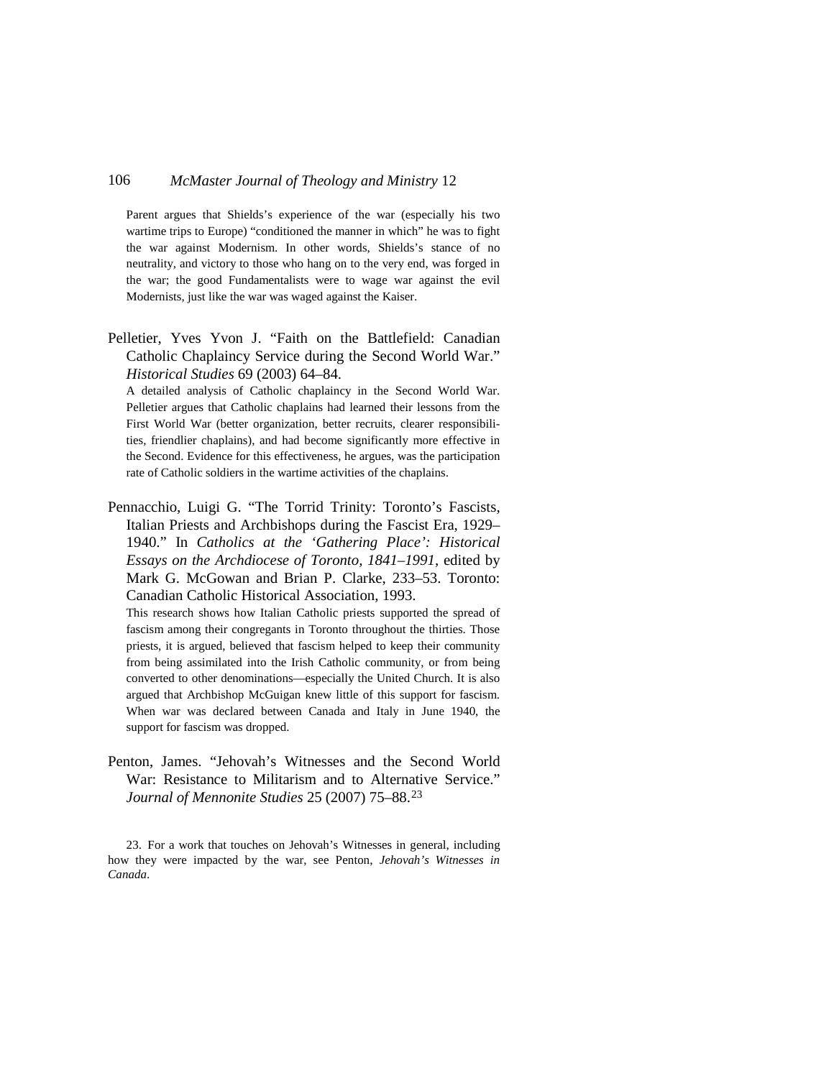Parent argues that Shields's experience of the war (especially his two wartime trips to Europe) "conditioned the manner in which" he was to fight the war against Modernism. In other words, Shields's stance of no neutrality, and victory to those who hang on to the very end, was forged in the war; the good Fundamentalists were to wage war against the evil Modernists, just like the war was waged against the Kaiser.

Pelletier, Yves Yvon J. "Faith on the Battlefield: Canadian Catholic Chaplaincy Service during the Second World War." *Historical Studies* 69 (2003) 64–84.

A detailed analysis of Catholic chaplaincy in the Second World War. Pelletier argues that Catholic chaplains had learned their lessons from the First World War (better organization, better recruits, clearer responsibilities, friendlier chaplains), and had become significantly more effective in the Second. Evidence for this effectiveness, he argues, was the participation rate of Catholic soldiers in the wartime activities of the chaplains.

Pennacchio, Luigi G. "The Torrid Trinity: Toronto's Fascists, Italian Priests and Archbishops during the Fascist Era, 1929– 1940." In *Catholics at the 'Gathering Place': Historical Essays on the Archdiocese of Toronto, 1841–1991*, edited by Mark G. McGowan and Brian P. Clarke, 233–53. Toronto: Canadian Catholic Historical Association, 1993.

This research shows how Italian Catholic priests supported the spread of fascism among their congregants in Toronto throughout the thirties. Those priests, it is argued, believed that fascism helped to keep their community from being assimilated into the Irish Catholic community, or from being converted to other denominations—especially the United Church. It is also argued that Archbishop McGuigan knew little of this support for fascism. When war was declared between Canada and Italy in June 1940, the support for fascism was dropped.

Penton, James. "Jehovah's Witnesses and the Second World War: Resistance to Militarism and to Alternative Service." *Journal of Mennonite Studies* 25 (2007) 75–88.[23](#page-45-0)

<span id="page-45-0"></span>23. For a work that touches on Jehovah's Witnesses in general, including how they were impacted by the war, see Penton, *Jehovah's Witnesses in Canada*.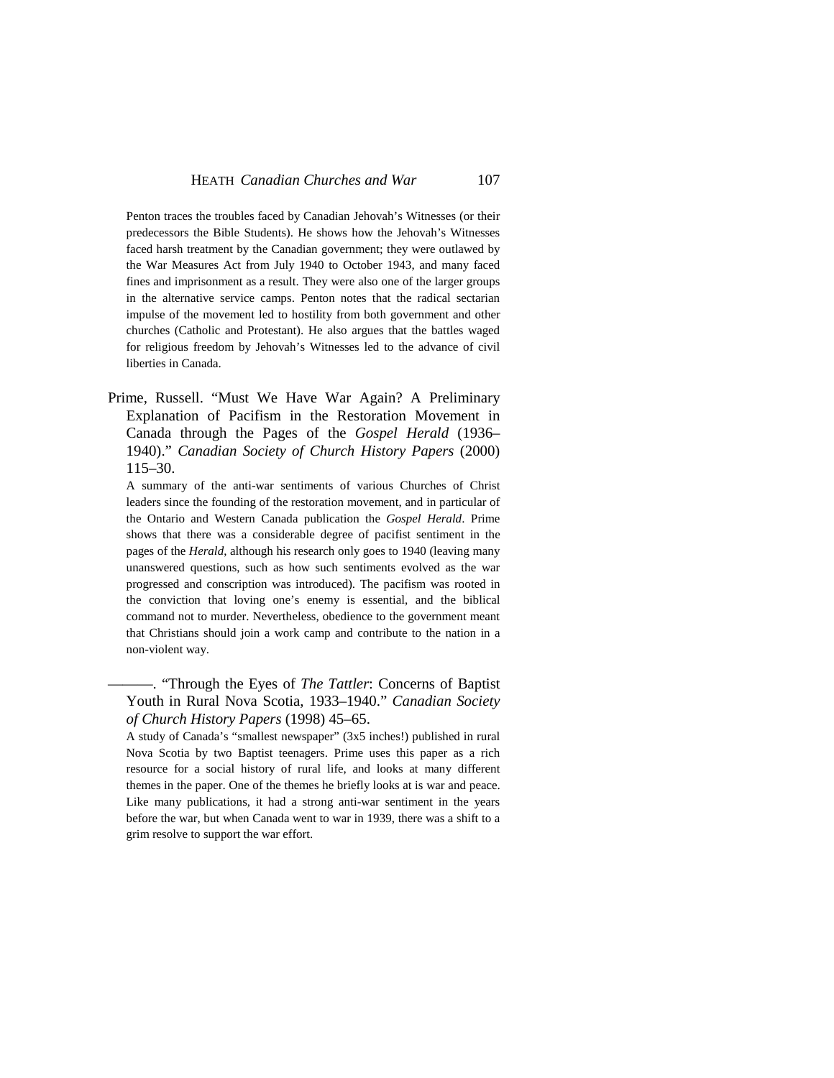Penton traces the troubles faced by Canadian Jehovah's Witnesses (or their predecessors the Bible Students). He shows how the Jehovah's Witnesses faced harsh treatment by the Canadian government; they were outlawed by the War Measures Act from July 1940 to October 1943, and many faced fines and imprisonment as a result. They were also one of the larger groups in the alternative service camps. Penton notes that the radical sectarian impulse of the movement led to hostility from both government and other churches (Catholic and Protestant). He also argues that the battles waged for religious freedom by Jehovah's Witnesses led to the advance of civil liberties in Canada.

Prime, Russell. "Must We Have War Again? A Preliminary Explanation of Pacifism in the Restoration Movement in Canada through the Pages of the *Gospel Herald* (1936– 1940)." *Canadian Society of Church History Papers* (2000) 115–30.

A summary of the anti-war sentiments of various Churches of Christ leaders since the founding of the restoration movement, and in particular of the Ontario and Western Canada publication the *Gospel Herald*. Prime shows that there was a considerable degree of pacifist sentiment in the pages of the *Herald*, although his research only goes to 1940 (leaving many unanswered questions, such as how such sentiments evolved as the war progressed and conscription was introduced). The pacifism was rooted in the conviction that loving one's enemy is essential, and the biblical command not to murder. Nevertheless, obedience to the government meant that Christians should join a work camp and contribute to the nation in a non-violent way.

———. "Through the Eyes of *The Tattler*: Concerns of Baptist Youth in Rural Nova Scotia, 1933–1940." *Canadian Society of Church History Papers* (1998) 45–65.

A study of Canada's "smallest newspaper" (3x5 inches!) published in rural Nova Scotia by two Baptist teenagers. Prime uses this paper as a rich resource for a social history of rural life, and looks at many different themes in the paper. One of the themes he briefly looks at is war and peace. Like many publications, it had a strong anti-war sentiment in the years before the war, but when Canada went to war in 1939, there was a shift to a grim resolve to support the war effort.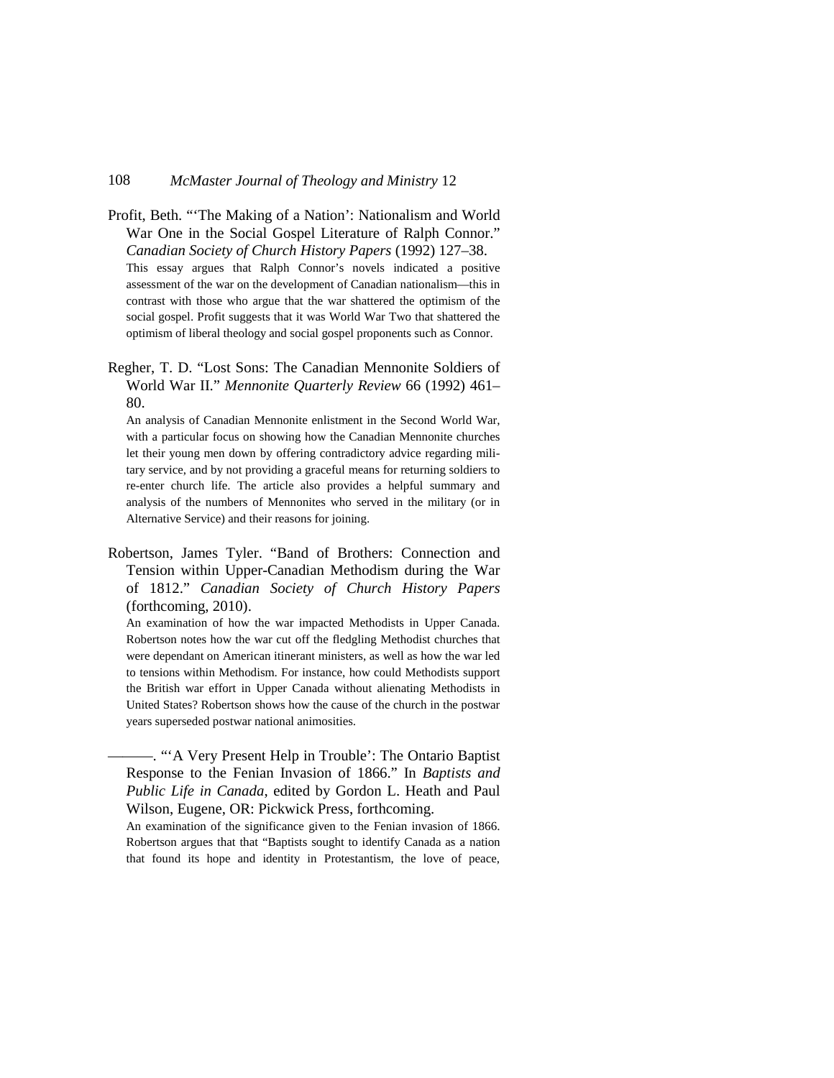- Profit, Beth. "'The Making of a Nation': Nationalism and World War One in the Social Gospel Literature of Ralph Connor." *Canadian Society of Church History Papers* (1992) 127–38. This essay argues that Ralph Connor's novels indicated a positive assessment of the war on the development of Canadian nationalism—this in contrast with those who argue that the war shattered the optimism of the social gospel. Profit suggests that it was World War Two that shattered the optimism of liberal theology and social gospel proponents such as Connor.
- Regher, T. D. "Lost Sons: The Canadian Mennonite Soldiers of World War II." *Mennonite Quarterly Review* 66 (1992) 461– 80.

An analysis of Canadian Mennonite enlistment in the Second World War, with a particular focus on showing how the Canadian Mennonite churches let their young men down by offering contradictory advice regarding military service, and by not providing a graceful means for returning soldiers to re-enter church life. The article also provides a helpful summary and analysis of the numbers of Mennonites who served in the military (or in Alternative Service) and their reasons for joining.

Robertson, James Tyler. "Band of Brothers: Connection and Tension within Upper-Canadian Methodism during the War of 1812." *Canadian Society of Church History Papers* (forthcoming, 2010).

An examination of how the war impacted Methodists in Upper Canada. Robertson notes how the war cut off the fledgling Methodist churches that were dependant on American itinerant ministers, as well as how the war led to tensions within Methodism. For instance, how could Methodists support the British war effort in Upper Canada without alienating Methodists in United States? Robertson shows how the cause of the church in the postwar years superseded postwar national animosities.

———. "'A Very Present Help in Trouble': The Ontario Baptist Response to the Fenian Invasion of 1866." In *Baptists and Public Life in Canada*, edited by Gordon L. Heath and Paul Wilson, Eugene, OR: Pickwick Press, forthcoming.

An examination of the significance given to the Fenian invasion of 1866. Robertson argues that that "Baptists sought to identify Canada as a nation that found its hope and identity in Protestantism, the love of peace,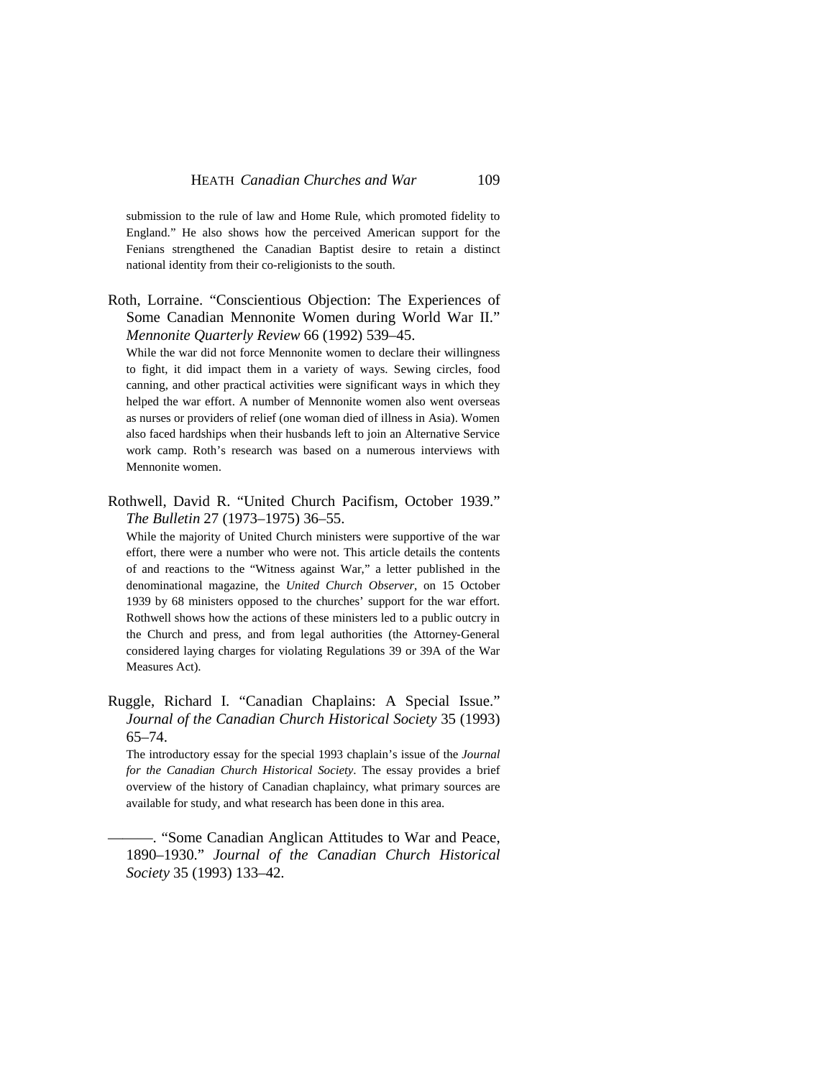submission to the rule of law and Home Rule, which promoted fidelity to England." He also shows how the perceived American support for the Fenians strengthened the Canadian Baptist desire to retain a distinct national identity from their co-religionists to the south.

Roth, Lorraine. "Conscientious Objection: The Experiences of Some Canadian Mennonite Women during World War II." *Mennonite Quarterly Review* 66 (1992) 539–45.

While the war did not force Mennonite women to declare their willingness to fight, it did impact them in a variety of ways. Sewing circles, food canning, and other practical activities were significant ways in which they helped the war effort. A number of Mennonite women also went overseas as nurses or providers of relief (one woman died of illness in Asia). Women also faced hardships when their husbands left to join an Alternative Service work camp. Roth's research was based on a numerous interviews with Mennonite women.

Rothwell, David R. "United Church Pacifism, October 1939." *The Bulletin* 27 (1973–1975) 36–55.

While the majority of United Church ministers were supportive of the war effort, there were a number who were not. This article details the contents of and reactions to the "Witness against War," a letter published in the denominational magazine, the *United Church Observer*, on 15 October 1939 by 68 ministers opposed to the churches' support for the war effort. Rothwell shows how the actions of these ministers led to a public outcry in the Church and press, and from legal authorities (the Attorney-General considered laying charges for violating Regulations 39 or 39A of the War Measures Act).

Ruggle, Richard I. "Canadian Chaplains: A Special Issue." *Journal of the Canadian Church Historical Society* 35 (1993) 65–74.

The introductory essay for the special 1993 chaplain's issue of the *Journal for the Canadian Church Historical Society*. The essay provides a brief overview of the history of Canadian chaplaincy, what primary sources are available for study, and what research has been done in this area.

———. "Some Canadian Anglican Attitudes to War and Peace, 1890–1930." *Journal of the Canadian Church Historical Society* 35 (1993) 133–42.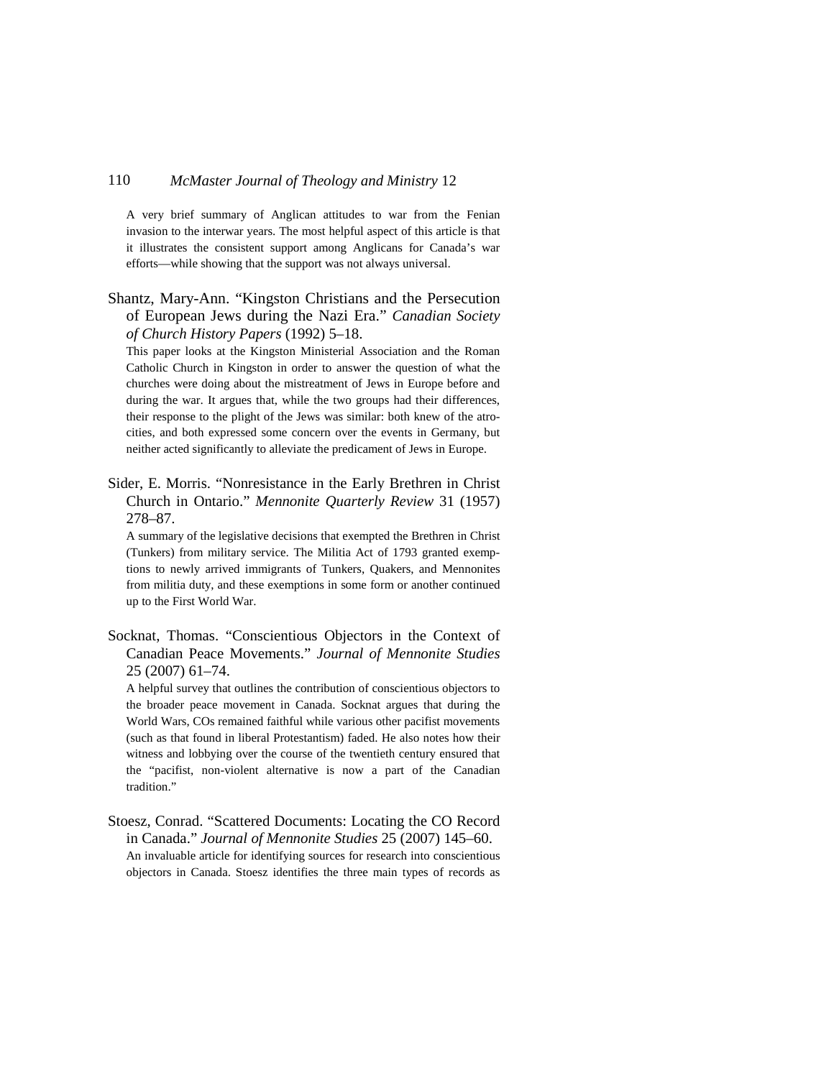A very brief summary of Anglican attitudes to war from the Fenian invasion to the interwar years. The most helpful aspect of this article is that it illustrates the consistent support among Anglicans for Canada's war efforts—while showing that the support was not always universal.

Shantz, Mary-Ann. "Kingston Christians and the Persecution of European Jews during the Nazi Era." *Canadian Society of Church History Papers* (1992) 5–18.

This paper looks at the Kingston Ministerial Association and the Roman Catholic Church in Kingston in order to answer the question of what the churches were doing about the mistreatment of Jews in Europe before and during the war. It argues that, while the two groups had their differences, their response to the plight of the Jews was similar: both knew of the atrocities, and both expressed some concern over the events in Germany, but neither acted significantly to alleviate the predicament of Jews in Europe.

Sider, E. Morris. "Nonresistance in the Early Brethren in Christ Church in Ontario." *Mennonite Quarterly Review* 31 (1957) 278–87.

A summary of the legislative decisions that exempted the Brethren in Christ (Tunkers) from military service. The Militia Act of 1793 granted exemptions to newly arrived immigrants of Tunkers, Quakers, and Mennonites from militia duty, and these exemptions in some form or another continued up to the First World War.

Socknat, Thomas. "Conscientious Objectors in the Context of Canadian Peace Movements." *Journal of Mennonite Studies* 25 (2007) 61–74.

A helpful survey that outlines the contribution of conscientious objectors to the broader peace movement in Canada. Socknat argues that during the World Wars, COs remained faithful while various other pacifist movements (such as that found in liberal Protestantism) faded. He also notes how their witness and lobbying over the course of the twentieth century ensured that the "pacifist, non-violent alternative is now a part of the Canadian tradition."

Stoesz, Conrad. "Scattered Documents: Locating the CO Record in Canada." *Journal of Mennonite Studies* 25 (2007) 145–60. An invaluable article for identifying sources for research into conscientious objectors in Canada. Stoesz identifies the three main types of records as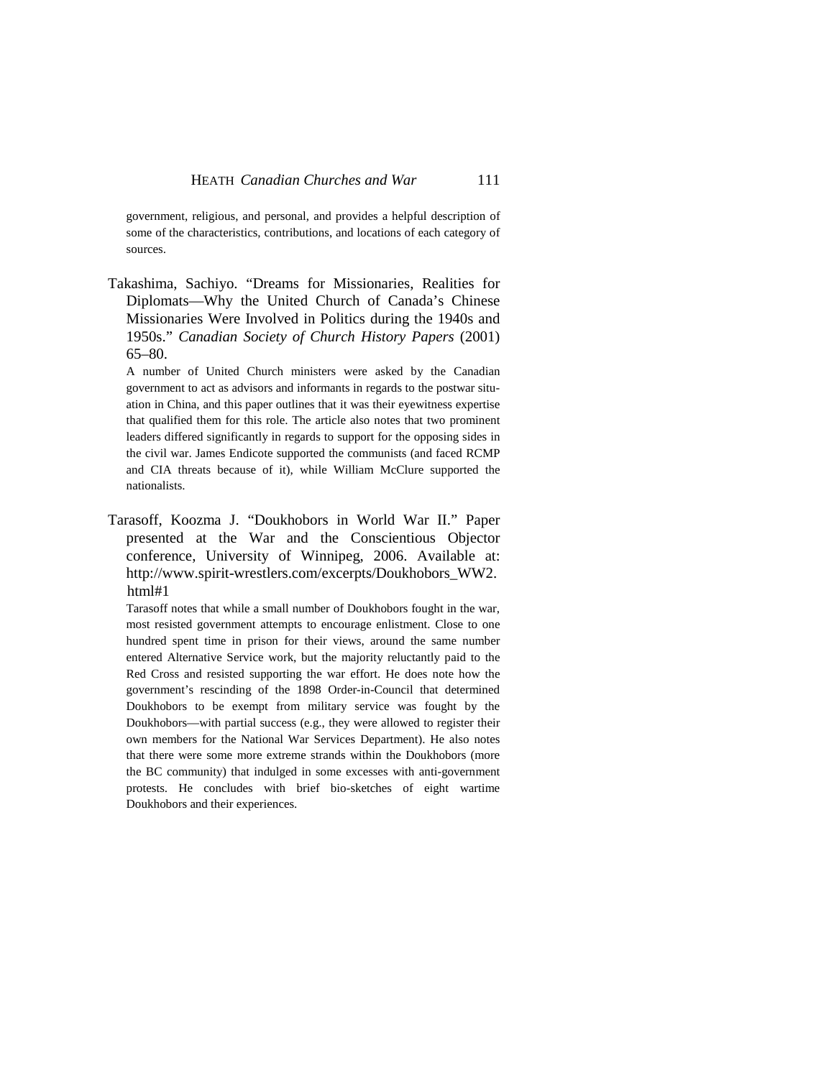government, religious, and personal, and provides a helpful description of some of the characteristics, contributions, and locations of each category of sources.

Takashima, Sachiyo. "Dreams for Missionaries, Realities for Diplomats—Why the United Church of Canada's Chinese Missionaries Were Involved in Politics during the 1940s and 1950s." *Canadian Society of Church History Papers* (2001) 65–80.

A number of United Church ministers were asked by the Canadian government to act as advisors and informants in regards to the postwar situation in China, and this paper outlines that it was their eyewitness expertise that qualified them for this role. The article also notes that two prominent leaders differed significantly in regards to support for the opposing sides in the civil war. James Endicote supported the communists (and faced RCMP and CIA threats because of it), while William McClure supported the nationalists.

Tarasoff, Koozma J. "Doukhobors in World War II." Paper presented at the War and the Conscientious Objector conference, University of Winnipeg, 2006. Available at: http://www.spirit-wrestlers.com/excerpts/Doukhobors\_WW2. html#1

Tarasoff notes that while a small number of Doukhobors fought in the war, most resisted government attempts to encourage enlistment. Close to one hundred spent time in prison for their views, around the same number entered Alternative Service work, but the majority reluctantly paid to the Red Cross and resisted supporting the war effort. He does note how the government's rescinding of the 1898 Order-in-Council that determined Doukhobors to be exempt from military service was fought by the Doukhobors—with partial success (e.g., they were allowed to register their own members for the National War Services Department). He also notes that there were some more extreme strands within the Doukhobors (more the BC community) that indulged in some excesses with anti-government protests. He concludes with brief bio-sketches of eight wartime Doukhobors and their experiences.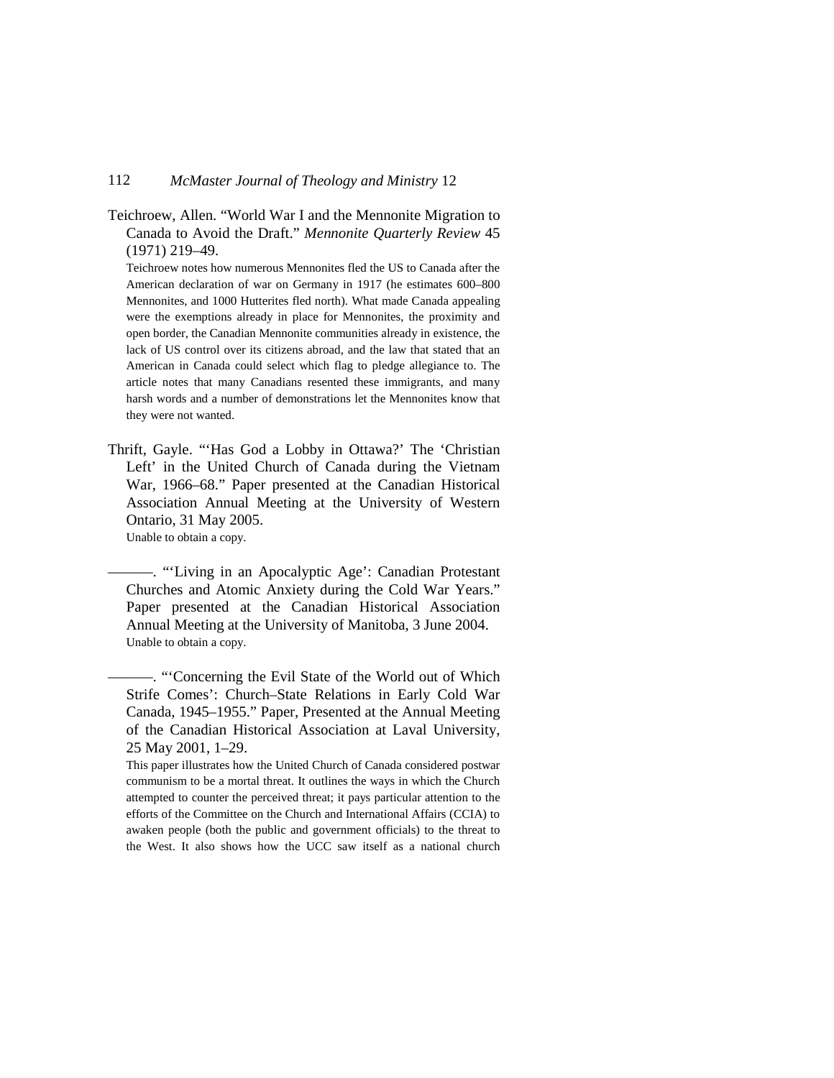Teichroew, Allen. "World War I and the Mennonite Migration to Canada to Avoid the Draft." *Mennonite Quarterly Review* 45 (1971) 219–49.

Teichroew notes how numerous Mennonites fled the US to Canada after the American declaration of war on Germany in 1917 (he estimates 600–800 Mennonites, and 1000 Hutterites fled north). What made Canada appealing were the exemptions already in place for Mennonites, the proximity and open border, the Canadian Mennonite communities already in existence, the lack of US control over its citizens abroad, and the law that stated that an American in Canada could select which flag to pledge allegiance to. The article notes that many Canadians resented these immigrants, and many harsh words and a number of demonstrations let the Mennonites know that they were not wanted.

Thrift, Gayle. "'Has God a Lobby in Ottawa?' The 'Christian Left' in the United Church of Canada during the Vietnam War, 1966–68." Paper presented at the Canadian Historical Association Annual Meeting at the University of Western Ontario, 31 May 2005. Unable to obtain a copy.

———. "'Living in an Apocalyptic Age': Canadian Protestant Churches and Atomic Anxiety during the Cold War Years." Paper presented at the Canadian Historical Association Annual Meeting at the University of Manitoba, 3 June 2004. Unable to obtain a copy.

———. "'Concerning the Evil State of the World out of Which Strife Comes': Church–State Relations in Early Cold War Canada, 1945–1955." Paper, Presented at the Annual Meeting of the Canadian Historical Association at Laval University, 25 May 2001, 1–29.

This paper illustrates how the United Church of Canada considered postwar communism to be a mortal threat. It outlines the ways in which the Church attempted to counter the perceived threat; it pays particular attention to the efforts of the Committee on the Church and International Affairs (CCIA) to awaken people (both the public and government officials) to the threat to the West. It also shows how the UCC saw itself as a national church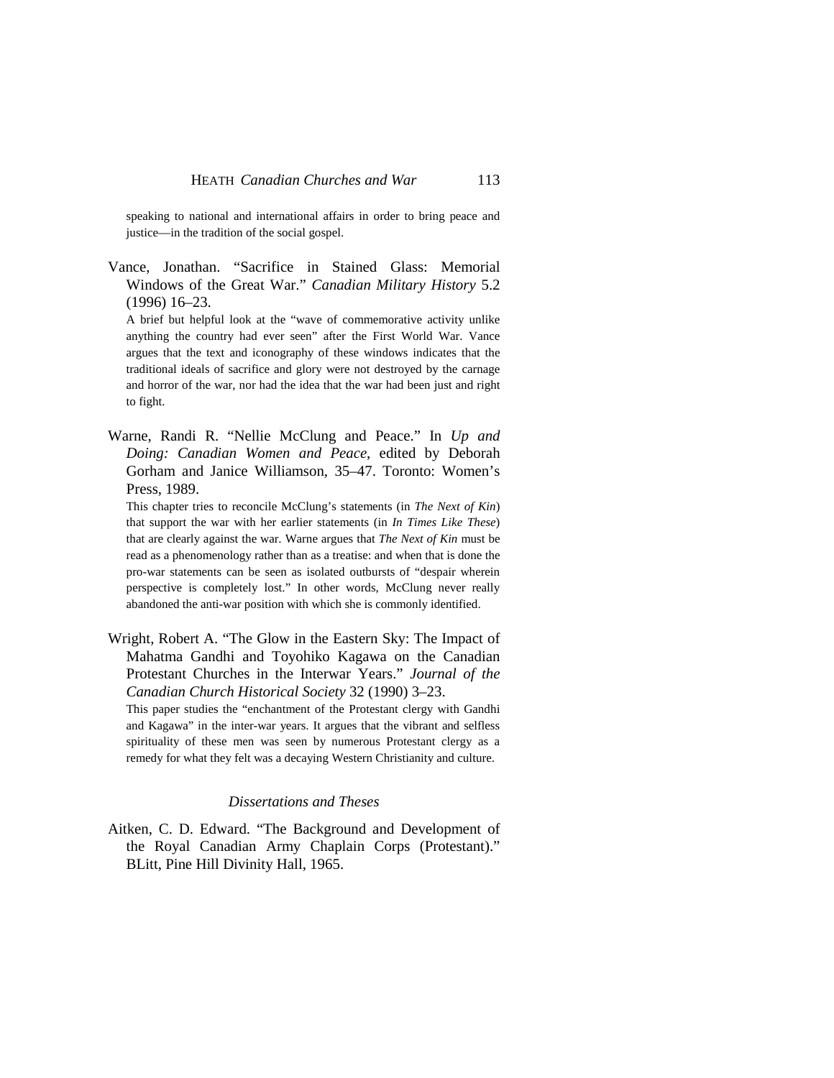speaking to national and international affairs in order to bring peace and justice—in the tradition of the social gospel.

Vance, Jonathan. "Sacrifice in Stained Glass: Memorial Windows of the Great War." *Canadian Military History* 5.2 (1996) 16–23.

A brief but helpful look at the "wave of commemorative activity unlike anything the country had ever seen" after the First World War. Vance argues that the text and iconography of these windows indicates that the traditional ideals of sacrifice and glory were not destroyed by the carnage and horror of the war, nor had the idea that the war had been just and right to fight.

Warne, Randi R. "Nellie McClung and Peace." In *Up and Doing: Canadian Women and Peace*, edited by Deborah Gorham and Janice Williamson, 35–47. Toronto: Women's Press, 1989.

This chapter tries to reconcile McClung's statements (in *The Next of Kin*) that support the war with her earlier statements (in *In Times Like These*) that are clearly against the war. Warne argues that *The Next of Kin* must be read as a phenomenology rather than as a treatise: and when that is done the pro-war statements can be seen as isolated outbursts of "despair wherein perspective is completely lost." In other words, McClung never really abandoned the anti-war position with which she is commonly identified.

Wright, Robert A. "The Glow in the Eastern Sky: The Impact of Mahatma Gandhi and Toyohiko Kagawa on the Canadian Protestant Churches in the Interwar Years." *Journal of the Canadian Church Historical Society* 32 (1990) 3–23.

This paper studies the "enchantment of the Protestant clergy with Gandhi and Kagawa" in the inter-war years. It argues that the vibrant and selfless spirituality of these men was seen by numerous Protestant clergy as a remedy for what they felt was a decaying Western Christianity and culture.

#### *Dissertations and Theses*

Aitken, C. D. Edward. "The Background and Development of the Royal Canadian Army Chaplain Corps (Protestant)." BLitt, Pine Hill Divinity Hall, 1965.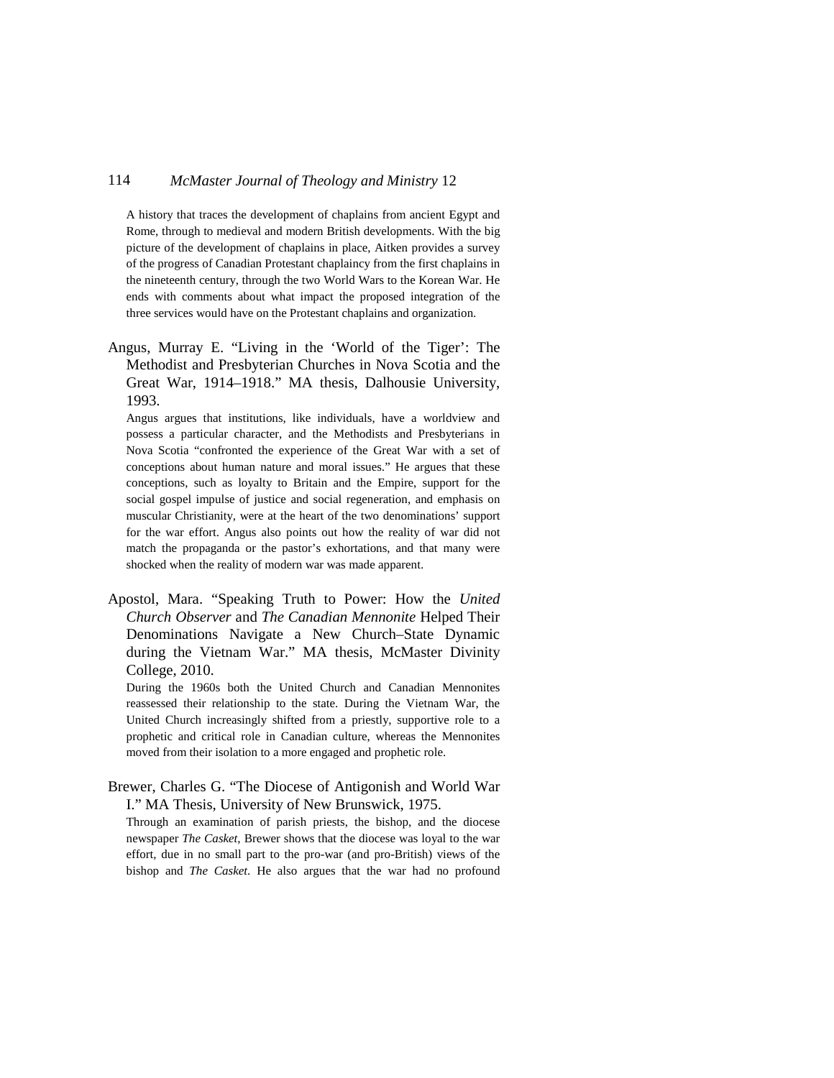A history that traces the development of chaplains from ancient Egypt and Rome, through to medieval and modern British developments. With the big picture of the development of chaplains in place, Aitken provides a survey of the progress of Canadian Protestant chaplaincy from the first chaplains in the nineteenth century, through the two World Wars to the Korean War. He ends with comments about what impact the proposed integration of the three services would have on the Protestant chaplains and organization.

Angus, Murray E. "Living in the 'World of the Tiger': The Methodist and Presbyterian Churches in Nova Scotia and the Great War, 1914–1918." MA thesis, Dalhousie University, 1993.

Angus argues that institutions, like individuals, have a worldview and possess a particular character, and the Methodists and Presbyterians in Nova Scotia "confronted the experience of the Great War with a set of conceptions about human nature and moral issues." He argues that these conceptions, such as loyalty to Britain and the Empire, support for the social gospel impulse of justice and social regeneration, and emphasis on muscular Christianity, were at the heart of the two denominations' support for the war effort. Angus also points out how the reality of war did not match the propaganda or the pastor's exhortations, and that many were shocked when the reality of modern war was made apparent.

Apostol, Mara. "Speaking Truth to Power: How the *United Church Observer* and *The Canadian Mennonite* Helped Their Denominations Navigate a New Church–State Dynamic during the Vietnam War." MA thesis, McMaster Divinity College, 2010.

During the 1960s both the United Church and Canadian Mennonites reassessed their relationship to the state. During the Vietnam War, the United Church increasingly shifted from a priestly, supportive role to a prophetic and critical role in Canadian culture, whereas the Mennonites moved from their isolation to a more engaged and prophetic role.

Brewer, Charles G. "The Diocese of Antigonish and World War I." MA Thesis, University of New Brunswick, 1975.

Through an examination of parish priests, the bishop, and the diocese newspaper *The Casket*, Brewer shows that the diocese was loyal to the war effort, due in no small part to the pro-war (and pro-British) views of the bishop and *The Casket*. He also argues that the war had no profound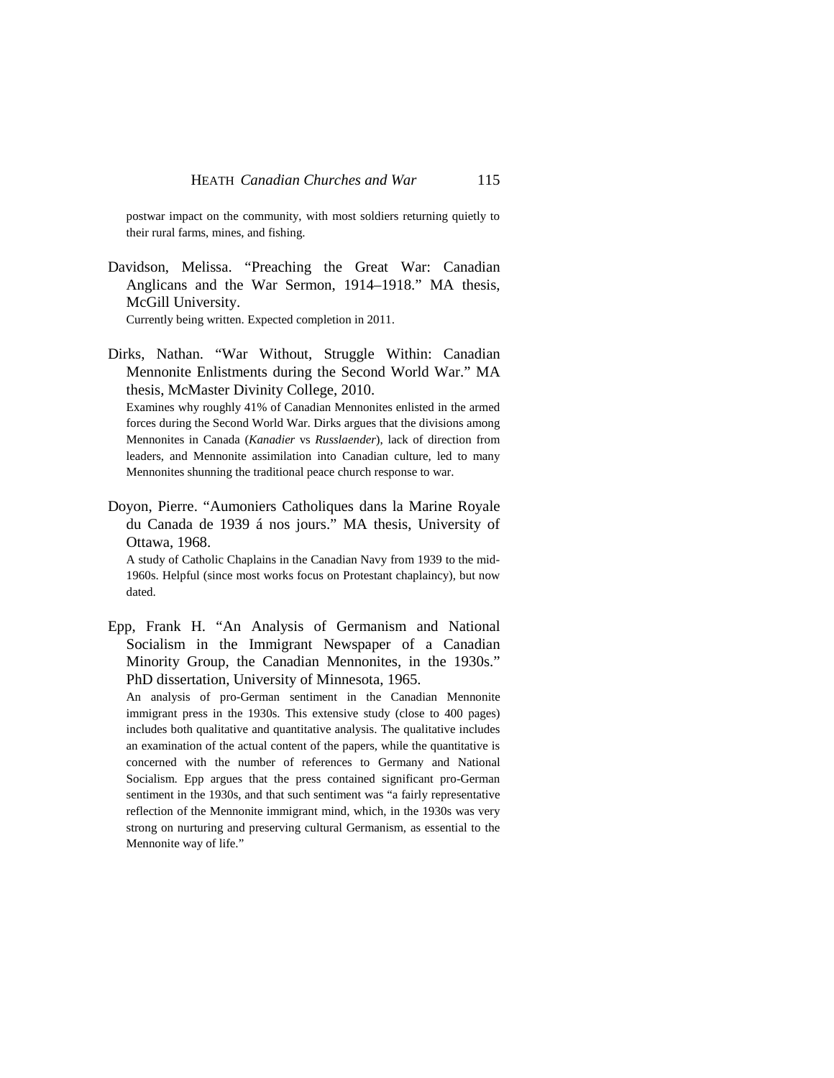postwar impact on the community, with most soldiers returning quietly to their rural farms, mines, and fishing.

Davidson, Melissa. "Preaching the Great War: Canadian Anglicans and the War Sermon, 1914–1918." MA thesis, McGill University.

Currently being written. Expected completion in 2011.

Dirks, Nathan. "War Without, Struggle Within: Canadian Mennonite Enlistments during the Second World War." MA thesis, McMaster Divinity College, 2010.

Examines why roughly 41% of Canadian Mennonites enlisted in the armed forces during the Second World War. Dirks argues that the divisions among Mennonites in Canada (*Kanadier* vs *Russlaender*), lack of direction from leaders, and Mennonite assimilation into Canadian culture, led to many Mennonites shunning the traditional peace church response to war.

Doyon, Pierre. "Aumoniers Catholiques dans la Marine Royale du Canada de 1939 á nos jours." MA thesis, University of Ottawa, 1968.

A study of Catholic Chaplains in the Canadian Navy from 1939 to the mid-1960s. Helpful (since most works focus on Protestant chaplaincy), but now dated.

Epp, Frank H. "An Analysis of Germanism and National Socialism in the Immigrant Newspaper of a Canadian Minority Group, the Canadian Mennonites, in the 1930s." PhD dissertation, University of Minnesota, 1965.

An analysis of pro-German sentiment in the Canadian Mennonite immigrant press in the 1930s. This extensive study (close to 400 pages) includes both qualitative and quantitative analysis. The qualitative includes an examination of the actual content of the papers, while the quantitative is concerned with the number of references to Germany and National Socialism. Epp argues that the press contained significant pro-German sentiment in the 1930s, and that such sentiment was "a fairly representative reflection of the Mennonite immigrant mind, which, in the 1930s was very strong on nurturing and preserving cultural Germanism, as essential to the Mennonite way of life."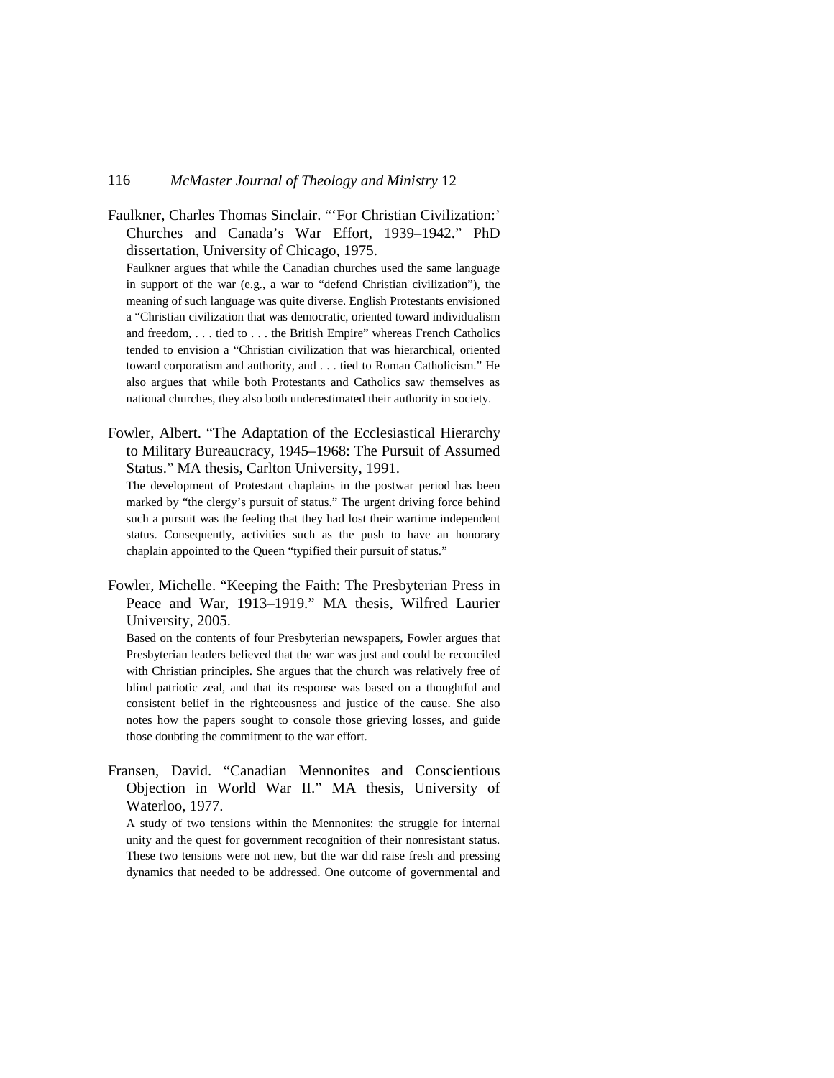Faulkner, Charles Thomas Sinclair. "'For Christian Civilization:' Churches and Canada's War Effort, 1939–1942." PhD dissertation, University of Chicago, 1975.

Faulkner argues that while the Canadian churches used the same language in support of the war (e.g., a war to "defend Christian civilization"), the meaning of such language was quite diverse. English Protestants envisioned a "Christian civilization that was democratic, oriented toward individualism and freedom, . . . tied to . . . the British Empire" whereas French Catholics tended to envision a "Christian civilization that was hierarchical, oriented toward corporatism and authority, and . . . tied to Roman Catholicism." He also argues that while both Protestants and Catholics saw themselves as national churches, they also both underestimated their authority in society.

Fowler, Albert. "The Adaptation of the Ecclesiastical Hierarchy to Military Bureaucracy, 1945–1968: The Pursuit of Assumed Status." MA thesis, Carlton University, 1991.

The development of Protestant chaplains in the postwar period has been marked by "the clergy's pursuit of status." The urgent driving force behind such a pursuit was the feeling that they had lost their wartime independent status. Consequently, activities such as the push to have an honorary chaplain appointed to the Queen "typified their pursuit of status."

Fowler, Michelle. "Keeping the Faith: The Presbyterian Press in Peace and War, 1913–1919." MA thesis, Wilfred Laurier University, 2005.

Based on the contents of four Presbyterian newspapers, Fowler argues that Presbyterian leaders believed that the war was just and could be reconciled with Christian principles. She argues that the church was relatively free of blind patriotic zeal, and that its response was based on a thoughtful and consistent belief in the righteousness and justice of the cause. She also notes how the papers sought to console those grieving losses, and guide those doubting the commitment to the war effort.

Fransen, David. "Canadian Mennonites and Conscientious Objection in World War II." MA thesis, University of Waterloo, 1977.

A study of two tensions within the Mennonites: the struggle for internal unity and the quest for government recognition of their nonresistant status. These two tensions were not new, but the war did raise fresh and pressing dynamics that needed to be addressed. One outcome of governmental and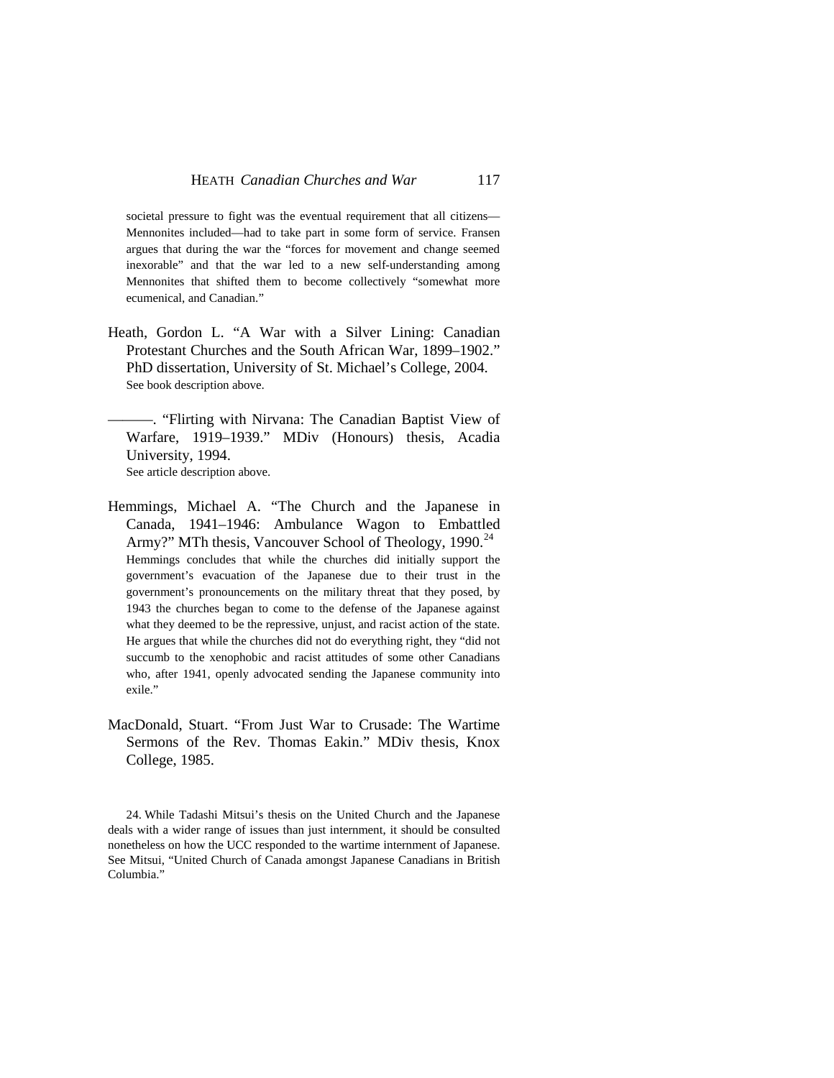societal pressure to fight was the eventual requirement that all citizens— Mennonites included—had to take part in some form of service. Fransen argues that during the war the "forces for movement and change seemed inexorable" and that the war led to a new self-understanding among Mennonites that shifted them to become collectively "somewhat more ecumenical, and Canadian."

- Heath, Gordon L. "A War with a Silver Lining: Canadian Protestant Churches and the South African War, 1899–1902." PhD dissertation, University of St. Michael's College, 2004. See book description above.
- ———. "Flirting with Nirvana: The Canadian Baptist View of Warfare, 1919–1939." MDiv (Honours) thesis, Acadia University, 1994. See article description above.
- Hemmings, Michael A. "The Church and the Japanese in Canada, 1941–1946: Ambulance Wagon to Embattled Army?" MTh thesis, Vancouver School of Theology, 1990.<sup>[24](#page-56-0)</sup> Hemmings concludes that while the churches did initially support the government's evacuation of the Japanese due to their trust in the government's pronouncements on the military threat that they posed, by 1943 the churches began to come to the defense of the Japanese against what they deemed to be the repressive, unjust, and racist action of the state. He argues that while the churches did not do everything right, they "did not succumb to the xenophobic and racist attitudes of some other Canadians who, after 1941, openly advocated sending the Japanese community into exile."
- MacDonald, Stuart. "From Just War to Crusade: The Wartime Sermons of the Rev. Thomas Eakin." MDiv thesis, Knox College, 1985.

<span id="page-56-0"></span>24. While Tadashi Mitsui's thesis on the United Church and the Japanese deals with a wider range of issues than just internment, it should be consulted nonetheless on how the UCC responded to the wartime internment of Japanese. See Mitsui, "United Church of Canada amongst Japanese Canadians in British Columbia."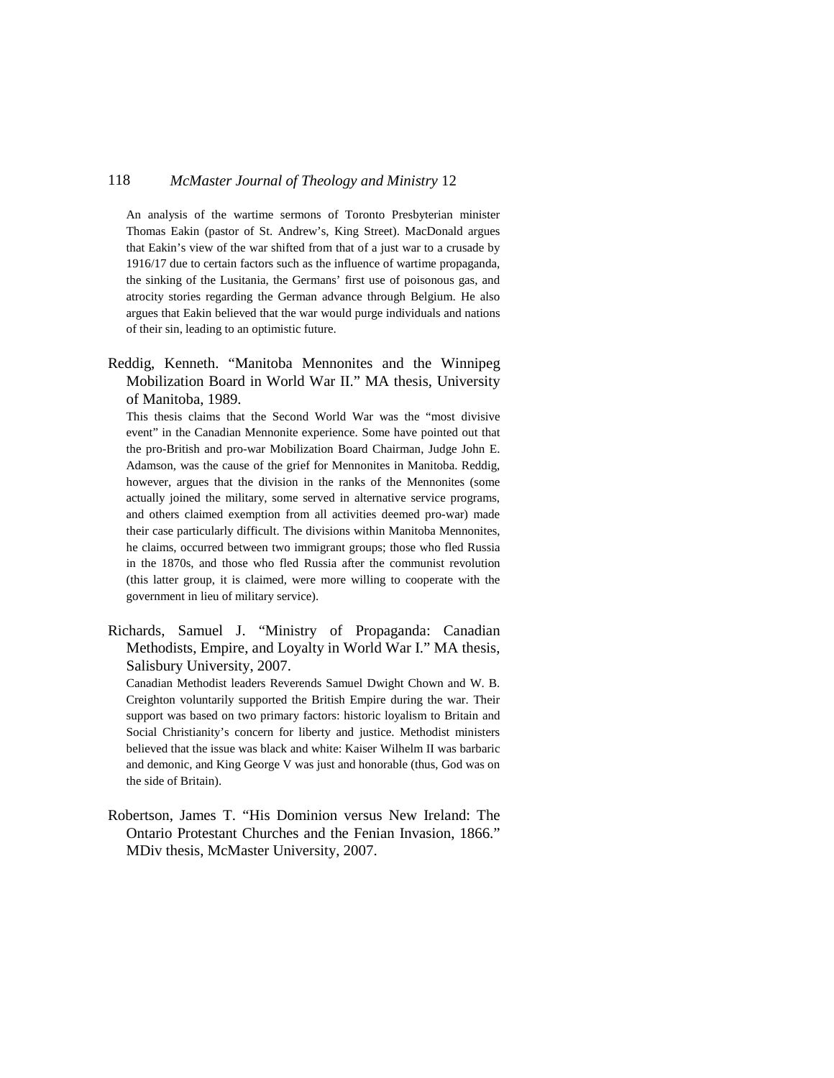An analysis of the wartime sermons of Toronto Presbyterian minister Thomas Eakin (pastor of St. Andrew's, King Street). MacDonald argues that Eakin's view of the war shifted from that of a just war to a crusade by 1916/17 due to certain factors such as the influence of wartime propaganda, the sinking of the Lusitania, the Germans' first use of poisonous gas, and atrocity stories regarding the German advance through Belgium. He also argues that Eakin believed that the war would purge individuals and nations of their sin, leading to an optimistic future.

Reddig, Kenneth. "Manitoba Mennonites and the Winnipeg Mobilization Board in World War II." MA thesis, University of Manitoba, 1989.

This thesis claims that the Second World War was the "most divisive event" in the Canadian Mennonite experience. Some have pointed out that the pro-British and pro-war Mobilization Board Chairman, Judge John E. Adamson, was the cause of the grief for Mennonites in Manitoba. Reddig, however, argues that the division in the ranks of the Mennonites (some actually joined the military, some served in alternative service programs, and others claimed exemption from all activities deemed pro-war) made their case particularly difficult. The divisions within Manitoba Mennonites, he claims, occurred between two immigrant groups; those who fled Russia in the 1870s, and those who fled Russia after the communist revolution (this latter group, it is claimed, were more willing to cooperate with the government in lieu of military service).

Richards, Samuel J. "Ministry of Propaganda: Canadian Methodists, Empire, and Loyalty in World War I." MA thesis, Salisbury University, 2007.

Canadian Methodist leaders Reverends Samuel Dwight Chown and W. B. Creighton voluntarily supported the British Empire during the war. Their support was based on two primary factors: historic loyalism to Britain and Social Christianity's concern for liberty and justice. Methodist ministers believed that the issue was black and white: Kaiser Wilhelm II was barbaric and demonic, and King George V was just and honorable (thus, God was on the side of Britain).

Robertson, James T. "His Dominion versus New Ireland: The Ontario Protestant Churches and the Fenian Invasion, 1866." MDiv thesis, McMaster University, 2007.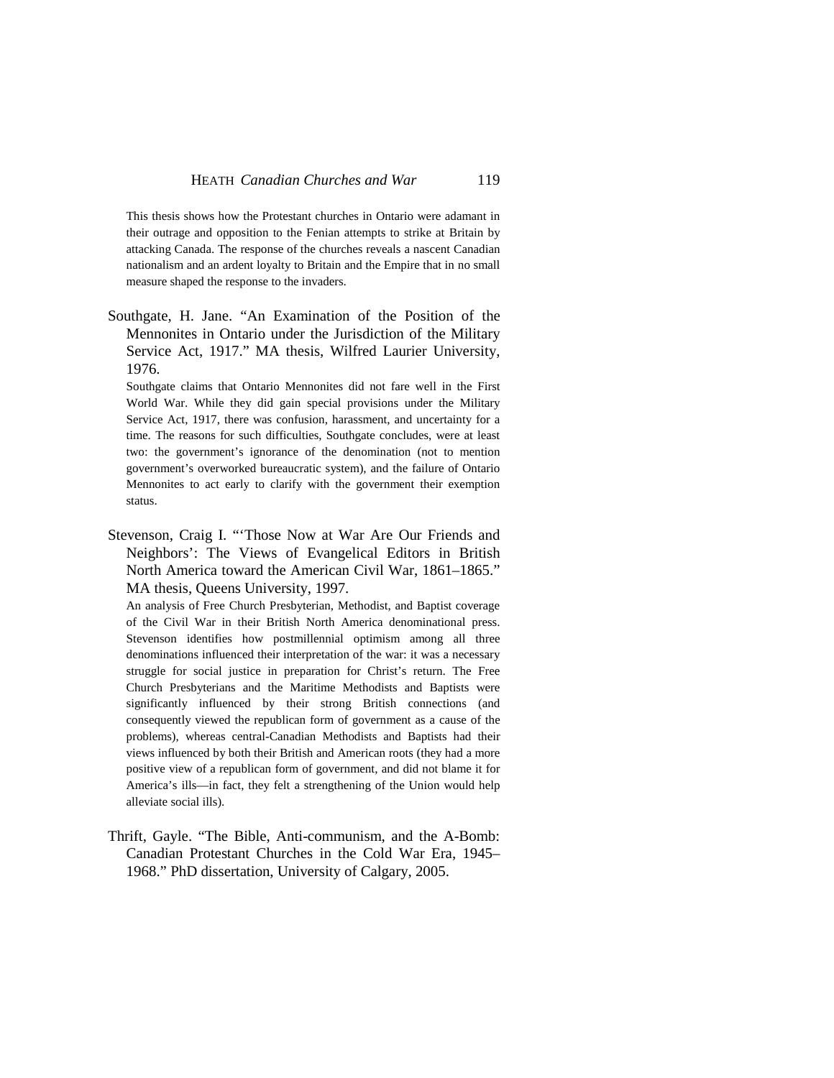This thesis shows how the Protestant churches in Ontario were adamant in their outrage and opposition to the Fenian attempts to strike at Britain by attacking Canada. The response of the churches reveals a nascent Canadian nationalism and an ardent loyalty to Britain and the Empire that in no small measure shaped the response to the invaders.

Southgate, H. Jane. "An Examination of the Position of the Mennonites in Ontario under the Jurisdiction of the Military Service Act, 1917." MA thesis, Wilfred Laurier University, 1976.

Southgate claims that Ontario Mennonites did not fare well in the First World War. While they did gain special provisions under the Military Service Act, 1917, there was confusion, harassment, and uncertainty for a time. The reasons for such difficulties, Southgate concludes, were at least two: the government's ignorance of the denomination (not to mention government's overworked bureaucratic system), and the failure of Ontario Mennonites to act early to clarify with the government their exemption status.

Stevenson, Craig I. "'Those Now at War Are Our Friends and Neighbors': The Views of Evangelical Editors in British North America toward the American Civil War, 1861–1865." MA thesis, Queens University, 1997.

An analysis of Free Church Presbyterian, Methodist, and Baptist coverage of the Civil War in their British North America denominational press. Stevenson identifies how postmillennial optimism among all three denominations influenced their interpretation of the war: it was a necessary struggle for social justice in preparation for Christ's return. The Free Church Presbyterians and the Maritime Methodists and Baptists were significantly influenced by their strong British connections (and consequently viewed the republican form of government as a cause of the problems), whereas central-Canadian Methodists and Baptists had their views influenced by both their British and American roots (they had a more positive view of a republican form of government, and did not blame it for America's ills—in fact, they felt a strengthening of the Union would help alleviate social ills).

Thrift, Gayle. "The Bible, Anti-communism, and the A-Bomb: Canadian Protestant Churches in the Cold War Era, 1945– 1968." PhD dissertation, University of Calgary, 2005.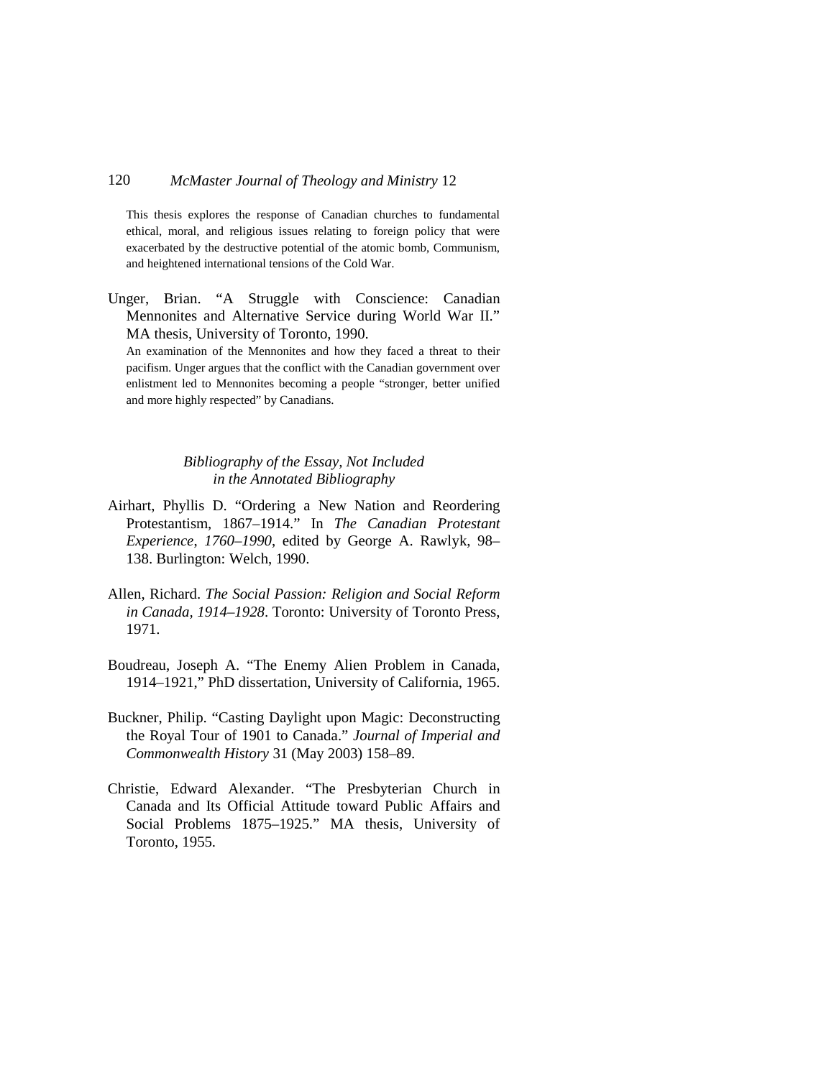This thesis explores the response of Canadian churches to fundamental ethical, moral, and religious issues relating to foreign policy that were exacerbated by the destructive potential of the atomic bomb, Communism, and heightened international tensions of the Cold War.

Unger, Brian. "A Struggle with Conscience: Canadian Mennonites and Alternative Service during World War II." MA thesis, University of Toronto, 1990.

An examination of the Mennonites and how they faced a threat to their pacifism. Unger argues that the conflict with the Canadian government over enlistment led to Mennonites becoming a people "stronger, better unified and more highly respected" by Canadians.

### *Bibliography of the Essay, Not Included in the Annotated Bibliography*

- Airhart, Phyllis D. "Ordering a New Nation and Reordering Protestantism, 1867–1914." In *The Canadian Protestant Experience*, *1760–1990*, edited by George A. Rawlyk, 98– 138. Burlington: Welch, 1990.
- Allen, Richard. *The Social Passion: Religion and Social Reform in Canada, 1914–1928*. Toronto: University of Toronto Press, 1971.
- Boudreau, Joseph A. "The Enemy Alien Problem in Canada, 1914–1921," PhD dissertation, University of California, 1965.
- Buckner, Philip. "Casting Daylight upon Magic: Deconstructing the Royal Tour of 1901 to Canada." *Journal of Imperial and Commonwealth History* 31 (May 2003) 158–89.
- Christie, Edward Alexander. "The Presbyterian Church in Canada and Its Official Attitude toward Public Affairs and Social Problems 1875–1925." MA thesis, University of Toronto, 1955.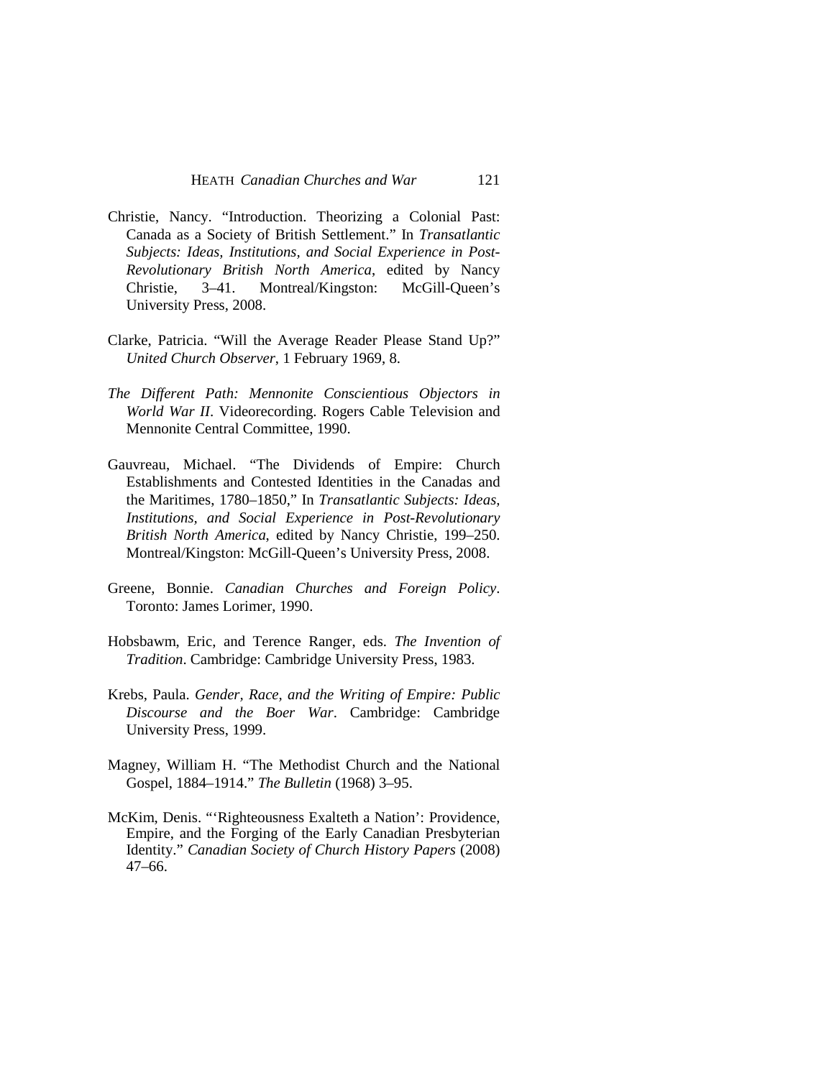- Christie, Nancy. "Introduction. Theorizing a Colonial Past: Canada as a Society of British Settlement." In *Transatlantic Subjects: Ideas, Institutions, and Social Experience in Post-Revolutionary British North America*, edited by Nancy Christie, 3–41. Montreal/Kingston: McGill-Queen's University Press, 2008.
- Clarke, Patricia. "Will the Average Reader Please Stand Up?" *United Church Observer*, 1 February 1969, 8.
- *The Different Path: Mennonite Conscientious Objectors in World War II*. Videorecording. Rogers Cable Television and Mennonite Central Committee, 1990.
- Gauvreau, Michael. "The Dividends of Empire: Church Establishments and Contested Identities in the Canadas and the Maritimes, 1780–1850," In *Transatlantic Subjects: Ideas, Institutions, and Social Experience in Post-Revolutionary British North America*, edited by Nancy Christie, 199–250. Montreal/Kingston: McGill-Queen's University Press, 2008.
- Greene, Bonnie. *Canadian Churches and Foreign Policy*. Toronto: James Lorimer, 1990.
- Hobsbawm, Eric, and Terence Ranger, eds. *The Invention of Tradition*. Cambridge: Cambridge University Press, 1983.
- Krebs, Paula. *Gender, Race, and the Writing of Empire: Public Discourse and the Boer War*. Cambridge: Cambridge University Press, 1999.
- Magney, William H. "The Methodist Church and the National Gospel, 1884–1914." *The Bulletin* (1968) 3–95.
- McKim, Denis. "'Righteousness Exalteth a Nation': Providence, Empire, and the Forging of the Early Canadian Presbyterian Identity." *Canadian Society of Church History Papers* (2008) 47–66.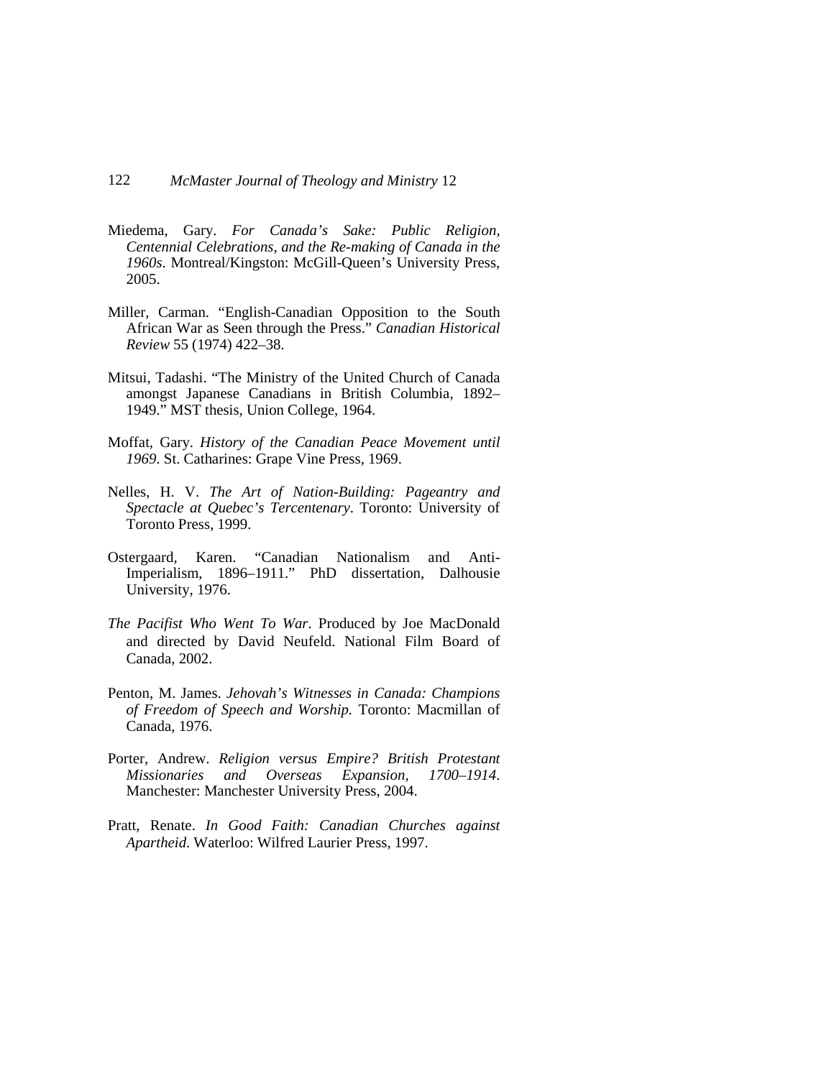- Miedema, Gary. *For Canada's Sake: Public Religion, Centennial Celebrations, and the Re-making of Canada in the 1960s*. Montreal/Kingston: McGill-Queen's University Press, 2005.
- Miller, Carman. "English-Canadian Opposition to the South African War as Seen through the Press." *Canadian Historical Review* 55 (1974) 422–38.
- Mitsui, Tadashi. "The Ministry of the United Church of Canada amongst Japanese Canadians in British Columbia, 1892– 1949." MST thesis, Union College, 1964.
- Moffat, Gary. *History of the Canadian Peace Movement until 1969*. St. Catharines: Grape Vine Press, 1969.
- Nelles, H. V. *The Art of Nation-Building: Pageantry and Spectacle at Quebec's Tercentenary*. Toronto: University of Toronto Press, 1999.
- Ostergaard, Karen. "Canadian Nationalism and Anti-Imperialism, 1896–1911." PhD dissertation, Dalhousie University, 1976.
- *The Pacifist Who Went To War*. Produced by Joe MacDonald and directed by David Neufeld. National Film Board of Canada, 2002.
- Penton, M. James. *Jehovah's Witnesses in Canada: Champions of Freedom of Speech and Worship.* Toronto: Macmillan of Canada, 1976.
- Porter, Andrew. *Religion versus Empire? British Protestant Missionaries and Overseas Expansion, 1700–1914*. Manchester: Manchester University Press, 2004.
- Pratt, Renate. *In Good Faith: Canadian Churches against Apartheid*. Waterloo: Wilfred Laurier Press, 1997.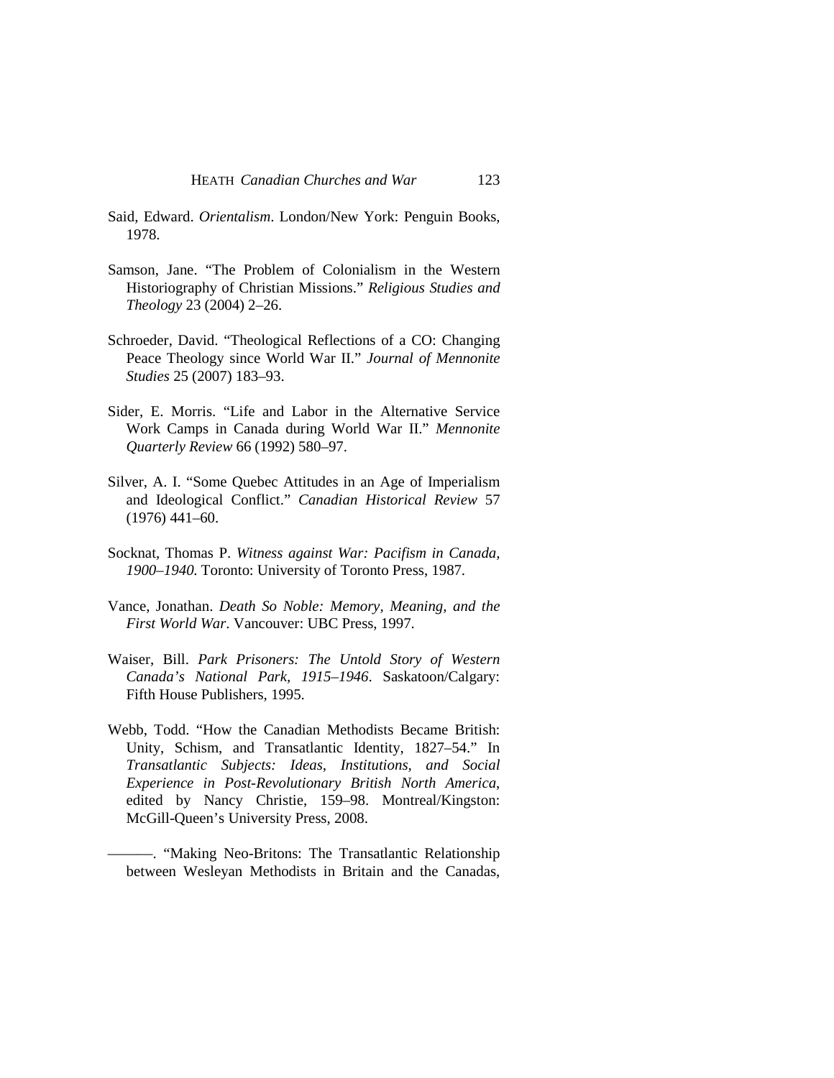- Said, Edward. *Orientalism*. London/New York: Penguin Books, 1978.
- Samson, Jane. "The Problem of Colonialism in the Western Historiography of Christian Missions." *Religious Studies and Theology* 23 (2004) 2–26.
- Schroeder, David. "Theological Reflections of a CO: Changing Peace Theology since World War II." *Journal of Mennonite Studies* 25 (2007) 183–93.
- Sider, E. Morris. "Life and Labor in the Alternative Service Work Camps in Canada during World War II." *Mennonite Quarterly Review* 66 (1992) 580–97.
- Silver, A. I. "Some Quebec Attitudes in an Age of Imperialism and Ideological Conflict." *Canadian Historical Review* 57 (1976) 441–60.
- Socknat, Thomas P. *Witness against War: Pacifism in Canada, 1900–1940*. Toronto: University of Toronto Press, 1987.
- Vance, Jonathan. *Death So Noble: Memory, Meaning, and the First World War*. Vancouver: UBC Press, 1997.
- Waiser, Bill. *Park Prisoners: The Untold Story of Western Canada's National Park, 1915–1946*. Saskatoon/Calgary: Fifth House Publishers, 1995.
- Webb, Todd. "How the Canadian Methodists Became British: Unity, Schism, and Transatlantic Identity, 1827–54." In *Transatlantic Subjects: Ideas, Institutions, and Social Experience in Post-Revolutionary British North America*, edited by Nancy Christie, 159–98. Montreal/Kingston: McGill-Queen's University Press, 2008.
	- ———. "Making Neo-Britons: The Transatlantic Relationship between Wesleyan Methodists in Britain and the Canadas,